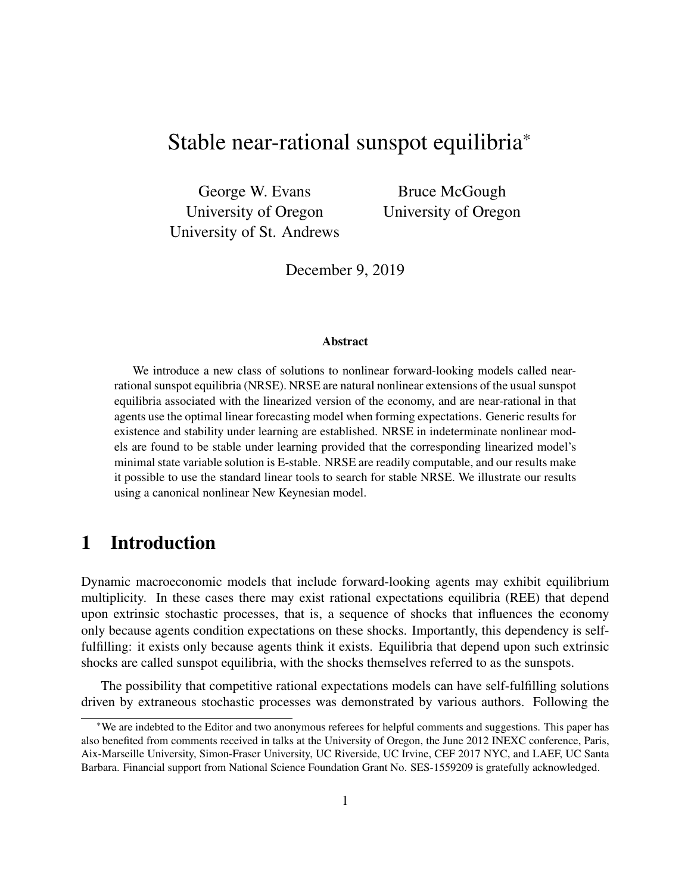# Stable near-rational sunspot equilibria\*

George W. Evans University of Oregon University of St. Andrews

Bruce McGough University of Oregon

December 9, 2019

#### Abstract

We introduce a new class of solutions to nonlinear forward-looking models called nearrational sunspot equilibria (NRSE). NRSE are natural nonlinear extensions of the usual sunspot equilibria associated with the linearized version of the economy, and are near-rational in that agents use the optimal linear forecasting model when forming expectations. Generic results for existence and stability under learning are established. NRSE in indeterminate nonlinear models are found to be stable under learning provided that the corresponding linearized model's minimal state variable solution is E-stable. NRSE are readily computable, and our results make it possible to use the standard linear tools to search for stable NRSE. We illustrate our results using a canonical nonlinear New Keynesian model.

## 1 Introduction

Dynamic macroeconomic models that include forward-looking agents may exhibit equilibrium multiplicity. In these cases there may exist rational expectations equilibria (REE) that depend upon extrinsic stochastic processes, that is, a sequence of shocks that influences the economy only because agents condition expectations on these shocks. Importantly, this dependency is selffulfilling: it exists only because agents think it exists. Equilibria that depend upon such extrinsic shocks are called sunspot equilibria, with the shocks themselves referred to as the sunspots.

The possibility that competitive rational expectations models can have self-fulfilling solutions driven by extraneous stochastic processes was demonstrated by various authors. Following the

<sup>\*</sup>We are indebted to the Editor and two anonymous referees for helpful comments and suggestions. This paper has also benefited from comments received in talks at the University of Oregon, the June 2012 INEXC conference, Paris, Aix-Marseille University, Simon-Fraser University, UC Riverside, UC Irvine, CEF 2017 NYC, and LAEF, UC Santa Barbara. Financial support from National Science Foundation Grant No. SES-1559209 is gratefully acknowledged.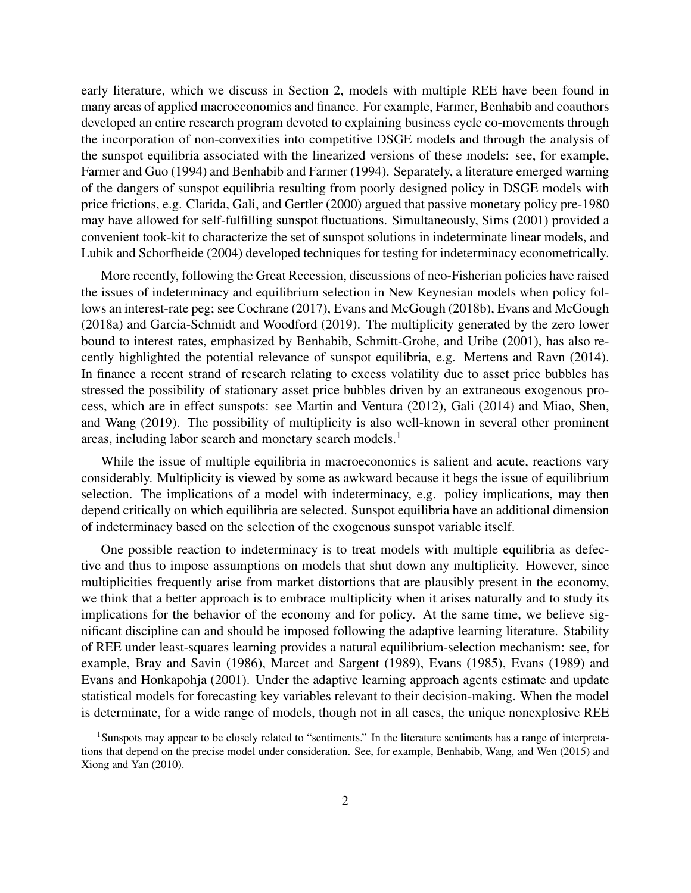early literature, which we discuss in Section 2, models with multiple REE have been found in many areas of applied macroeconomics and finance. For example, Farmer, Benhabib and coauthors developed an entire research program devoted to explaining business cycle co-movements through the incorporation of non-convexities into competitive DSGE models and through the analysis of the sunspot equilibria associated with the linearized versions of these models: see, for example, Farmer and Guo (1994) and Benhabib and Farmer (1994). Separately, a literature emerged warning of the dangers of sunspot equilibria resulting from poorly designed policy in DSGE models with price frictions, e.g. Clarida, Gali, and Gertler (2000) argued that passive monetary policy pre-1980 may have allowed for self-fulfilling sunspot fluctuations. Simultaneously, Sims (2001) provided a convenient took-kit to characterize the set of sunspot solutions in indeterminate linear models, and Lubik and Schorfheide (2004) developed techniques for testing for indeterminacy econometrically.

More recently, following the Great Recession, discussions of neo-Fisherian policies have raised the issues of indeterminacy and equilibrium selection in New Keynesian models when policy follows an interest-rate peg; see Cochrane (2017), Evans and McGough (2018b), Evans and McGough (2018a) and Garcia-Schmidt and Woodford (2019). The multiplicity generated by the zero lower bound to interest rates, emphasized by Benhabib, Schmitt-Grohe, and Uribe (2001), has also recently highlighted the potential relevance of sunspot equilibria, e.g. Mertens and Ravn (2014). In finance a recent strand of research relating to excess volatility due to asset price bubbles has stressed the possibility of stationary asset price bubbles driven by an extraneous exogenous process, which are in effect sunspots: see Martin and Ventura (2012), Gali (2014) and Miao, Shen, and Wang (2019). The possibility of multiplicity is also well-known in several other prominent areas, including labor search and monetary search models.<sup>1</sup>

While the issue of multiple equilibria in macroeconomics is salient and acute, reactions vary considerably. Multiplicity is viewed by some as awkward because it begs the issue of equilibrium selection. The implications of a model with indeterminacy, e.g. policy implications, may then depend critically on which equilibria are selected. Sunspot equilibria have an additional dimension of indeterminacy based on the selection of the exogenous sunspot variable itself.

One possible reaction to indeterminacy is to treat models with multiple equilibria as defective and thus to impose assumptions on models that shut down any multiplicity. However, since multiplicities frequently arise from market distortions that are plausibly present in the economy, we think that a better approach is to embrace multiplicity when it arises naturally and to study its implications for the behavior of the economy and for policy. At the same time, we believe significant discipline can and should be imposed following the adaptive learning literature. Stability of REE under least-squares learning provides a natural equilibrium-selection mechanism: see, for example, Bray and Savin (1986), Marcet and Sargent (1989), Evans (1985), Evans (1989) and Evans and Honkapohja (2001). Under the adaptive learning approach agents estimate and update statistical models for forecasting key variables relevant to their decision-making. When the model is determinate, for a wide range of models, though not in all cases, the unique nonexplosive REE

<sup>&</sup>lt;sup>1</sup>Sunspots may appear to be closely related to "sentiments." In the literature sentiments has a range of interpretations that depend on the precise model under consideration. See, for example, Benhabib, Wang, and Wen (2015) and Xiong and Yan (2010).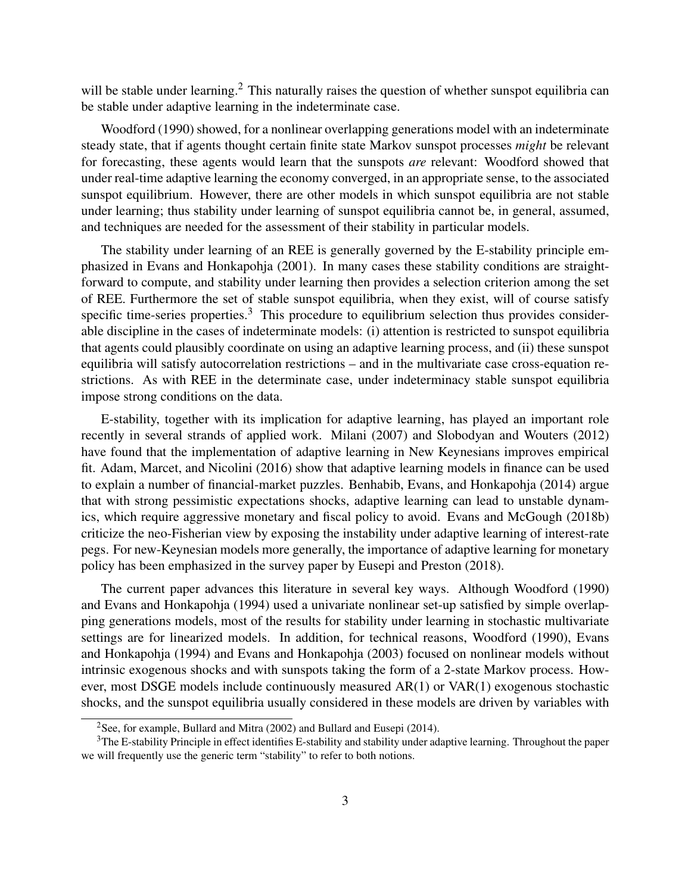will be stable under learning.<sup>2</sup> This naturally raises the question of whether sunspot equilibria can be stable under adaptive learning in the indeterminate case.

Woodford (1990) showed, for a nonlinear overlapping generations model with an indeterminate steady state, that if agents thought certain finite state Markov sunspot processes *might* be relevant for forecasting, these agents would learn that the sunspots *are* relevant: Woodford showed that under real-time adaptive learning the economy converged, in an appropriate sense, to the associated sunspot equilibrium. However, there are other models in which sunspot equilibria are not stable under learning; thus stability under learning of sunspot equilibria cannot be, in general, assumed, and techniques are needed for the assessment of their stability in particular models.

The stability under learning of an REE is generally governed by the E-stability principle emphasized in Evans and Honkapohja (2001). In many cases these stability conditions are straightforward to compute, and stability under learning then provides a selection criterion among the set of REE. Furthermore the set of stable sunspot equilibria, when they exist, will of course satisfy specific time-series properties.<sup>3</sup> This procedure to equilibrium selection thus provides considerable discipline in the cases of indeterminate models: (i) attention is restricted to sunspot equilibria that agents could plausibly coordinate on using an adaptive learning process, and (ii) these sunspot equilibria will satisfy autocorrelation restrictions – and in the multivariate case cross-equation restrictions. As with REE in the determinate case, under indeterminacy stable sunspot equilibria impose strong conditions on the data.

E-stability, together with its implication for adaptive learning, has played an important role recently in several strands of applied work. Milani (2007) and Slobodyan and Wouters (2012) have found that the implementation of adaptive learning in New Keynesians improves empirical fit. Adam, Marcet, and Nicolini (2016) show that adaptive learning models in finance can be used to explain a number of financial-market puzzles. Benhabib, Evans, and Honkapohja (2014) argue that with strong pessimistic expectations shocks, adaptive learning can lead to unstable dynamics, which require aggressive monetary and fiscal policy to avoid. Evans and McGough (2018b) criticize the neo-Fisherian view by exposing the instability under adaptive learning of interest-rate pegs. For new-Keynesian models more generally, the importance of adaptive learning for monetary policy has been emphasized in the survey paper by Eusepi and Preston (2018).

The current paper advances this literature in several key ways. Although Woodford (1990) and Evans and Honkapohja (1994) used a univariate nonlinear set-up satisfied by simple overlapping generations models, most of the results for stability under learning in stochastic multivariate settings are for linearized models. In addition, for technical reasons, Woodford (1990), Evans and Honkapohja (1994) and Evans and Honkapohja (2003) focused on nonlinear models without intrinsic exogenous shocks and with sunspots taking the form of a 2-state Markov process. However, most DSGE models include continuously measured AR(1) or VAR(1) exogenous stochastic shocks, and the sunspot equilibria usually considered in these models are driven by variables with

<sup>&</sup>lt;sup>2</sup>See, for example, Bullard and Mitra (2002) and Bullard and Eusepi (2014).

<sup>3</sup>The E-stability Principle in effect identifies E-stability and stability under adaptive learning. Throughout the paper we will frequently use the generic term "stability" to refer to both notions.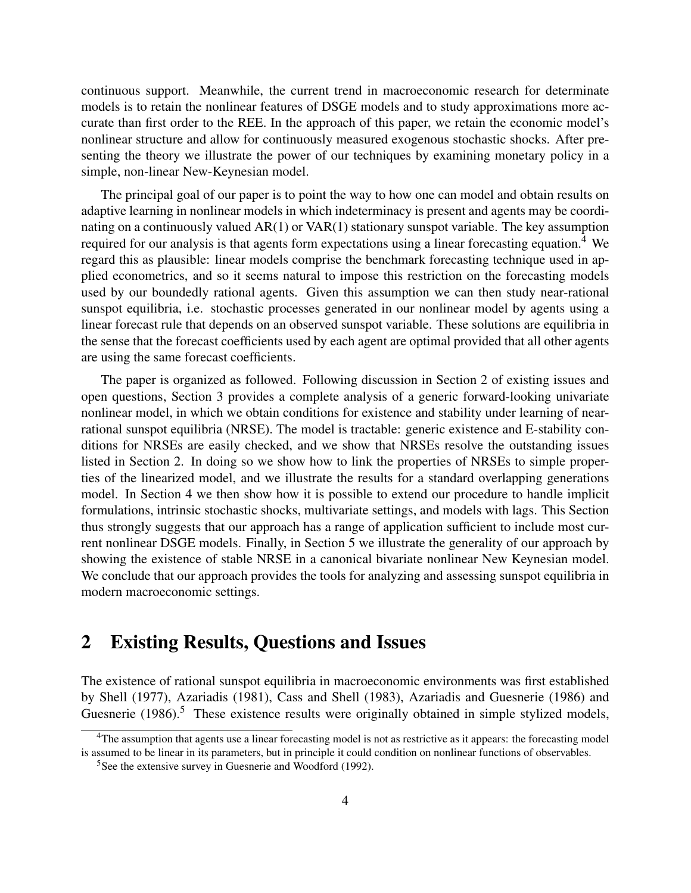continuous support. Meanwhile, the current trend in macroeconomic research for determinate models is to retain the nonlinear features of DSGE models and to study approximations more accurate than first order to the REE. In the approach of this paper, we retain the economic model's nonlinear structure and allow for continuously measured exogenous stochastic shocks. After presenting the theory we illustrate the power of our techniques by examining monetary policy in a simple, non-linear New-Keynesian model.

The principal goal of our paper is to point the way to how one can model and obtain results on adaptive learning in nonlinear models in which indeterminacy is present and agents may be coordinating on a continuously valued AR(1) or VAR(1) stationary sunspot variable. The key assumption required for our analysis is that agents form expectations using a linear forecasting equation.<sup>4</sup> We regard this as plausible: linear models comprise the benchmark forecasting technique used in applied econometrics, and so it seems natural to impose this restriction on the forecasting models used by our boundedly rational agents. Given this assumption we can then study near-rational sunspot equilibria, i.e. stochastic processes generated in our nonlinear model by agents using a linear forecast rule that depends on an observed sunspot variable. These solutions are equilibria in the sense that the forecast coefficients used by each agent are optimal provided that all other agents are using the same forecast coefficients.

The paper is organized as followed. Following discussion in Section 2 of existing issues and open questions, Section 3 provides a complete analysis of a generic forward-looking univariate nonlinear model, in which we obtain conditions for existence and stability under learning of nearrational sunspot equilibria (NRSE). The model is tractable: generic existence and E-stability conditions for NRSEs are easily checked, and we show that NRSEs resolve the outstanding issues listed in Section 2. In doing so we show how to link the properties of NRSEs to simple properties of the linearized model, and we illustrate the results for a standard overlapping generations model. In Section 4 we then show how it is possible to extend our procedure to handle implicit formulations, intrinsic stochastic shocks, multivariate settings, and models with lags. This Section thus strongly suggests that our approach has a range of application sufficient to include most current nonlinear DSGE models. Finally, in Section 5 we illustrate the generality of our approach by showing the existence of stable NRSE in a canonical bivariate nonlinear New Keynesian model. We conclude that our approach provides the tools for analyzing and assessing sunspot equilibria in modern macroeconomic settings.

## 2 Existing Results, Questions and Issues

The existence of rational sunspot equilibria in macroeconomic environments was first established by Shell (1977), Azariadis (1981), Cass and Shell (1983), Azariadis and Guesnerie (1986) and Guesnerie  $(1986)$ <sup>5</sup>. These existence results were originally obtained in simple stylized models,

<sup>&</sup>lt;sup>4</sup>The assumption that agents use a linear forecasting model is not as restrictive as it appears: the forecasting model is assumed to be linear in its parameters, but in principle it could condition on nonlinear functions of observables.

<sup>5</sup>See the extensive survey in Guesnerie and Woodford (1992).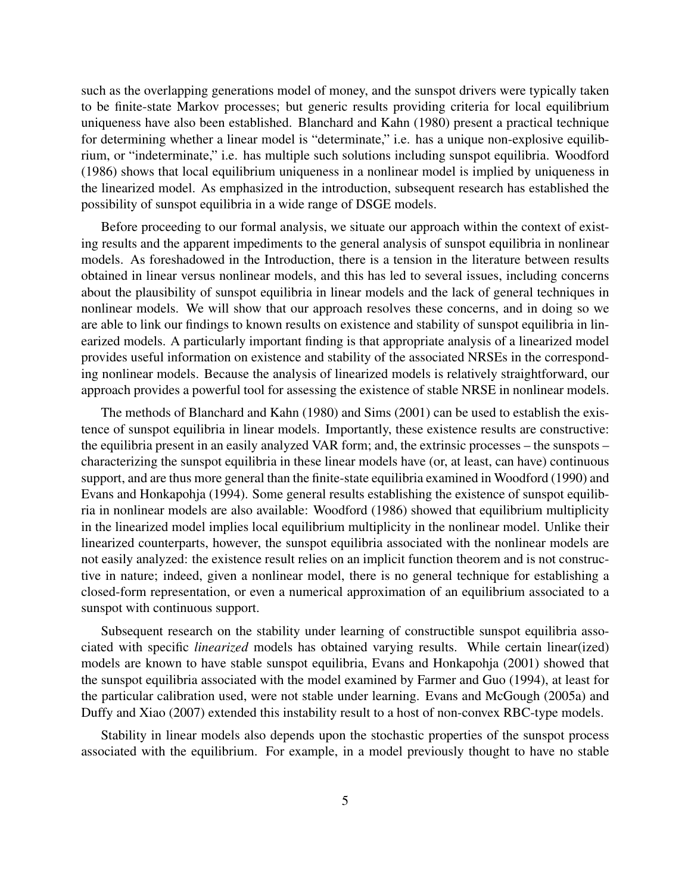such as the overlapping generations model of money, and the sunspot drivers were typically taken to be finite-state Markov processes; but generic results providing criteria for local equilibrium uniqueness have also been established. Blanchard and Kahn (1980) present a practical technique for determining whether a linear model is "determinate," i.e. has a unique non-explosive equilibrium, or "indeterminate," i.e. has multiple such solutions including sunspot equilibria. Woodford (1986) shows that local equilibrium uniqueness in a nonlinear model is implied by uniqueness in the linearized model. As emphasized in the introduction, subsequent research has established the possibility of sunspot equilibria in a wide range of DSGE models.

Before proceeding to our formal analysis, we situate our approach within the context of existing results and the apparent impediments to the general analysis of sunspot equilibria in nonlinear models. As foreshadowed in the Introduction, there is a tension in the literature between results obtained in linear versus nonlinear models, and this has led to several issues, including concerns about the plausibility of sunspot equilibria in linear models and the lack of general techniques in nonlinear models. We will show that our approach resolves these concerns, and in doing so we are able to link our findings to known results on existence and stability of sunspot equilibria in linearized models. A particularly important finding is that appropriate analysis of a linearized model provides useful information on existence and stability of the associated NRSEs in the corresponding nonlinear models. Because the analysis of linearized models is relatively straightforward, our approach provides a powerful tool for assessing the existence of stable NRSE in nonlinear models.

The methods of Blanchard and Kahn (1980) and Sims (2001) can be used to establish the existence of sunspot equilibria in linear models. Importantly, these existence results are constructive: the equilibria present in an easily analyzed VAR form; and, the extrinsic processes – the sunspots – characterizing the sunspot equilibria in these linear models have (or, at least, can have) continuous support, and are thus more general than the finite-state equilibria examined in Woodford (1990) and Evans and Honkapohja (1994). Some general results establishing the existence of sunspot equilibria in nonlinear models are also available: Woodford (1986) showed that equilibrium multiplicity in the linearized model implies local equilibrium multiplicity in the nonlinear model. Unlike their linearized counterparts, however, the sunspot equilibria associated with the nonlinear models are not easily analyzed: the existence result relies on an implicit function theorem and is not constructive in nature; indeed, given a nonlinear model, there is no general technique for establishing a closed-form representation, or even a numerical approximation of an equilibrium associated to a sunspot with continuous support.

Subsequent research on the stability under learning of constructible sunspot equilibria associated with specific *linearized* models has obtained varying results. While certain linear(ized) models are known to have stable sunspot equilibria, Evans and Honkapohja (2001) showed that the sunspot equilibria associated with the model examined by Farmer and Guo (1994), at least for the particular calibration used, were not stable under learning. Evans and McGough (2005a) and Duffy and Xiao (2007) extended this instability result to a host of non-convex RBC-type models.

Stability in linear models also depends upon the stochastic properties of the sunspot process associated with the equilibrium. For example, in a model previously thought to have no stable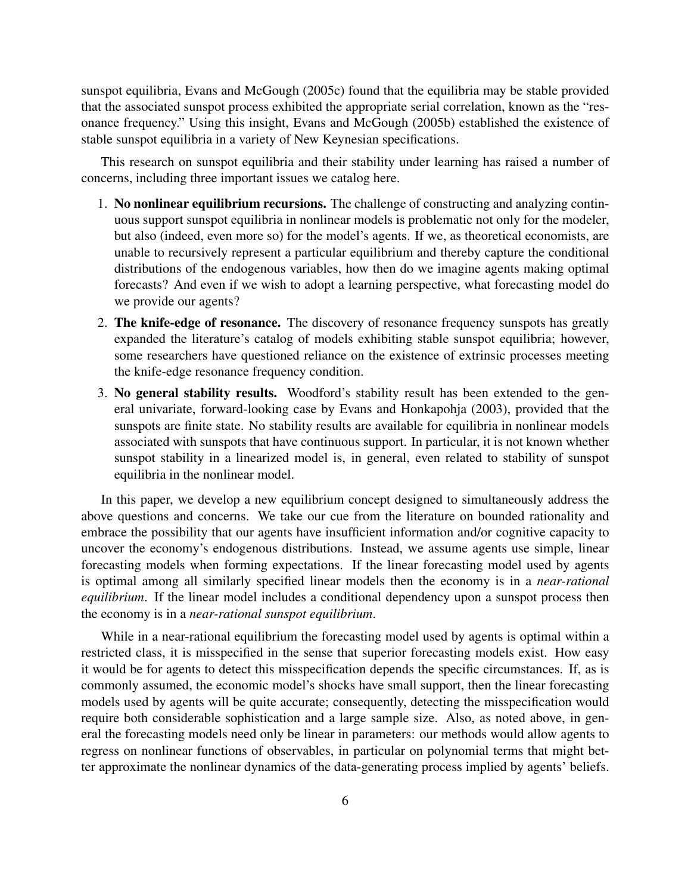sunspot equilibria, Evans and McGough (2005c) found that the equilibria may be stable provided that the associated sunspot process exhibited the appropriate serial correlation, known as the "resonance frequency." Using this insight, Evans and McGough (2005b) established the existence of stable sunspot equilibria in a variety of New Keynesian specifications.

This research on sunspot equilibria and their stability under learning has raised a number of concerns, including three important issues we catalog here.

- 1. No nonlinear equilibrium recursions. The challenge of constructing and analyzing continuous support sunspot equilibria in nonlinear models is problematic not only for the modeler, but also (indeed, even more so) for the model's agents. If we, as theoretical economists, are unable to recursively represent a particular equilibrium and thereby capture the conditional distributions of the endogenous variables, how then do we imagine agents making optimal forecasts? And even if we wish to adopt a learning perspective, what forecasting model do we provide our agents?
- 2. The knife-edge of resonance. The discovery of resonance frequency sunspots has greatly expanded the literature's catalog of models exhibiting stable sunspot equilibria; however, some researchers have questioned reliance on the existence of extrinsic processes meeting the knife-edge resonance frequency condition.
- 3. No general stability results. Woodford's stability result has been extended to the general univariate, forward-looking case by Evans and Honkapohja (2003), provided that the sunspots are finite state. No stability results are available for equilibria in nonlinear models associated with sunspots that have continuous support. In particular, it is not known whether sunspot stability in a linearized model is, in general, even related to stability of sunspot equilibria in the nonlinear model.

In this paper, we develop a new equilibrium concept designed to simultaneously address the above questions and concerns. We take our cue from the literature on bounded rationality and embrace the possibility that our agents have insufficient information and/or cognitive capacity to uncover the economy's endogenous distributions. Instead, we assume agents use simple, linear forecasting models when forming expectations. If the linear forecasting model used by agents is optimal among all similarly specified linear models then the economy is in a *near-rational equilibrium*. If the linear model includes a conditional dependency upon a sunspot process then the economy is in a *near-rational sunspot equilibrium*.

While in a near-rational equilibrium the forecasting model used by agents is optimal within a restricted class, it is misspecified in the sense that superior forecasting models exist. How easy it would be for agents to detect this misspecification depends the specific circumstances. If, as is commonly assumed, the economic model's shocks have small support, then the linear forecasting models used by agents will be quite accurate; consequently, detecting the misspecification would require both considerable sophistication and a large sample size. Also, as noted above, in general the forecasting models need only be linear in parameters: our methods would allow agents to regress on nonlinear functions of observables, in particular on polynomial terms that might better approximate the nonlinear dynamics of the data-generating process implied by agents' beliefs.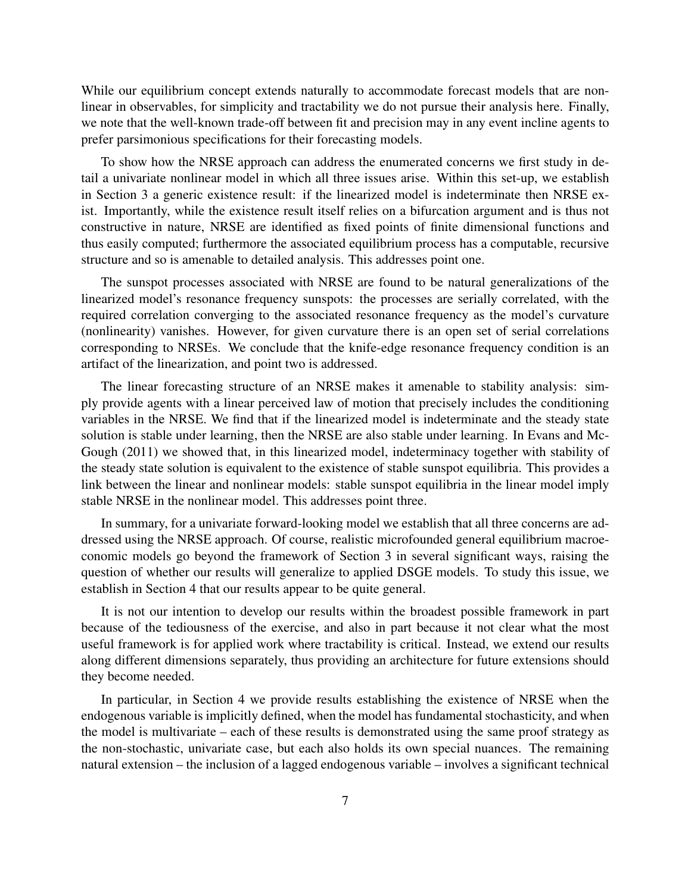While our equilibrium concept extends naturally to accommodate forecast models that are nonlinear in observables, for simplicity and tractability we do not pursue their analysis here. Finally, we note that the well-known trade-off between fit and precision may in any event incline agents to prefer parsimonious specifications for their forecasting models.

To show how the NRSE approach can address the enumerated concerns we first study in detail a univariate nonlinear model in which all three issues arise. Within this set-up, we establish in Section 3 a generic existence result: if the linearized model is indeterminate then NRSE exist. Importantly, while the existence result itself relies on a bifurcation argument and is thus not constructive in nature, NRSE are identified as fixed points of finite dimensional functions and thus easily computed; furthermore the associated equilibrium process has a computable, recursive structure and so is amenable to detailed analysis. This addresses point one.

The sunspot processes associated with NRSE are found to be natural generalizations of the linearized model's resonance frequency sunspots: the processes are serially correlated, with the required correlation converging to the associated resonance frequency as the model's curvature (nonlinearity) vanishes. However, for given curvature there is an open set of serial correlations corresponding to NRSEs. We conclude that the knife-edge resonance frequency condition is an artifact of the linearization, and point two is addressed.

The linear forecasting structure of an NRSE makes it amenable to stability analysis: simply provide agents with a linear perceived law of motion that precisely includes the conditioning variables in the NRSE. We find that if the linearized model is indeterminate and the steady state solution is stable under learning, then the NRSE are also stable under learning. In Evans and Mc-Gough (2011) we showed that, in this linearized model, indeterminacy together with stability of the steady state solution is equivalent to the existence of stable sunspot equilibria. This provides a link between the linear and nonlinear models: stable sunspot equilibria in the linear model imply stable NRSE in the nonlinear model. This addresses point three.

In summary, for a univariate forward-looking model we establish that all three concerns are addressed using the NRSE approach. Of course, realistic microfounded general equilibrium macroeconomic models go beyond the framework of Section 3 in several significant ways, raising the question of whether our results will generalize to applied DSGE models. To study this issue, we establish in Section 4 that our results appear to be quite general.

It is not our intention to develop our results within the broadest possible framework in part because of the tediousness of the exercise, and also in part because it not clear what the most useful framework is for applied work where tractability is critical. Instead, we extend our results along different dimensions separately, thus providing an architecture for future extensions should they become needed.

In particular, in Section 4 we provide results establishing the existence of NRSE when the endogenous variable is implicitly defined, when the model has fundamental stochasticity, and when the model is multivariate – each of these results is demonstrated using the same proof strategy as the non-stochastic, univariate case, but each also holds its own special nuances. The remaining natural extension – the inclusion of a lagged endogenous variable – involves a significant technical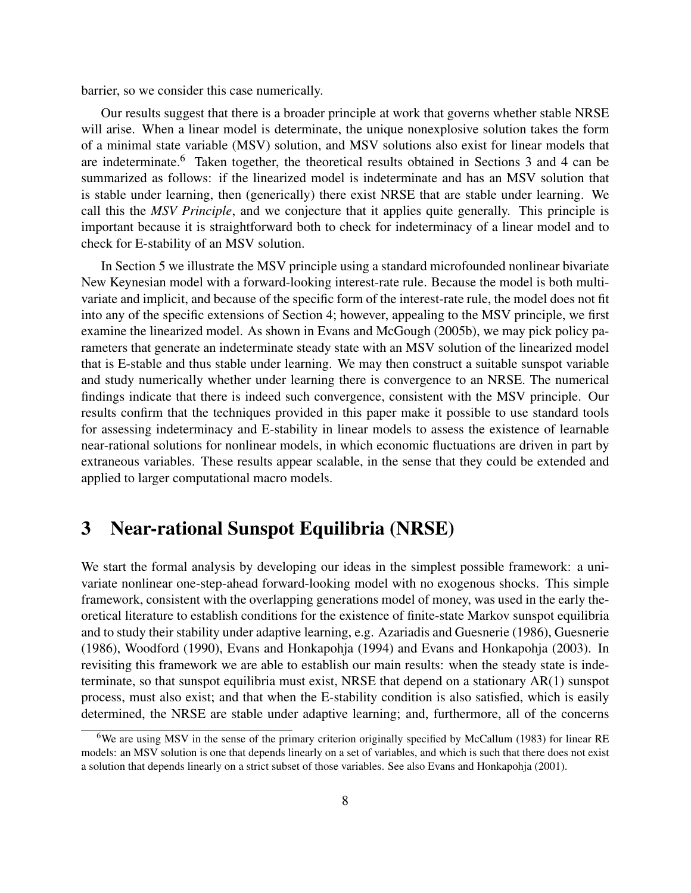barrier, so we consider this case numerically.

Our results suggest that there is a broader principle at work that governs whether stable NRSE will arise. When a linear model is determinate, the unique nonexplosive solution takes the form of a minimal state variable (MSV) solution, and MSV solutions also exist for linear models that are indeterminate.<sup>6</sup> Taken together, the theoretical results obtained in Sections 3 and 4 can be summarized as follows: if the linearized model is indeterminate and has an MSV solution that is stable under learning, then (generically) there exist NRSE that are stable under learning. We call this the *MSV Principle*, and we conjecture that it applies quite generally. This principle is important because it is straightforward both to check for indeterminacy of a linear model and to check for E-stability of an MSV solution.

In Section 5 we illustrate the MSV principle using a standard microfounded nonlinear bivariate New Keynesian model with a forward-looking interest-rate rule. Because the model is both multivariate and implicit, and because of the specific form of the interest-rate rule, the model does not fit into any of the specific extensions of Section 4; however, appealing to the MSV principle, we first examine the linearized model. As shown in Evans and McGough (2005b), we may pick policy parameters that generate an indeterminate steady state with an MSV solution of the linearized model that is E-stable and thus stable under learning. We may then construct a suitable sunspot variable and study numerically whether under learning there is convergence to an NRSE. The numerical findings indicate that there is indeed such convergence, consistent with the MSV principle. Our results confirm that the techniques provided in this paper make it possible to use standard tools for assessing indeterminacy and E-stability in linear models to assess the existence of learnable near-rational solutions for nonlinear models, in which economic fluctuations are driven in part by extraneous variables. These results appear scalable, in the sense that they could be extended and applied to larger computational macro models.

## 3 Near-rational Sunspot Equilibria (NRSE)

We start the formal analysis by developing our ideas in the simplest possible framework: a univariate nonlinear one-step-ahead forward-looking model with no exogenous shocks. This simple framework, consistent with the overlapping generations model of money, was used in the early theoretical literature to establish conditions for the existence of finite-state Markov sunspot equilibria and to study their stability under adaptive learning, e.g. Azariadis and Guesnerie (1986), Guesnerie (1986), Woodford (1990), Evans and Honkapohja (1994) and Evans and Honkapohja (2003). In revisiting this framework we are able to establish our main results: when the steady state is indeterminate, so that sunspot equilibria must exist, NRSE that depend on a stationary AR(1) sunspot process, must also exist; and that when the E-stability condition is also satisfied, which is easily determined, the NRSE are stable under adaptive learning; and, furthermore, all of the concerns

<sup>6</sup>We are using MSV in the sense of the primary criterion originally specified by McCallum (1983) for linear RE models: an MSV solution is one that depends linearly on a set of variables, and which is such that there does not exist a solution that depends linearly on a strict subset of those variables. See also Evans and Honkapohja (2001).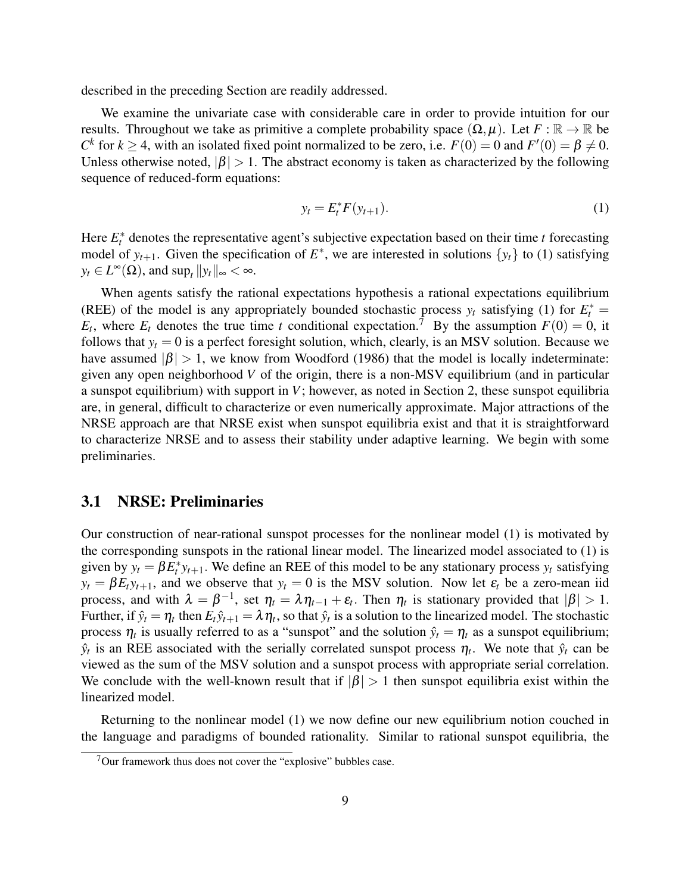described in the preceding Section are readily addressed.

We examine the univariate case with considerable care in order to provide intuition for our results. Throughout we take as primitive a complete probability space  $(\Omega, \mu)$ . Let  $F : \mathbb{R} \to \mathbb{R}$  be *C*<sup> $k$ </sup> for  $k \ge 4$ , with an isolated fixed point normalized to be zero, i.e.  $F(0) = 0$  and  $F'(0) = \beta \ne 0$ . Unless otherwise noted,  $|\beta| > 1$ . The abstract economy is taken as characterized by the following sequence of reduced-form equations:

$$
y_t = E_t^* F(y_{t+1}).
$$
\n(1)

Here  $E_t^*$  denotes the representative agent's subjective expectation based on their time  $t$  forecasting model of  $y_{t+1}$ . Given the specification of  $E^*$ , we are interested in solutions  $\{y_t\}$  to (1) satisfying  $y_t \in L^{\infty}(\Omega)$ , and  $\sup_t ||y_t||_{\infty} < \infty$ .

When agents satisfy the rational expectations hypothesis a rational expectations equilibrium (REE) of the model is any appropriately bounded stochastic process  $y_t$  satisfying (1) for  $E_t^*$  =  $E_t$ , where  $E_t$  denotes the true time *t* conditional expectation.<sup>7</sup> By the assumption  $F(0) = 0$ , it follows that  $y_t = 0$  is a perfect foresight solution, which, clearly, is an MSV solution. Because we have assumed  $|\beta| > 1$ , we know from Woodford (1986) that the model is locally indeterminate: given any open neighborhood *V* of the origin, there is a non-MSV equilibrium (and in particular a sunspot equilibrium) with support in *V*; however, as noted in Section 2, these sunspot equilibria are, in general, difficult to characterize or even numerically approximate. Major attractions of the NRSE approach are that NRSE exist when sunspot equilibria exist and that it is straightforward to characterize NRSE and to assess their stability under adaptive learning. We begin with some preliminaries.

#### 3.1 NRSE: Preliminaries

Our construction of near-rational sunspot processes for the nonlinear model (1) is motivated by the corresponding sunspots in the rational linear model. The linearized model associated to (1) is given by  $y_t = \beta E_t^* y_{t+1}$ . We define an REE of this model to be any stationary process  $y_t$  satisfying  $y_t = \beta E_t y_{t+1}$ , and we observe that  $y_t = 0$  is the MSV solution. Now let  $\varepsilon_t$  be a zero-mean iid process, and with  $\lambda = \beta^{-1}$ , set  $\eta_t = \lambda \eta_{t-1} + \varepsilon_t$ . Then  $\eta_t$  is stationary provided that  $|\beta| > 1$ . Further, if  $\hat{y}_t = \eta_t$  then  $E_t \hat{y}_{t+1} = \lambda \eta_t$ , so that  $\hat{y}_t$  is a solution to the linearized model. The stochastic process  $\eta_t$  is usually referred to as a "sunspot" and the solution  $\hat{y}_t = \eta_t$  as a sunspot equilibrium;  $\hat{y}_t$  is an REE associated with the serially correlated sunspot process  $\eta_t$ . We note that  $\hat{y}_t$  can be viewed as the sum of the MSV solution and a sunspot process with appropriate serial correlation. We conclude with the well-known result that if  $|\beta| > 1$  then sunspot equilibria exist within the linearized model.

Returning to the nonlinear model (1) we now define our new equilibrium notion couched in the language and paradigms of bounded rationality. Similar to rational sunspot equilibria, the

 $7$ Our framework thus does not cover the "explosive" bubbles case.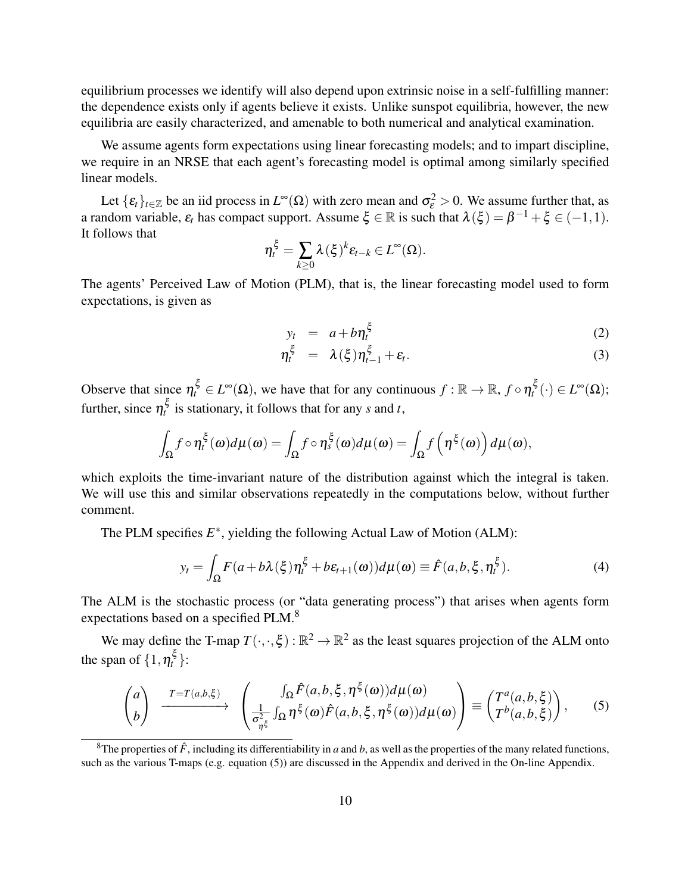equilibrium processes we identify will also depend upon extrinsic noise in a self-fulfilling manner: the dependence exists only if agents believe it exists. Unlike sunspot equilibria, however, the new equilibria are easily characterized, and amenable to both numerical and analytical examination.

We assume agents form expectations using linear forecasting models; and to impart discipline, we require in an NRSE that each agent's forecasting model is optimal among similarly specified linear models.

Let  $\{\varepsilon_t\}_{t\in\mathbb{Z}}$  be an iid process in  $L^{\infty}(\Omega)$  with zero mean and  $\sigma_{\varepsilon}^2 > 0$ . We assume further that, as a random variable,  $\varepsilon_t$  has compact support. Assume  $\xi \in \mathbb{R}$  is such that  $\lambda(\xi) = \beta^{-1} + \xi \in (-1,1)$ . It follows that

$$
\eta_t^{\xi} = \sum_{k \geq 0} \lambda(\xi)^k \varepsilon_{t-k} \in L^{\infty}(\Omega).
$$

The agents' Perceived Law of Motion (PLM), that is, the linear forecasting model used to form expectations, is given as

$$
y_t = a + b \eta_t^{\xi} \tag{2}
$$

$$
\eta_t^{\xi} = \lambda(\xi)\eta_{t-1}^{\xi} + \varepsilon_t.
$$
\n(3)

Observe that since  $\eta_t^{\xi} \in L^{\infty}(\Omega)$ , we have that for any continuous  $f : \mathbb{R} \to \mathbb{R}$ ,  $f \circ \eta_t^{\xi}(\cdot) \in L^{\infty}(\Omega)$ ; further, since  $\eta_t^{\xi}$  is stationary, it follows that for any *s* and *t*,

$$
\int_{\Omega} f \circ \eta_t^{\xi}(\omega) d\mu(\omega) = \int_{\Omega} f \circ \eta_s^{\xi}(\omega) d\mu(\omega) = \int_{\Omega} f(\eta^{\xi}(\omega)) d\mu(\omega),
$$

which exploits the time-invariant nature of the distribution against which the integral is taken. We will use this and similar observations repeatedly in the computations below, without further comment.

The PLM specifies  $E^*$ , yielding the following Actual Law of Motion (ALM):

$$
y_t = \int_{\Omega} F(a + b\lambda(\xi)\eta_t^{\xi} + b\varepsilon_{t+1}(\omega))d\mu(\omega) \equiv \hat{F}(a, b, \xi, \eta_t^{\xi}).
$$
 (4)

The ALM is the stochastic process (or "data generating process") that arises when agents form expectations based on a specified PLM.<sup>8</sup>

We may define the T-map  $T(\cdot,\cdot,\xi): \mathbb{R}^2 \to \mathbb{R}^2$  as the least squares projection of the ALM onto the span of  $\{1, \eta_t^{\xi}\}$ :

$$
\begin{pmatrix} a \\ b \end{pmatrix} \xrightarrow{T=T(a,b,\xi)} \begin{pmatrix} \int_{\Omega} \hat{F}(a,b,\xi,\eta^{\xi}(\omega)) d\mu(\omega) \\ \frac{1}{\sigma_{\xi}^{2}} \int_{\Omega} \eta^{\xi}(\omega) \hat{F}(a,b,\xi,\eta^{\xi}(\omega)) d\mu(\omega) \end{pmatrix} \equiv \begin{pmatrix} T^{a}(a,b,\xi) \\ T^{b}(a,b,\xi) \end{pmatrix}, \qquad (5)
$$

<sup>&</sup>lt;sup>8</sup>The properties of  $\hat{F}$ , including its differentiability in *a* and *b*, as well as the properties of the many related functions, such as the various T-maps (e.g. equation (5)) are discussed in the Appendix and derived in the On-line Appendix.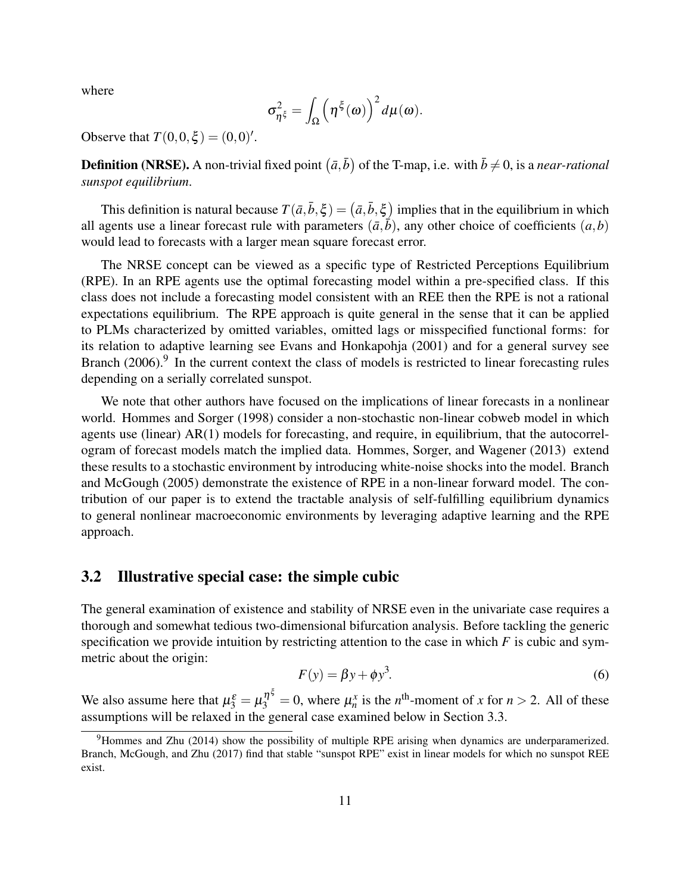where

$$
\sigma_{\eta^{\xi}}^2 = \int_{\Omega} \left( \eta^{\xi}(\omega) \right)^2 d\mu(\omega).
$$

Observe that  $T(0,0,\xi) = (0,0)'.$ 

**Definition (NRSE).** A non-trivial fixed point  $(\bar{a}, \bar{b})$  of the T-map, i.e. with  $\bar{b} \neq 0$ , is a *near-rational sunspot equilibrium*.

This definition is natural because  $T(\bar{a}, \bar{b}, \xi) = (\bar{a}, \bar{b}, \xi)$  implies that in the equilibrium in which all agents use a linear forecast rule with parameters  $(\bar{a}, \bar{b})$ , any other choice of coefficients  $(a, b)$ would lead to forecasts with a larger mean square forecast error.

The NRSE concept can be viewed as a specific type of Restricted Perceptions Equilibrium (RPE). In an RPE agents use the optimal forecasting model within a pre-specified class. If this class does not include a forecasting model consistent with an REE then the RPE is not a rational expectations equilibrium. The RPE approach is quite general in the sense that it can be applied to PLMs characterized by omitted variables, omitted lags or misspecified functional forms: for its relation to adaptive learning see Evans and Honkapohja (2001) and for a general survey see Branch (2006).<sup>9</sup> In the current context the class of models is restricted to linear forecasting rules depending on a serially correlated sunspot.

We note that other authors have focused on the implications of linear forecasts in a nonlinear world. Hommes and Sorger (1998) consider a non-stochastic non-linear cobweb model in which agents use (linear) AR(1) models for forecasting, and require, in equilibrium, that the autocorrelogram of forecast models match the implied data. Hommes, Sorger, and Wagener (2013) extend these results to a stochastic environment by introducing white-noise shocks into the model. Branch and McGough (2005) demonstrate the existence of RPE in a non-linear forward model. The contribution of our paper is to extend the tractable analysis of self-fulfilling equilibrium dynamics to general nonlinear macroeconomic environments by leveraging adaptive learning and the RPE approach.

### 3.2 Illustrative special case: the simple cubic

The general examination of existence and stability of NRSE even in the univariate case requires a thorough and somewhat tedious two-dimensional bifurcation analysis. Before tackling the generic specification we provide intuition by restricting attention to the case in which *F* is cubic and symmetric about the origin:

$$
F(y) = \beta y + \phi y^3. \tag{6}
$$

We also assume here that  $\mu_3^{\varepsilon} = \mu_3^{\eta^{\xi}} = 0$ , where  $\mu_n^x$  is the *n*<sup>th</sup>-moment of *x* for *n* > 2. All of these assumptions will be relaxed in the general case examined below in Section 3.3.

<sup>9</sup>Hommes and Zhu (2014) show the possibility of multiple RPE arising when dynamics are underparamerized. Branch, McGough, and Zhu (2017) find that stable "sunspot RPE" exist in linear models for which no sunspot REE exist.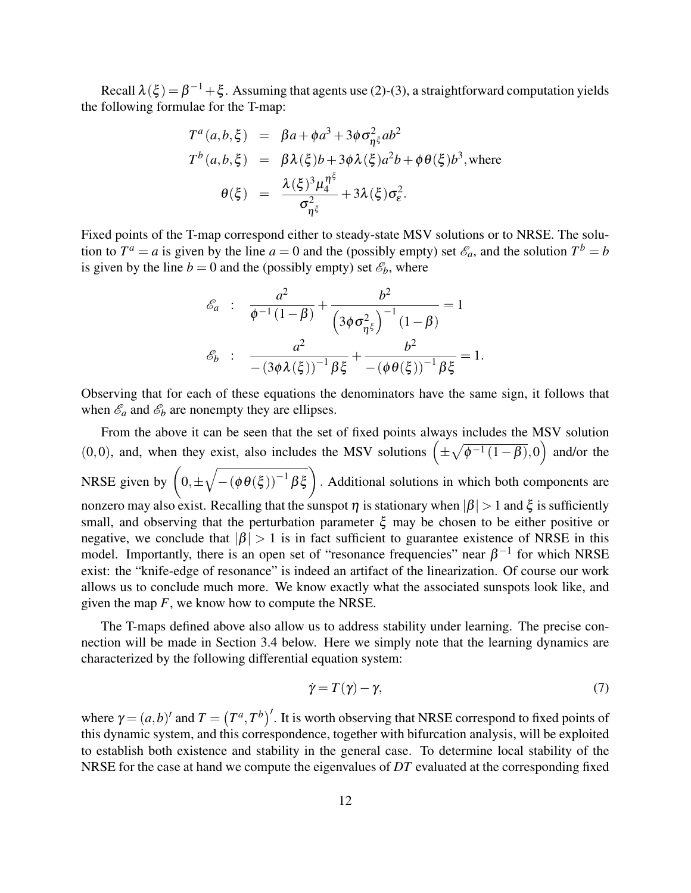Recall  $\lambda(\xi) = \beta^{-1} + \xi$ . Assuming that agents use (2)-(3), a straightforward computation yields the following formulae for the T-map:

$$
T^{a}(a,b,\xi) = \beta a + \phi a^{3} + 3\phi \sigma_{\eta\xi}^{2} ab^{2}
$$
  
\n
$$
T^{b}(a,b,\xi) = \beta \lambda(\xi)b + 3\phi \lambda(\xi)a^{2}b + \phi \theta(\xi)b^{3}, \text{where}
$$
  
\n
$$
\theta(\xi) = \frac{\lambda(\xi)^{3} \mu_{4}^{n^{\xi}}}{\sigma_{\eta\xi}^{2}} + 3\lambda(\xi)\sigma_{\varepsilon}^{2}.
$$

Fixed points of the T-map correspond either to steady-state MSV solutions or to NRSE. The solution to  $T^a = a$  is given by the line  $a = 0$  and the (possibly empty) set  $\mathscr{E}_a$ , and the solution  $T^b = b$ is given by the line  $b = 0$  and the (possibly empty) set  $\mathcal{E}_b$ , where

$$
\mathcal{E}_a : \frac{a^2}{\phi^{-1}(1-\beta)} + \frac{b^2}{\left(3\phi\sigma_{\eta^{\xi}}^2\right)^{-1}(1-\beta)} = 1
$$

$$
\mathcal{E}_b : \frac{a^2}{-(3\phi\lambda(\xi))^{-1}\beta\xi} + \frac{b^2}{-(\phi\theta(\xi))^{-1}\beta\xi} = 1.
$$

Observing that for each of these equations the denominators have the same sign, it follows that when  $\mathscr{E}_a$  and  $\mathscr{E}_b$  are nonempty they are ellipses.

From the above it can be seen that the set of fixed points always includes the MSV solution (0,0), and, when they exist, also includes the MSV solutions  $(\pm \sqrt{\phi^{-1}(1-\beta)},0)$  and/or the NRSE given by  $(0, \pm \sqrt{-(\phi \theta(\xi))^{-1} \beta \xi})$ . Additional solutions in which both components are nonzero may also exist. Recalling that the sunspot  $\eta$  is stationary when  $|\beta| > 1$  and  $\xi$  is sufficiently small, and observing that the perturbation parameter  $\xi$  may be chosen to be either positive or negative, we conclude that  $|\beta| > 1$  is in fact sufficient to guarantee existence of NRSE in this model. Importantly, there is an open set of "resonance frequencies" near  $\beta^{-1}$  for which NRSE exist: the "knife-edge of resonance" is indeed an artifact of the linearization. Of course our work allows us to conclude much more. We know exactly what the associated sunspots look like, and given the map *F*, we know how to compute the NRSE.

The T-maps defined above also allow us to address stability under learning. The precise connection will be made in Section 3.4 below. Here we simply note that the learning dynamics are characterized by the following differential equation system:

$$
\dot{\gamma} = T(\gamma) - \gamma,\tag{7}
$$

where  $\gamma = (a, b)'$  and  $T = (T^a, T^b)'$ . It is worth observing that NRSE correspond to fixed points of this dynamic system, and this correspondence, together with bifurcation analysis, will be exploited to establish both existence and stability in the general case. To determine local stability of the NRSE for the case at hand we compute the eigenvalues of *DT* evaluated at the corresponding fixed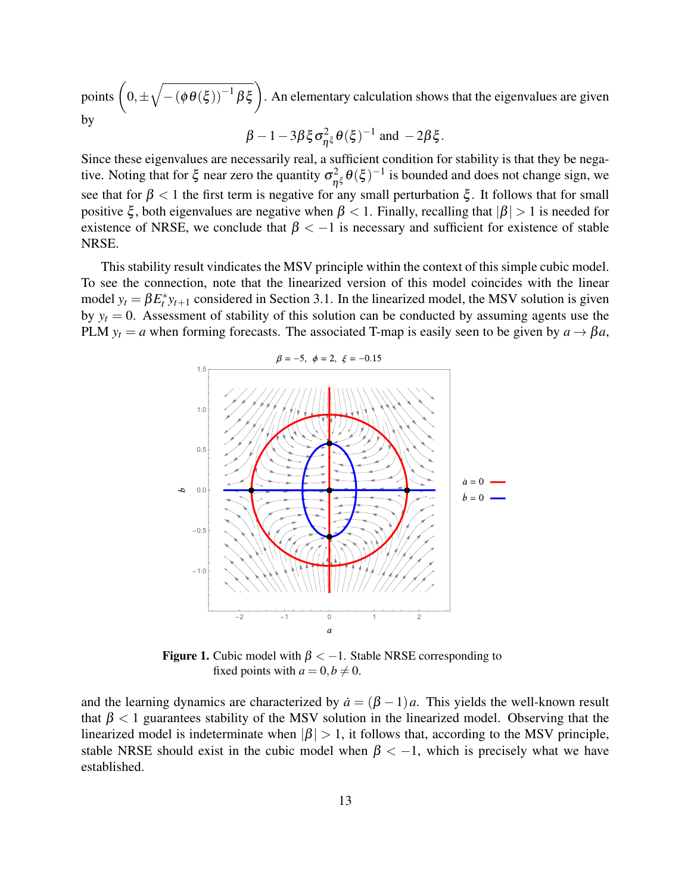points  $(0, \pm \sqrt{-(\phi \theta(\xi))^{-1} \beta \xi})$ . An elementary calculation shows that the eigenvalues are given by

$$
\beta - 1 - 3\beta \xi \sigma_{\eta\xi}^2 \theta(\xi)^{-1} \text{ and } -2\beta \xi.
$$

Since these eigenvalues are necessarily real, a sufficient condition for stability is that they be negative. Noting that for  $\xi$  near zero the quantity  $\sigma_{\eta\xi}^2 \theta(\xi)^{-1}$  is bounded and does not change sign, we see that for  $\beta$  < 1 the first term is negative for any small perturbation  $\xi$ . It follows that for small positive  $\xi$ , both eigenvalues are negative when  $\beta < 1$ . Finally, recalling that  $|\beta| > 1$  is needed for existence of NRSE, we conclude that  $\beta < -1$  is necessary and sufficient for existence of stable NRSE.

This stability result vindicates the MSV principle within the context of this simple cubic model. To see the connection, note that the linearized version of this model coincides with the linear model  $y_t = \beta E_t^* y_{t+1}$  considered in Section 3.1. In the linearized model, the MSV solution is given by  $y_t = 0$ . Assessment of stability of this solution can be conducted by assuming agents use the PLM  $y_t = a$  when forming forecasts. The associated T-map is easily seen to be given by  $a \rightarrow \beta a$ ,



**Figure 1.** Cubic model with  $\beta < -1$ . Stable NRSE corresponding to fixed points with  $a = 0, b \neq 0$ .

and the learning dynamics are characterized by  $\dot{a} = (\beta - 1)a$ . This yields the well-known result that  $\beta$  < 1 guarantees stability of the MSV solution in the linearized model. Observing that the linearized model is indeterminate when  $|\beta| > 1$ , it follows that, according to the MSV principle, stable NRSE should exist in the cubic model when  $\beta < -1$ , which is precisely what we have established.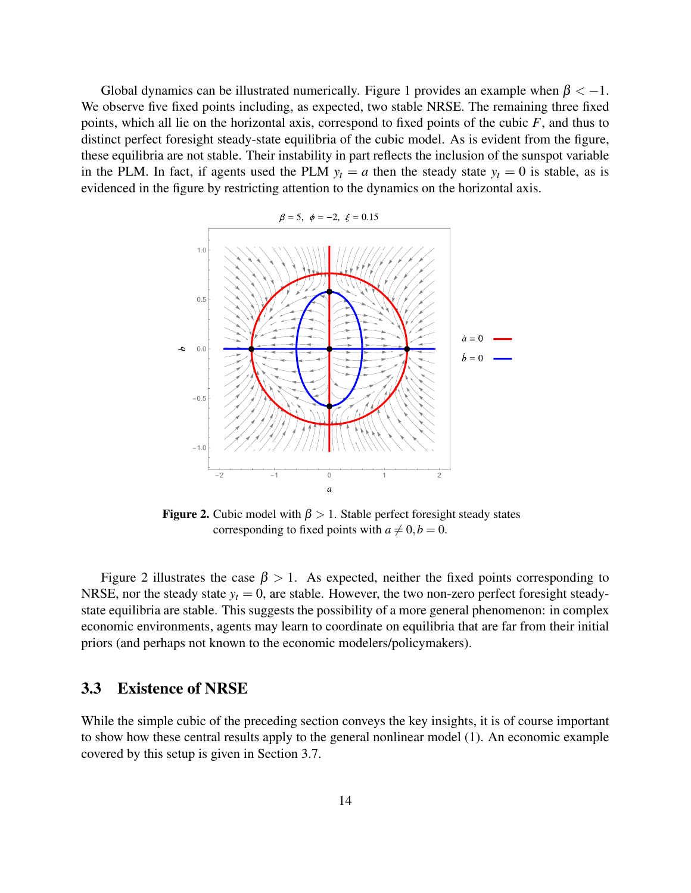Global dynamics can be illustrated numerically. Figure 1 provides an example when  $\beta < -1$ . We observe five fixed points including, as expected, two stable NRSE. The remaining three fixed points, which all lie on the horizontal axis, correspond to fixed points of the cubic *F*, and thus to distinct perfect foresight steady-state equilibria of the cubic model. As is evident from the figure, these equilibria are not stable. Their instability in part reflects the inclusion of the sunspot variable in the PLM. In fact, if agents used the PLM  $y_t = a$  then the steady state  $y_t = 0$  is stable, as is evidenced in the figure by restricting attention to the dynamics on the horizontal axis.



**Figure 2.** Cubic model with  $\beta > 1$ . Stable perfect foresight steady states corresponding to fixed points with  $a \neq 0, b = 0$ .

Figure 2 illustrates the case  $\beta > 1$ . As expected, neither the fixed points corresponding to NRSE, nor the steady state  $y_t = 0$ , are stable. However, the two non-zero perfect foresight steadystate equilibria are stable. This suggests the possibility of a more general phenomenon: in complex economic environments, agents may learn to coordinate on equilibria that are far from their initial priors (and perhaps not known to the economic modelers/policymakers).

### 3.3 Existence of NRSE

While the simple cubic of the preceding section conveys the key insights, it is of course important to show how these central results apply to the general nonlinear model (1). An economic example covered by this setup is given in Section 3.7.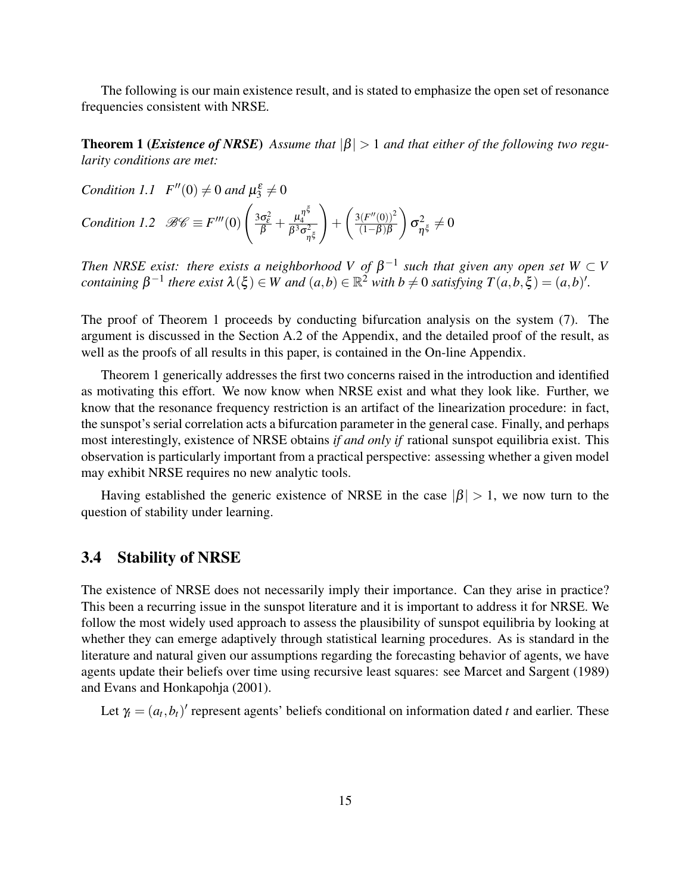The following is our main existence result, and is stated to emphasize the open set of resonance frequencies consistent with NRSE.

**Theorem 1 (***Existence of NRSE*) Assume that  $|\beta| > 1$  and that either of the following two regu*larity conditions are met:*

*Condition 1.1*  $F''(0) \neq 0$  *and*  $\mu_3^{\varepsilon} \neq 0$ 

Condition 1.2 
$$
\mathscr{BC} \equiv F'''(0) \left( \frac{3\sigma_{\varepsilon}^2}{\beta} + \frac{\mu_4^{\eta^{\xi}}}{\beta^3 \sigma_{\eta^{\xi}}^2} \right) + \left( \frac{3(F''(0))^2}{(1-\beta)\beta} \right) \sigma_{\eta^{\xi}}^2 \neq 0
$$

*Then NRSE exist: there exists a neighborhood V of*  $\beta^{-1}$  such that given any open set W  $\subset$  V *containing*  $\beta^{-1}$  *there exist*  $\lambda(\xi) \in W$  *and*  $(a,b) \in \mathbb{R}^2$  *with*  $b \neq 0$  *satisfying*  $T(a,b,\xi) = (a,b)'$ *.* 

The proof of Theorem 1 proceeds by conducting bifurcation analysis on the system (7). The argument is discussed in the Section A.2 of the Appendix, and the detailed proof of the result, as well as the proofs of all results in this paper, is contained in the On-line Appendix.

Theorem 1 generically addresses the first two concerns raised in the introduction and identified as motivating this effort. We now know when NRSE exist and what they look like. Further, we know that the resonance frequency restriction is an artifact of the linearization procedure: in fact, the sunspot's serial correlation acts a bifurcation parameter in the general case. Finally, and perhaps most interestingly, existence of NRSE obtains *if and only if* rational sunspot equilibria exist. This observation is particularly important from a practical perspective: assessing whether a given model may exhibit NRSE requires no new analytic tools.

Having established the generic existence of NRSE in the case  $|\beta| > 1$ , we now turn to the question of stability under learning.

#### 3.4 Stability of NRSE

The existence of NRSE does not necessarily imply their importance. Can they arise in practice? This been a recurring issue in the sunspot literature and it is important to address it for NRSE. We follow the most widely used approach to assess the plausibility of sunspot equilibria by looking at whether they can emerge adaptively through statistical learning procedures. As is standard in the literature and natural given our assumptions regarding the forecasting behavior of agents, we have agents update their beliefs over time using recursive least squares: see Marcet and Sargent (1989) and Evans and Honkapohja (2001).

Let  $\gamma_t = (a_t, b_t)'$  represent agents' beliefs conditional on information dated *t* and earlier. These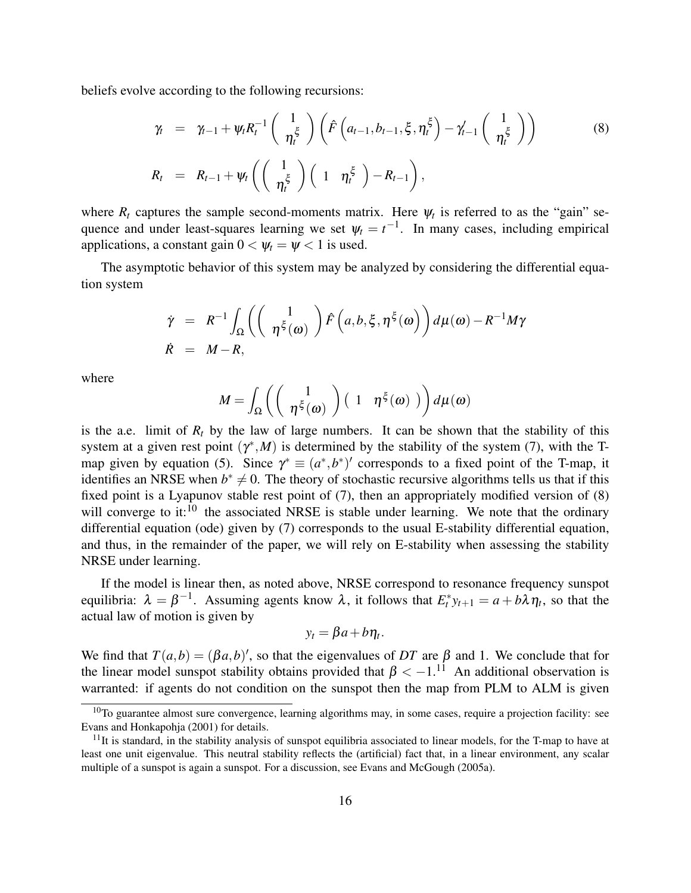beliefs evolve according to the following recursions:

$$
\gamma_t = \gamma_{t-1} + \psi_t R_t^{-1} \left( \frac{1}{\eta_t^{\xi}} \right) \left( \hat{F} \left( a_{t-1}, b_{t-1}, \xi, \eta_t^{\xi} \right) - \gamma_{t-1}' \left( \frac{1}{\eta_t^{\xi}} \right) \right)
$$
\n(8)\n
$$
R_t = R_{t-1} + \psi_t \left( \left( \frac{1}{\eta_t^{\xi}} \right) \left( 1 \eta_t^{\xi} \right) - R_{t-1} \right),
$$

where  $R_t$  captures the sample second-moments matrix. Here  $\psi_t$  is referred to as the "gain" sequence and under least-squares learning we set  $\psi_t = t^{-1}$ . In many cases, including empirical applications, a constant gain  $0 < \psi_t = \psi < 1$  is used.

The asymptotic behavior of this system may be analyzed by considering the differential equation system

$$
\dot{\gamma} = R^{-1} \int_{\Omega} \left( \begin{pmatrix} 1 \\ \eta^{\xi}(\omega) \end{pmatrix} \hat{F} \left( a, b, \xi, \eta^{\xi}(\omega) \right) d\mu(\omega) - R^{-1} M \gamma
$$
  

$$
\dot{R} = M - R,
$$

where

$$
M = \int_{\Omega} \left( \begin{pmatrix} 1 \\ \eta^{\xi}(\omega) \end{pmatrix} \begin{pmatrix} 1 & \eta^{\xi}(\omega) \end{pmatrix} d\mu(\omega) \right)
$$

is the a.e. limit of  $R_t$  by the law of large numbers. It can be shown that the stability of this system at a given rest point  $(\gamma^*, M)$  is determined by the stability of the system (7), with the Tmap given by equation (5). Since  $\gamma^* \equiv (a^*, b^*)'$  corresponds to a fixed point of the T-map, it identifies an NRSE when  $b^* \neq 0$ . The theory of stochastic recursive algorithms tells us that if this fixed point is a Lyapunov stable rest point of (7), then an appropriately modified version of (8) will converge to it:<sup>10</sup> the associated NRSE is stable under learning. We note that the ordinary differential equation (ode) given by (7) corresponds to the usual E-stability differential equation, and thus, in the remainder of the paper, we will rely on E-stability when assessing the stability NRSE under learning.

If the model is linear then, as noted above, NRSE correspond to resonance frequency sunspot equilibria:  $\lambda = \beta^{-1}$ . Assuming agents know  $\lambda$ , it follows that  $E_t^* y_{t+1} = a + b\lambda \eta_t$ , so that the actual law of motion is given by

$$
y_t = \beta a + b \eta_t.
$$

We find that  $T(a,b) = (\beta a,b)'$ , so that the eigenvalues of DT are  $\beta$  and 1. We conclude that for the linear model sunspot stability obtains provided that  $\beta < -1$ .<sup>11</sup> An additional observation is warranted: if agents do not condition on the sunspot then the map from PLM to ALM is given

 $10$ To guarantee almost sure convergence, learning algorithms may, in some cases, require a projection facility: see Evans and Honkapohja (2001) for details.

 $11$ It is standard, in the stability analysis of sunspot equilibria associated to linear models, for the T-map to have at least one unit eigenvalue. This neutral stability reflects the (artificial) fact that, in a linear environment, any scalar multiple of a sunspot is again a sunspot. For a discussion, see Evans and McGough (2005a).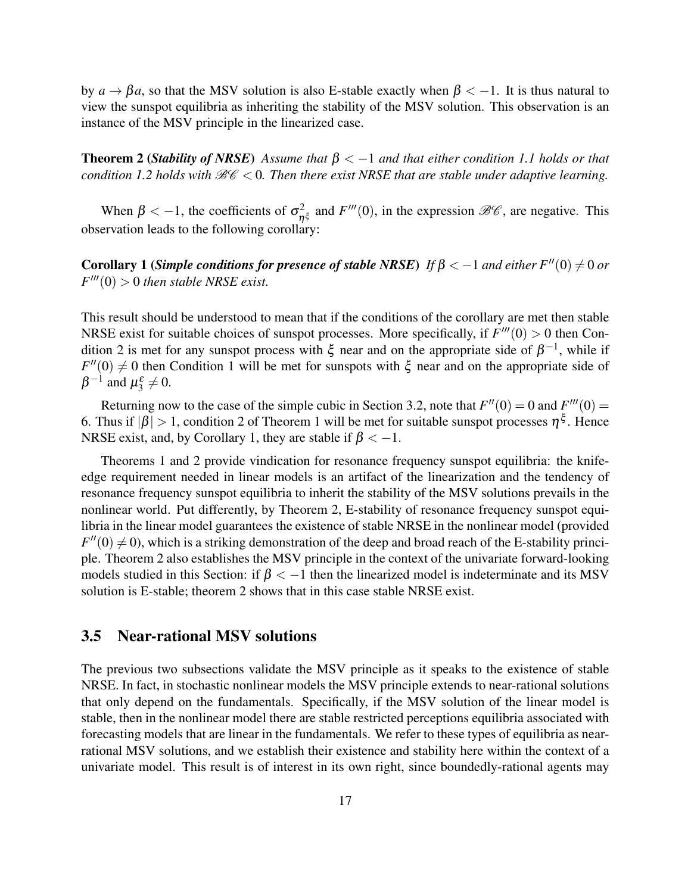by  $a \rightarrow \beta a$ , so that the MSV solution is also E-stable exactly when  $\beta < -1$ . It is thus natural to view the sunspot equilibria as inheriting the stability of the MSV solution. This observation is an instance of the MSV principle in the linearized case.

**Theorem 2 (***Stability of NRSE*) Assume that  $\beta < -1$  and that either condition 1.1 holds or that *condition 1.2 holds with*  $\mathcal{B}\mathcal{C} < 0$ . Then there exist NRSE that are stable under adaptive learning.

When  $\beta < -1$ , the coefficients of  $\sigma_n^2$  $n_{\xi}^{2}$  and  $F'''(0)$ , in the expression  $\mathcal{BC}$ , are negative. This observation leads to the following corollary:

Corollary 1 (*Simple conditions for presence of stable NRSE*) *If*  $\beta < -1$  *and either F*<sup>''</sup>(0)  $\neq 0$  *or*  $F'''(0) > 0$  *then stable NRSE exist.* 

This result should be understood to mean that if the conditions of the corollary are met then stable NRSE exist for suitable choices of sunspot processes. More specifically, if  $F'''(0) > 0$  then Condition 2 is met for any sunspot process with  $\xi$  near and on the appropriate side of  $\beta^{-1}$ , while if  $F''(0) \neq 0$  then Condition 1 will be met for sunspots with  $\xi$  near and on the appropriate side of  $\beta^{-1}$  and  $\mu_3^{\varepsilon} \neq 0$ .

Returning now to the case of the simple cubic in Section 3.2, note that  $F''(0) = 0$  and  $F'''(0) = 0$ 6. Thus if  $|\beta| > 1$ , condition 2 of Theorem 1 will be met for suitable sunspot processes  $\eta^{\xi}$ . Hence NRSE exist, and, by Corollary 1, they are stable if  $\beta < -1$ .

Theorems 1 and 2 provide vindication for resonance frequency sunspot equilibria: the knifeedge requirement needed in linear models is an artifact of the linearization and the tendency of resonance frequency sunspot equilibria to inherit the stability of the MSV solutions prevails in the nonlinear world. Put differently, by Theorem 2, E-stability of resonance frequency sunspot equilibria in the linear model guarantees the existence of stable NRSE in the nonlinear model (provided  $F''(0) \neq 0$ , which is a striking demonstration of the deep and broad reach of the E-stability principle. Theorem 2 also establishes the MSV principle in the context of the univariate forward-looking models studied in this Section: if  $\beta < -1$  then the linearized model is indeterminate and its MSV solution is E-stable; theorem 2 shows that in this case stable NRSE exist.

#### 3.5 Near-rational MSV solutions

The previous two subsections validate the MSV principle as it speaks to the existence of stable NRSE. In fact, in stochastic nonlinear models the MSV principle extends to near-rational solutions that only depend on the fundamentals. Specifically, if the MSV solution of the linear model is stable, then in the nonlinear model there are stable restricted perceptions equilibria associated with forecasting models that are linear in the fundamentals. We refer to these types of equilibria as nearrational MSV solutions, and we establish their existence and stability here within the context of a univariate model. This result is of interest in its own right, since boundedly-rational agents may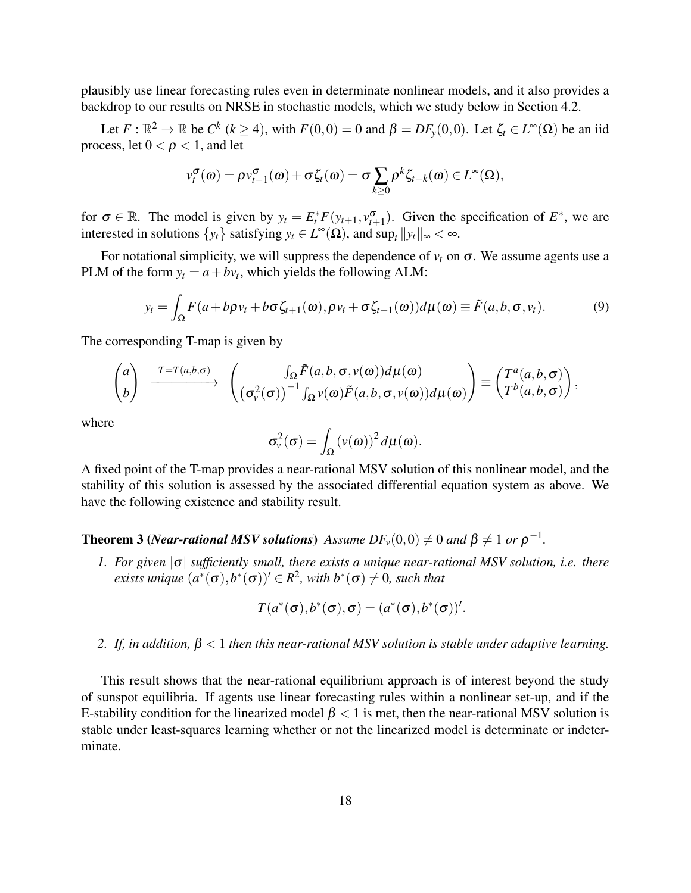plausibly use linear forecasting rules even in determinate nonlinear models, and it also provides a backdrop to our results on NRSE in stochastic models, which we study below in Section 4.2.

Let  $F: \mathbb{R}^2 \to \mathbb{R}$  be  $C^k$  ( $k \ge 4$ ), with  $F(0,0) = 0$  and  $\beta = DF_y(0,0)$ . Let  $\zeta_t \in L^{\infty}(\Omega)$  be an iid process, let  $0 < \rho < 1$ , and let

$$
v_t^{\sigma}(\omega) = \rho v_{t-1}^{\sigma}(\omega) + \sigma \zeta_t(\omega) = \sigma \sum_{k \geq 0} \rho^k \zeta_{t-k}(\omega) \in L^{\infty}(\Omega),
$$

for  $\sigma \in \mathbb{R}$ . The model is given by  $y_t = E_t^* F(y_{t+1}, v_{t+1}^{\sigma})$ . Given the specification of  $E^*$ , we are interested in solutions  $\{y_t\}$  satisfying  $y_t \in L^{\infty}(\Omega)$ , and  $\sup_t ||y_t||_{\infty} < \infty$ .

For notational simplicity, we will suppress the dependence of  $v_t$  on  $\sigma$ . We assume agents use a PLM of the form  $y_t = a + bv_t$ , which yields the following ALM:

$$
y_t = \int_{\Omega} F(a + b\rho v_t + b\sigma \zeta_{t+1}(\omega), \rho v_t + \sigma \zeta_{t+1}(\omega)) d\mu(\omega) \equiv \tilde{F}(a, b, \sigma, v_t). \tag{9}
$$

The corresponding T-map is given by

$$
\begin{pmatrix} a \\ b \end{pmatrix} \xrightarrow{T=T(a,b,\sigma)} \begin{pmatrix} \int_{\Omega} \tilde{F}(a,b,\sigma,v(\omega)) d\mu(\omega) \\ \left(\sigma_v^2(\sigma)\right)^{-1} \int_{\Omega} v(\omega) \tilde{F}(a,b,\sigma,v(\omega)) d\mu(\omega) \end{pmatrix} \equiv \begin{pmatrix} T^a(a,b,\sigma) \\ T^b(a,b,\sigma) \end{pmatrix},
$$

where

$$
\sigma_{\nu}^{2}(\sigma) = \int_{\Omega} (\nu(\omega))^{2} d\mu(\omega).
$$

A fixed point of the T-map provides a near-rational MSV solution of this nonlinear model, and the stability of this solution is assessed by the associated differential equation system as above. We have the following existence and stability result.

**Theorem 3** (*Near-rational MSV solutions*) Assume  $DF_v(0,0) \neq 0$  and  $\beta \neq 1$  or  $\rho^{-1}$ .

*1. For given* |σ| *sufficiently small, there exists a unique near-rational MSV solution, i.e. there*  $\emph{exists unique }~ (a^*(\sigma),b^*(\sigma))' \in R^2,~ with~ b^*(\sigma) \neq 0,~ such~ that$ 

$$
T(a^*(\sigma), b^*(\sigma), \sigma) = (a^*(\sigma), b^*(\sigma))'.
$$

*2. If, in addition,* β < 1 *then this near-rational MSV solution is stable under adaptive learning.*

This result shows that the near-rational equilibrium approach is of interest beyond the study of sunspot equilibria. If agents use linear forecasting rules within a nonlinear set-up, and if the E-stability condition for the linearized model  $\beta$  < 1 is met, then the near-rational MSV solution is stable under least-squares learning whether or not the linearized model is determinate or indeterminate.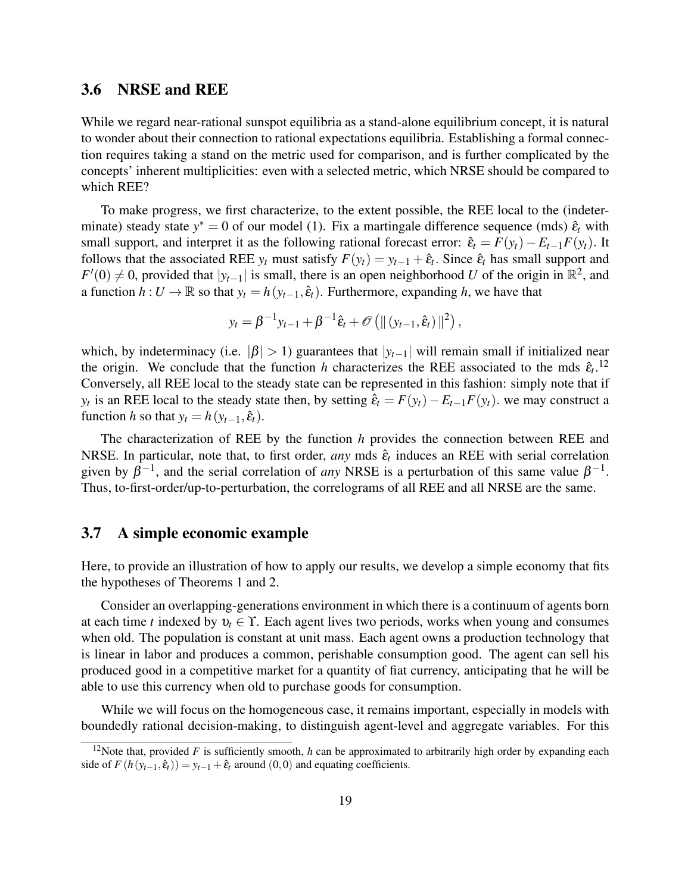### 3.6 NRSE and REE

While we regard near-rational sunspot equilibria as a stand-alone equilibrium concept, it is natural to wonder about their connection to rational expectations equilibria. Establishing a formal connection requires taking a stand on the metric used for comparison, and is further complicated by the concepts' inherent multiplicities: even with a selected metric, which NRSE should be compared to which REE?

To make progress, we first characterize, to the extent possible, the REE local to the (indeterminate) steady state  $y^* = 0$  of our model (1). Fix a martingale difference sequence (mds)  $\hat{\epsilon}_t$  with small support, and interpret it as the following rational forecast error:  $\hat{\epsilon}_t = F(y_t) - E_{t-1}F(y_t)$ . It follows that the associated REE  $y_t$  must satisfy  $F(y_t) = y_{t-1} + \hat{\epsilon}_t$ . Since  $\hat{\epsilon}_t$  has small support and  $F'(0) \neq 0$ , provided that  $|y_{t-1}|$  is small, there is an open neighborhood *U* of the origin in  $\mathbb{R}^2$ , and a function  $h: U \to \mathbb{R}$  so that  $y_t = h(y_{t-1}, \hat{\epsilon}_t)$ . Furthermore, expanding h, we have that

$$
y_t = \beta^{-1} y_{t-1} + \beta^{-1} \hat{\varepsilon}_t + \mathcal{O} \left( \| (y_{t-1}, \hat{\varepsilon}_t) \|^2 \right),
$$

which, by indeterminacy (i.e.  $|\beta| > 1$ ) guarantees that  $|y_{t-1}|$  will remain small if initialized near the origin. We conclude that the function *h* characterizes the REE associated to the mds  $\hat{\epsilon}_t$ .<sup>12</sup> Conversely, all REE local to the steady state can be represented in this fashion: simply note that if *y*<sup>*t*</sup> is an REE local to the steady state then, by setting  $\hat{\varepsilon}_t = F(y_t) - E_{t-1}F(y_t)$ . we may construct a function *h* so that  $y_t = h(y_{t-1}, \hat{\epsilon}_t)$ .

The characterization of REE by the function *h* provides the connection between REE and NRSE. In particular, note that, to first order, *any* mds  $\hat{\epsilon}_t$  induces an REE with serial correlation given by  $\beta^{-1}$ , and the serial correlation of *any* NRSE is a perturbation of this same value  $\beta^{-1}$ . Thus, to-first-order/up-to-perturbation, the correlograms of all REE and all NRSE are the same.

#### 3.7 A simple economic example

Here, to provide an illustration of how to apply our results, we develop a simple economy that fits the hypotheses of Theorems 1 and 2.

Consider an overlapping-generations environment in which there is a continuum of agents born at each time *t* indexed by  $v_t \in \Upsilon$ . Each agent lives two periods, works when young and consumes when old. The population is constant at unit mass. Each agent owns a production technology that is linear in labor and produces a common, perishable consumption good. The agent can sell his produced good in a competitive market for a quantity of fiat currency, anticipating that he will be able to use this currency when old to purchase goods for consumption.

While we will focus on the homogeneous case, it remains important, especially in models with boundedly rational decision-making, to distinguish agent-level and aggregate variables. For this

<sup>&</sup>lt;sup>12</sup>Note that, provided  $F$  is sufficiently smooth,  $h$  can be approximated to arbitrarily high order by expanding each side of  $F(h(y_{t-1}, \hat{\epsilon}_t)) = y_{t-1} + \hat{\epsilon}_t$  around (0,0) and equating coefficients.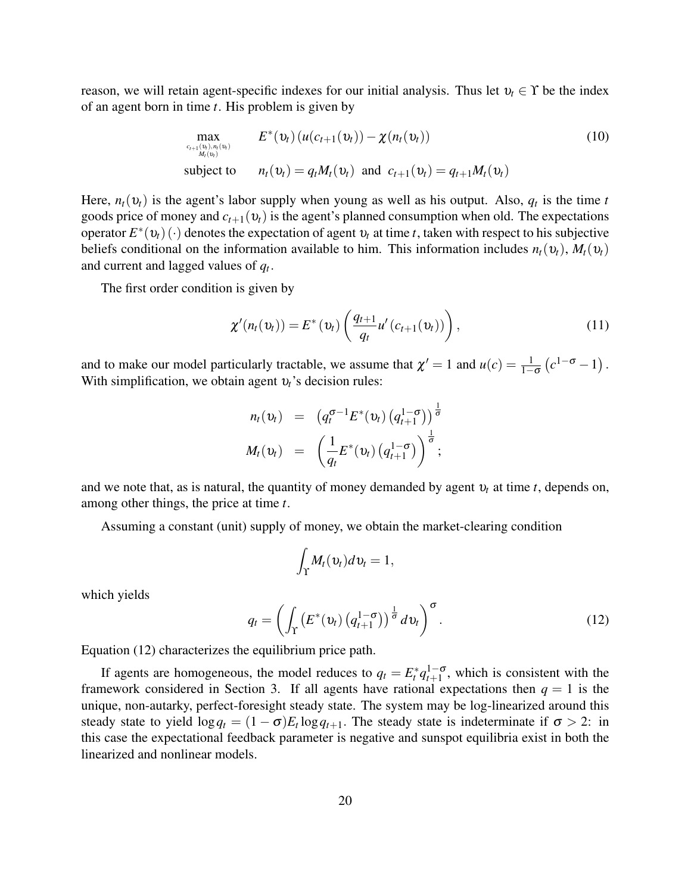reason, we will retain agent-specific indexes for our initial analysis. Thus let  $v_t \in \Upsilon$  be the index of an agent born in time *t*. His problem is given by

$$
\max_{\substack{c_{t+1}(\mathbf{v}_t), n_t(\mathbf{v}_t) \\ M_t(\mathbf{v}_t)}} E^*(\mathbf{v}_t) (u(c_{t+1}(\mathbf{v}_t)) - \chi(n_t(\mathbf{v}_t))
$$
\n
$$
\text{subject to} \qquad n_t(\mathbf{v}_t) = q_t M_t(\mathbf{v}_t) \text{ and } c_{t+1}(\mathbf{v}_t) = q_{t+1} M_t(\mathbf{v}_t)
$$
\n
$$
(10)
$$

Here,  $n_t(v_t)$  is the agent's labor supply when young as well as his output. Also,  $q_t$  is the time *t* goods price of money and  $c_{t+1}(v_t)$  is the agent's planned consumption when old. The expectations operator  $E^*(v_t)(\cdot)$  denotes the expectation of agent  $v_t$  at time *t*, taken with respect to his subjective beliefs conditional on the information available to him. This information includes  $n_t(v_t)$ ,  $M_t(v_t)$ and current and lagged values of *q<sup>t</sup>* .

The first order condition is given by

$$
\chi'(n_t(v_t)) = E^*(v_t) \left( \frac{q_{t+1}}{q_t} u'(c_{t+1}(v_t)) \right), \qquad (11)
$$

and to make our model particularly tractable, we assume that  $\chi' = 1$  and  $u(c) = \frac{1}{1-\sigma} (c^{1-\sigma} - 1)$ . With simplification, we obtain agent υ*t*'s decision rules:

$$
n_t(\mathbf{v}_t) = (q_t^{\sigma-1} E^*(\mathbf{v}_t) (q_{t+1}^{1-\sigma}))^{\frac{1}{\sigma}}
$$
  

$$
M_t(\mathbf{v}_t) = (\frac{1}{q_t} E^*(\mathbf{v}_t) (q_{t+1}^{1-\sigma}))^{\frac{1}{\sigma}};
$$

and we note that, as is natural, the quantity of money demanded by agent  $v_t$  at time *t*, depends on, among other things, the price at time *t*.

Assuming a constant (unit) supply of money, we obtain the market-clearing condition

$$
\int_{\Upsilon} M_t(v_t) dv_t = 1,
$$

which yields

$$
q_t = \left(\int_{\Upsilon} \left(E^*(v_t)\left(q_{t+1}^{1-\sigma}\right)\right)^{\frac{1}{\sigma}} dv_t\right)^{\sigma}.
$$
\n(12)

Equation (12) characterizes the equilibrium price path.

If agents are homogeneous, the model reduces to  $q_t = E_t^* q_{t+1}^{1-\sigma}$ , which is consistent with the framework considered in Section 3. If all agents have rational expectations then  $q = 1$  is the unique, non-autarky, perfect-foresight steady state. The system may be log-linearized around this steady state to yield  $\log q_t = (1 - \sigma)E_t \log q_{t+1}$ . The steady state is indeterminate if  $\sigma > 2$ : in this case the expectational feedback parameter is negative and sunspot equilibria exist in both the linearized and nonlinear models.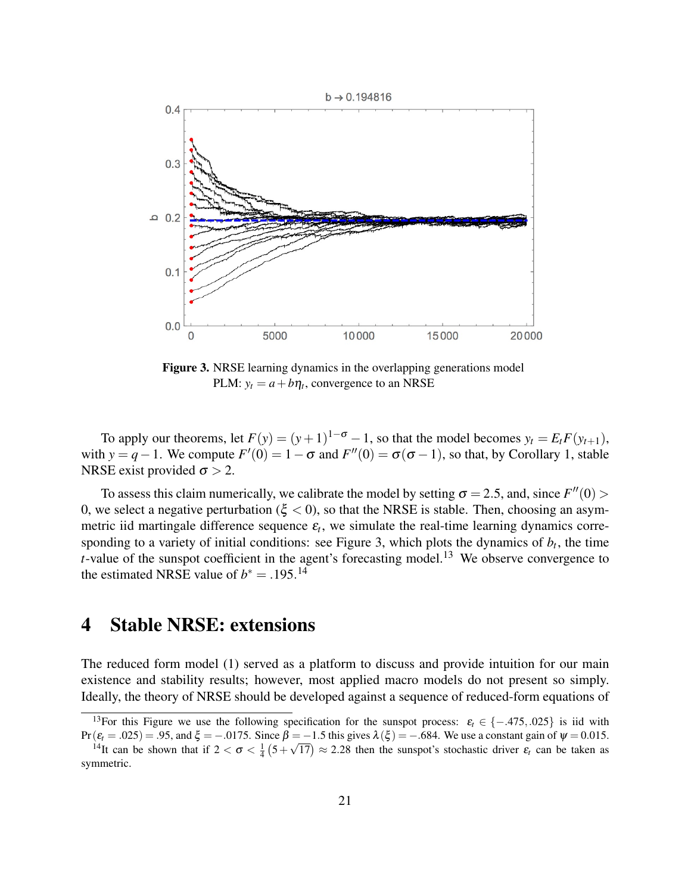

Figure 3. NRSE learning dynamics in the overlapping generations model PLM:  $y_t = a + b\eta_t$ , convergence to an NRSE

To apply our theorems, let  $F(y) = (y+1)^{1-\sigma} - 1$ , so that the model becomes  $y_t = E_t F(y_{t+1})$ , with *y* = *q* − 1. We compute  $F'(0) = 1 - \sigma$  and  $F''(0) = \sigma(\sigma - 1)$ , so that, by Corollary 1, stable NRSE exist provided  $\sigma > 2$ .

To assess this claim numerically, we calibrate the model by setting  $\sigma = 2.5$ , and, since  $F''(0)$ 0, we select a negative perturbation ( $\xi$  < 0), so that the NRSE is stable. Then, choosing an asymmetric iid martingale difference sequence  $\varepsilon$ <sub>t</sub>, we simulate the real-time learning dynamics corresponding to a variety of initial conditions: see Figure 3, which plots the dynamics of  $b_t$ , the time *t*-value of the sunspot coefficient in the agent's forecasting model.<sup>13</sup> We observe convergence to the estimated NRSE value of  $b^* = .195.^{14}$ 

## 4 Stable NRSE: extensions

The reduced form model (1) served as a platform to discuss and provide intuition for our main existence and stability results; however, most applied macro models do not present so simply. Ideally, the theory of NRSE should be developed against a sequence of reduced-form equations of

<sup>&</sup>lt;sup>13</sup>For this Figure we use the following specification for the sunspot process:  $\varepsilon_t \in \{-.475, .025\}$  is iid with Pr( $\varepsilon$ <sub>*t*</sub> = .025) = .95, and ξ = −.0175. Since β = −1.5 this gives  $\lambda$ (ξ) = −.684. We use a constant gain of  $\psi$  = 0.015.

<sup>&</sup>lt;sup>14</sup>It can be shown that if  $2 < \sigma < \frac{1}{4}(5 + \sqrt{17}) \approx 2.28$  then the sunspot's stochastic driver  $\varepsilon_t$  can be taken as symmetric.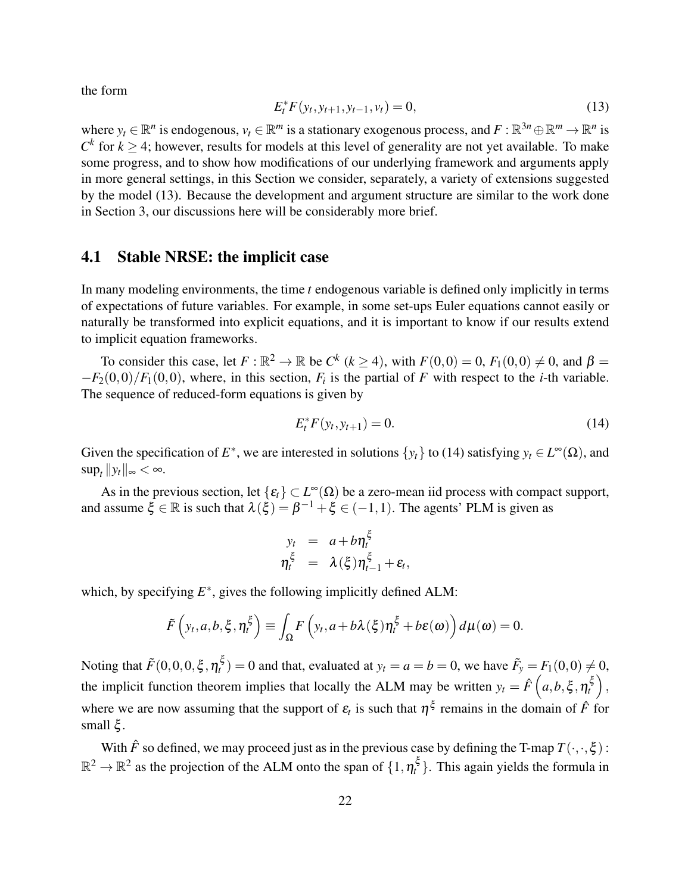the form

$$
E_t^* F(y_t, y_{t+1}, y_{t-1}, v_t) = 0,
$$
\n(13)

where  $y_t \in \mathbb{R}^n$  is endogenous,  $v_t \in \mathbb{R}^m$  is a stationary exogenous process, and  $F : \mathbb{R}^{3n} \oplus \mathbb{R}^m \to \mathbb{R}^n$  is  $C<sup>k</sup>$  for  $k \geq 4$ ; however, results for models at this level of generality are not yet available. To make some progress, and to show how modifications of our underlying framework and arguments apply in more general settings, in this Section we consider, separately, a variety of extensions suggested by the model (13). Because the development and argument structure are similar to the work done in Section 3, our discussions here will be considerably more brief.

### 4.1 Stable NRSE: the implicit case

In many modeling environments, the time *t* endogenous variable is defined only implicitly in terms of expectations of future variables. For example, in some set-ups Euler equations cannot easily or naturally be transformed into explicit equations, and it is important to know if our results extend to implicit equation frameworks.

To consider this case, let  $F : \mathbb{R}^2 \to \mathbb{R}$  be  $C^k$  ( $k \ge 4$ ), with  $F(0,0) = 0$ ,  $F_1(0,0) \ne 0$ , and  $\beta =$  $-F_2(0,0)/F_1(0,0)$ , where, in this section,  $F_i$  is the partial of F with respect to the *i*-th variable. The sequence of reduced-form equations is given by

$$
E_t^* F(y_t, y_{t+1}) = 0.
$$
 (14)

Given the specification of  $E^*$ , we are interested in solutions  $\{y_t\}$  to (14) satisfying  $y_t \in L^{\infty}(\Omega)$ , and  $\sup_t \|y_t\|_{\infty} < \infty.$ 

As in the previous section, let  $\{\varepsilon_t\} \subset L^\infty(\Omega)$  be a zero-mean iid process with compact support, and assume  $\xi \in \mathbb{R}$  is such that  $\lambda(\xi) = \beta^{-1} + \xi \in (-1,1)$ . The agents' PLM is given as

$$
y_t = a + b\eta_t^{\xi}
$$
  

$$
\eta_t^{\xi} = \lambda(\xi)\eta_{t-1}^{\xi} + \varepsilon_t
$$

,

which, by specifying  $E^*$ , gives the following implicitly defined ALM:

$$
\tilde{F}\left(y_t,a,b,\xi,\eta_t^{\xi}\right) \equiv \int_{\Omega} F\left(y_t,a+b\lambda(\xi)\eta_t^{\xi}+b\varepsilon(\omega)\right) d\mu(\omega) = 0.
$$

Noting that  $\tilde{F}(0,0,0,\xi,\eta_t^{\xi}) = 0$  and that, evaluated at  $y_t = a = b = 0$ , we have  $\tilde{F}_y = F_1(0,0) \neq 0$ , the implicit function theorem implies that locally the ALM may be written  $y_t = \hat{F}(a, b, \xi, \eta_t^{\xi})$ , where we are now assuming that the support of  $\varepsilon$ <sub>*t*</sub> is such that  $\eta^{\xi}$  remains in the domain of  $\hat{F}$  for small  $\xi$ .

With  $\hat{F}$  so defined, we may proceed just as in the previous case by defining the T-map  $T(\cdot, \cdot, \xi)$ :  $\mathbb{R}^2 \to \mathbb{R}^2$  as the projection of the ALM onto the span of  $\{1,\eta_t^{\xi}\}$ . This again yields the formula in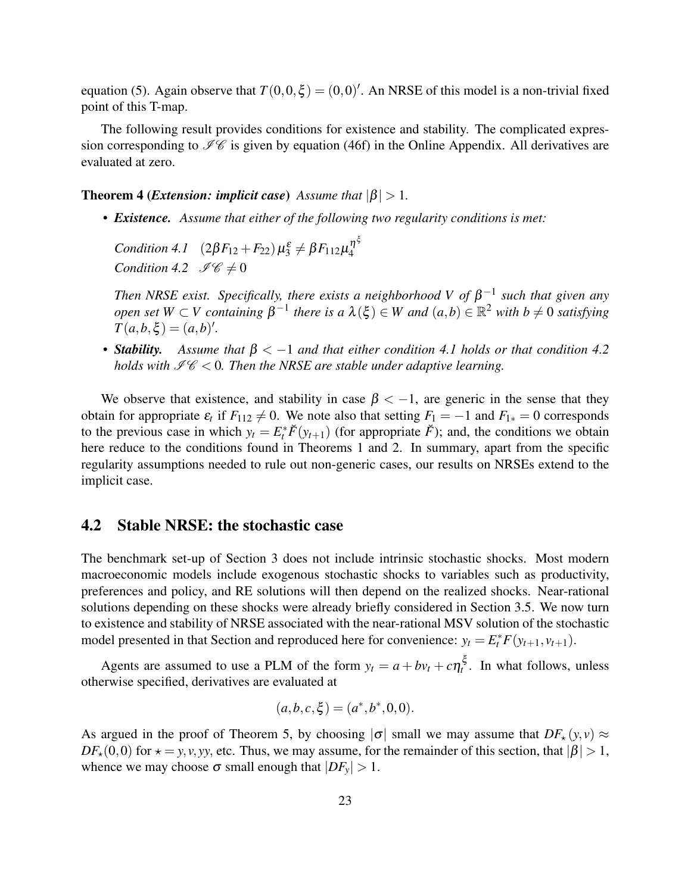equation (5). Again observe that  $T(0,0,\xi) = (0,0)'$ . An NRSE of this model is a non-trivial fixed point of this T-map.

The following result provides conditions for existence and stability. The complicated expression corresponding to  $\mathscr{I}\mathscr{C}$  is given by equation (46f) in the Online Appendix. All derivatives are evaluated at zero.

**Theorem 4 (***Extension: implicit case*) *Assume that*  $|\beta| > 1$ *.* 

*• Existence. Assume that either of the following two regularity conditions is met:*

*Condition 4.1*  $(2\beta F_{12} + F_{22}) \mu_3^{\varepsilon} \neq \beta F_{112} \mu_4^{\eta^{\xi}}$ 4 *Condition 4.2*  $\mathscr{I}\mathscr{C}\neq 0$ 

*Then NRSE exist. Specifically, there exists a neighborhood V of*  $\beta^{-1}$  such that given any *open set*  $W \subset V$  *containing*  $\beta^{-1}$  *there is a*  $\lambda(\xi) \in W$  *and*  $(a,b) \in \mathbb{R}^2$  *with*  $b \neq 0$  *satisfying*  $T(a,b,\xi) = (a,b)'.$ 

*• Stability. Assume that* β < −1 *and that either condition 4.1 holds or that condition 4.2 holds with*  $\mathcal{I}\mathcal{C}$  < 0. Then the NRSE are stable under adaptive learning.

We observe that existence, and stability in case  $\beta < -1$ , are generic in the sense that they obtain for appropriate  $\varepsilon_t$  if  $F_{112} \neq 0$ . We note also that setting  $F_1 = -1$  and  $F_{1*} = 0$  corresponds to the previous case in which  $y_t = E_t^* \breve{F}(y_{t+1})$  (for appropriate  $\breve{F}$ ); and, the conditions we obtain here reduce to the conditions found in Theorems 1 and 2. In summary, apart from the specific regularity assumptions needed to rule out non-generic cases, our results on NRSEs extend to the implicit case.

### 4.2 Stable NRSE: the stochastic case

The benchmark set-up of Section 3 does not include intrinsic stochastic shocks. Most modern macroeconomic models include exogenous stochastic shocks to variables such as productivity, preferences and policy, and RE solutions will then depend on the realized shocks. Near-rational solutions depending on these shocks were already briefly considered in Section 3.5. We now turn to existence and stability of NRSE associated with the near-rational MSV solution of the stochastic model presented in that Section and reproduced here for convenience:  $y_t = E_t^* F(y_{t+1}, v_{t+1})$ .

Agents are assumed to use a PLM of the form  $y_t = a + bv_t + c\eta_t^{\xi}$ . In what follows, unless otherwise specified, derivatives are evaluated at

$$
(a,b,c,\xi) = (a^*,b^*,0,0).
$$

As argued in the proof of Theorem 5, by choosing  $|\sigma|$  small we may assume that  $DF_{\star}(y, v) \approx$  $DF_{\star}(0,0)$  for  $\star = y, v, yy$ , etc. Thus, we may assume, for the remainder of this section, that  $|\beta| > 1$ , whence we may choose  $\sigma$  small enough that  $|DF_v| > 1$ .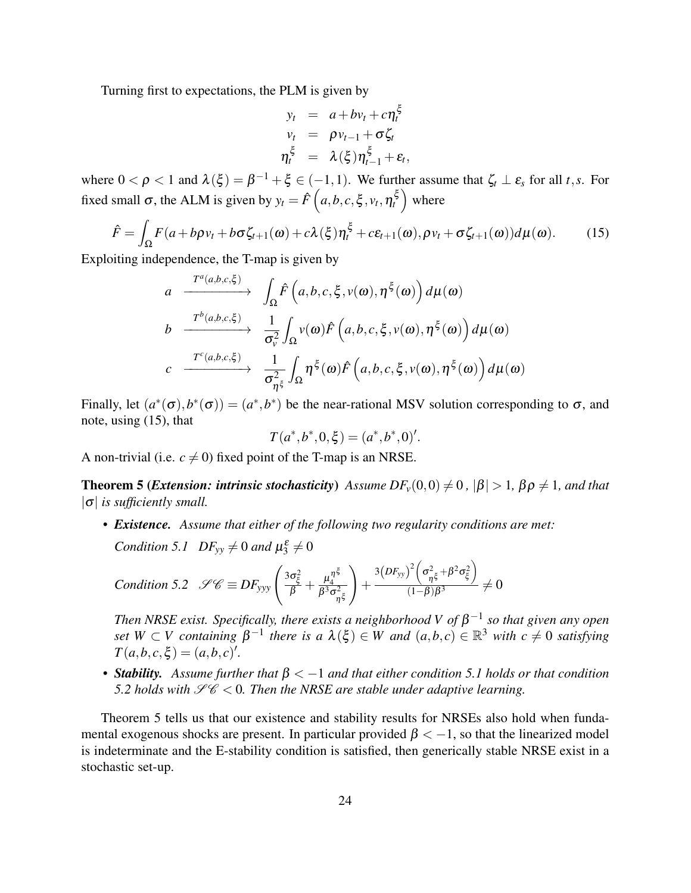Turning first to expectations, the PLM is given by

$$
y_t = a + bv_t + c\eta_t^{\xi}
$$
  
\n
$$
v_t = \rho v_{t-1} + \sigma \zeta_t
$$
  
\n
$$
\eta_t^{\xi} = \lambda(\xi)\eta_{t-1}^{\xi} + \varepsilon_t,
$$

where  $0 < \rho < 1$  and  $\lambda(\xi) = \beta^{-1} + \xi \in (-1,1)$ . We further assume that  $\zeta_t \perp \varepsilon_s$  for all *t*,*s*. For fixed small σ, the ALM is given by  $y_t = \hat{F}\left(a, b, c, \xi, v_t, \eta_t^{\xi}\right)$  where

$$
\hat{F} = \int_{\Omega} F(a + b\rho v_t + b\sigma \zeta_{t+1}(\omega) + c\lambda(\xi)\eta_t^{\xi} + c\epsilon_{t+1}(\omega), \rho v_t + \sigma \zeta_{t+1}(\omega))d\mu(\omega).
$$
 (15)

Exploiting independence, the T-map is given by

$$
a \xrightarrow{T^a(a,b,c,\xi)} \int_{\Omega} \hat{F}\left(a,b,c,\xi,v(\omega),\eta^{\xi}(\omega)\right) d\mu(\omega)
$$
  
\n
$$
b \xrightarrow{T^b(a,b,c,\xi)} \frac{1}{\sigma_v^2} \int_{\Omega} v(\omega) \hat{F}\left(a,b,c,\xi,v(\omega),\eta^{\xi}(\omega)\right) d\mu(\omega)
$$
  
\n
$$
c \xrightarrow{T^c(a,b,c,\xi)} \frac{1}{\sigma_{\eta^{\xi}}^2} \int_{\Omega} \eta^{\xi}(\omega) \hat{F}\left(a,b,c,\xi,v(\omega),\eta^{\xi}(\omega)\right) d\mu(\omega)
$$

Finally, let  $(a^*(\sigma), b^*(\sigma)) = (a^*, b^*)$  be the near-rational MSV solution corresponding to  $\sigma$ , and note, using (15), that

$$
T(a^*,b^*,0,\xi)=(a^*,b^*,0)'
$$

A non-trivial (i.e.  $c \neq 0$ ) fixed point of the T-map is an NRSE.

**Theorem 5 (***Extension: intrinsic stochasticity***)** *Assume DF*<sub>*v*</sub>(0,0)  $\neq$  0,  $|\beta|$  > 1,  $\beta \rho \neq 1$ *, and that*  $|\sigma|$  *is sufficiently small.* 

*• Existence. Assume that either of the following two regularity conditions are met: Condition 5.1*  $DF_{yy} \neq 0$  *and*  $\mu_3^{\varepsilon} \neq 0$ 

Condition 5.2 
$$
\mathscr{S}\mathscr{C} \equiv DF_{\text{yyy}} \left( \frac{3\sigma_{\xi}^2}{\beta} + \frac{\mu_{4}^{\eta^{\xi}}}{\beta^3 \sigma_{\eta^{\xi}}^2} \right) + \frac{3(DF_{\text{yy}})^2 \left( \sigma_{\eta^{\xi}}^2 + \beta^2 \sigma_{\xi}^2 \right)}{(1-\beta)\beta^3} \neq 0
$$

Then NRSE exist. Specifically, there exists a neighborhood V of  $\beta^{-1}$  so that given any open *set*  $W \subset V$  containing  $\beta^{-1}$  there is a  $\lambda(\xi) \in W$  and  $(a,b,c) \in \mathbb{R}^3$  with  $c \neq 0$  satisfying  $T(a,b,c,\xi) = (a,b,c)'.$ 

*• Stability. Assume further that* β < −1 *and that either condition 5.1 holds or that condition 5.2 holds with*  $\mathcal{L}\mathcal{C} < 0$ . Then the NRSE are stable under adaptive learning.

Theorem 5 tells us that our existence and stability results for NRSEs also hold when fundamental exogenous shocks are present. In particular provided  $\beta < -1$ , so that the linearized model is indeterminate and the E-stability condition is satisfied, then generically stable NRSE exist in a stochastic set-up.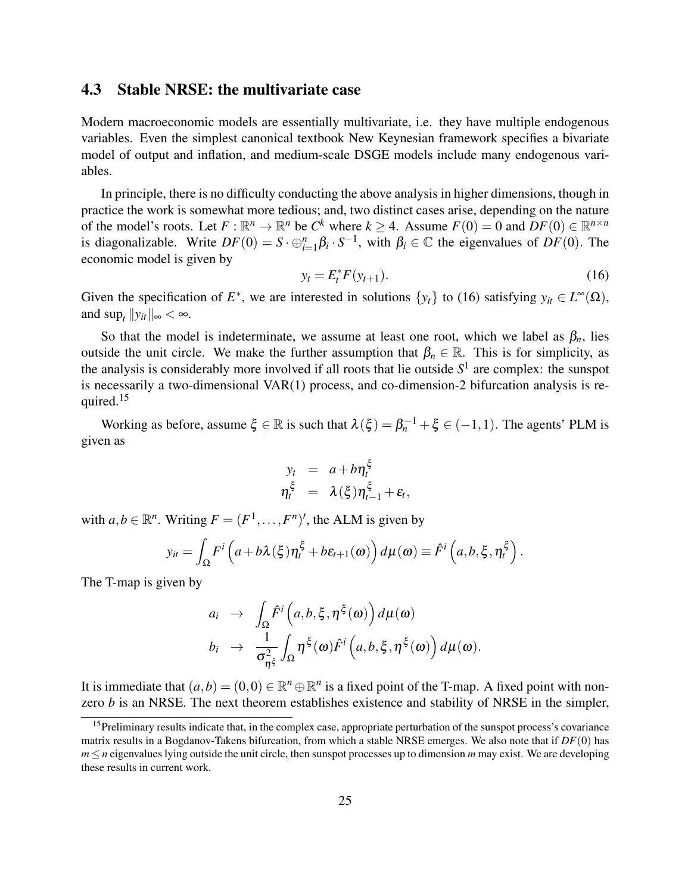### 4.3 Stable NRSE: the multivariate case

Modern macroeconomic models are essentially multivariate, i.e. they have multiple endogenous variables. Even the simplest canonical textbook New Keynesian framework specifies a bivariate model of output and inflation, and medium-scale DSGE models include many endogenous variables.

In principle, there is no difficulty conducting the above analysis in higher dimensions, though in practice the work is somewhat more tedious; and, two distinct cases arise, depending on the nature of the model's roots. Let  $F : \mathbb{R}^n \to \mathbb{R}^n$  be  $C^k$  where  $k \geq 4$ . Assume  $F(0) = 0$  and  $DF(0) \in \mathbb{R}^{n \times n}$ is diagonalizable. Write  $DF(0) = S \cdot \bigoplus_{i=1}^{n} \beta_i \cdot S^{-1}$ , with  $\beta_i \in \mathbb{C}$  the eigenvalues of  $DF(0)$ . The economic model is given by

$$
y_t = E_t^* F(y_{t+1}).
$$
\n(16)

Given the specification of  $E^*$ , we are interested in solutions  $\{y_t\}$  to (16) satisfying  $y_{it} \in L^{\infty}(\Omega)$ , and  $\sup_t ||y_{it}||_{\infty} < \infty$ .

So that the model is indeterminate, we assume at least one root, which we label as  $\beta_n$ , lies outside the unit circle. We make the further assumption that  $\beta_n \in \mathbb{R}$ . This is for simplicity, as the analysis is considerably more involved if all roots that lie outside *S* 1 are complex: the sunspot is necessarily a two-dimensional VAR(1) process, and co-dimension-2 bifurcation analysis is required.<sup>15</sup>

Working as before, assume  $\xi \in \mathbb{R}$  is such that  $\lambda(\xi) = \beta_n^{-1} + \xi \in (-1,1)$ . The agents' PLM is given as

$$
y_t = a + b \eta_t^{\xi}
$$
  

$$
\eta_t^{\xi} = \lambda(\xi) \eta_{t-1}^{\xi} + \varepsilon_t,
$$

with  $a, b \in \mathbb{R}^n$ . Writing  $F = (F^1, \dots, F^n)'$ , the ALM is given by

$$
y_{it} = \int_{\Omega} F^i \left( a + b \lambda (\xi) \eta_t^{\xi} + b \varepsilon_{t+1}(\omega) \right) d\mu(\omega) \equiv \hat{F}^i \left( a, b, \xi, \eta_t^{\xi} \right).
$$

The T-map is given by

$$
a_i \rightarrow \int_{\Omega} \hat{F}^i(a,b,\xi,\eta^{\xi}(\omega)) d\mu(\omega)
$$
  
\n
$$
b_i \rightarrow \frac{1}{\sigma_{\eta^{\xi}}^2} \int_{\Omega} \eta^{\xi}(\omega) \hat{F}^i(a,b,\xi,\eta^{\xi}(\omega)) d\mu(\omega).
$$

It is immediate that  $(a,b) = (0,0) \in \mathbb{R}^n \oplus \mathbb{R}^n$  is a fixed point of the T-map. A fixed point with nonzero *b* is an NRSE. The next theorem establishes existence and stability of NRSE in the simpler,

<sup>&</sup>lt;sup>15</sup>Preliminary results indicate that, in the complex case, appropriate perturbation of the sunspot process's covariance matrix results in a Bogdanov-Takens bifurcation, from which a stable NRSE emerges. We also note that if *DF*(0) has  $m \le n$  eigenvalues lying outside the unit circle, then sunspot processes up to dimension *m* may exist. We are developing these results in current work.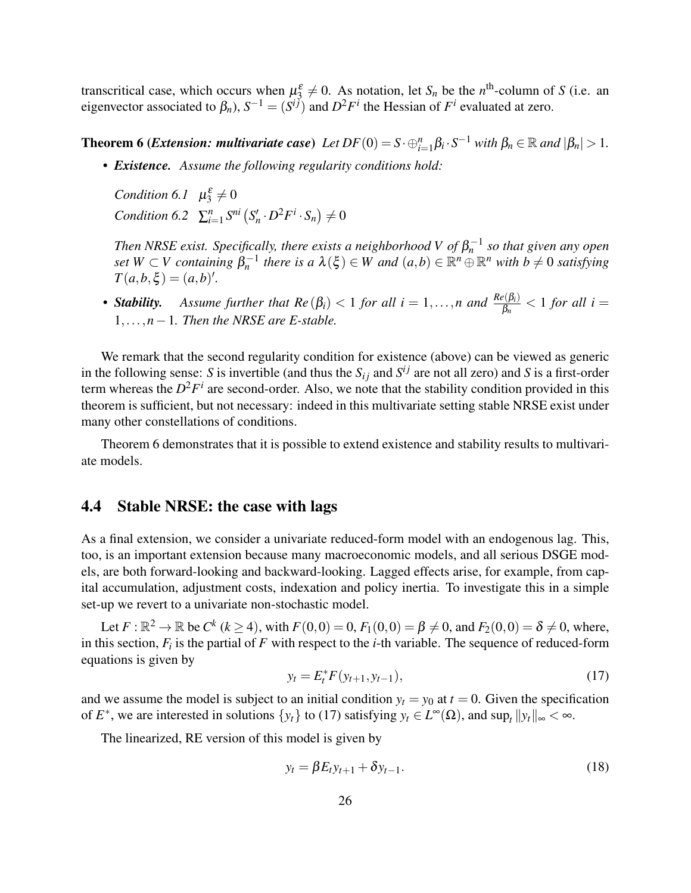transcritical case, which occurs when  $\mu_3^{\varepsilon} \neq 0$ . As notation, let  $S_n$  be the *n*<sup>th</sup>-column of *S* (i.e. an eigenvector associated to  $\beta_n$ ),  $S^{-1} = (S^{i\bar{j}})$  and  $D^2F^i$  the Hessian of  $F^i$  evaluated at zero.

**Theorem 6 (***Extension: multivariate case***)**  $Let DF(0) = S \cdot \bigoplus_{i=1}^{n} \beta_i \cdot S^{-1}$  with  $\beta_n \in \mathbb{R}$  and  $|\beta_n| > 1$ .

*• Existence. Assume the following regularity conditions hold:*

*Condition* 6.1  $\mu_3^{\varepsilon} \neq 0$ *Condition* 6.2  $\sum_{i=1}^{n} S^{ni} (S'_n \cdot D^2 F^i \cdot S_n) \neq 0$ 

*Then NRSE exist. Specifically, there exists a neighborhood V of*  $\beta_n^{-1}$  *so that given any open*  $\mathcal{L}$  *set*  $W \subset V$  containing  $\beta_n^{-1}$  there is a  $\lambda(\xi) \in W$  and  $(a,b) \in \mathbb{R}^n \oplus \mathbb{R}^n$  with  $b \neq 0$  satisfying  $T(a,b,\xi) = (a,b)'.$ 

**•** *Stability.* Assume further that  $Re(\beta_i) < 1$  for all  $i = 1,...,n$  and  $\frac{Re(\beta_i)}{\beta_n} < 1$  for all  $i =$ 1,...,*n*−1*. Then the NRSE are E-stable.*

We remark that the second regularity condition for existence (above) can be viewed as generic in the following sense: *S* is invertible (and thus the  $S_{ij}$  and  $S^{ij}$  are not all zero) and *S* is a first-order term whereas the  $D^2F^i$  are second-order. Also, we note that the stability condition provided in this theorem is sufficient, but not necessary: indeed in this multivariate setting stable NRSE exist under many other constellations of conditions.

Theorem 6 demonstrates that it is possible to extend existence and stability results to multivariate models.

#### 4.4 Stable NRSE: the case with lags

As a final extension, we consider a univariate reduced-form model with an endogenous lag. This, too, is an important extension because many macroeconomic models, and all serious DSGE models, are both forward-looking and backward-looking. Lagged effects arise, for example, from capital accumulation, adjustment costs, indexation and policy inertia. To investigate this in a simple set-up we revert to a univariate non-stochastic model.

Let  $F : \mathbb{R}^2 \to \mathbb{R}$  be  $C^k$  ( $k \ge 4$ ), with  $F(0,0) = 0$ ,  $F_1(0,0) = \beta \ne 0$ , and  $F_2(0,0) = \delta \ne 0$ , where, in this section,  $F_i$  is the partial of  $F$  with respect to the *i*-th variable. The sequence of reduced-form equations is given by

$$
y_t = E_t^* F(y_{t+1}, y_{t-1}), \tag{17}
$$

and we assume the model is subject to an initial condition  $y_t = y_0$  at  $t = 0$ . Given the specification of  $E^*$ , we are interested in solutions  $\{y_t\}$  to (17) satisfying  $y_t \in L^\infty(\Omega)$ , and  $\sup_t ||y_t||_\infty < \infty$ .

The linearized, RE version of this model is given by

$$
y_t = \beta E_t y_{t+1} + \delta y_{t-1}.
$$
 (18)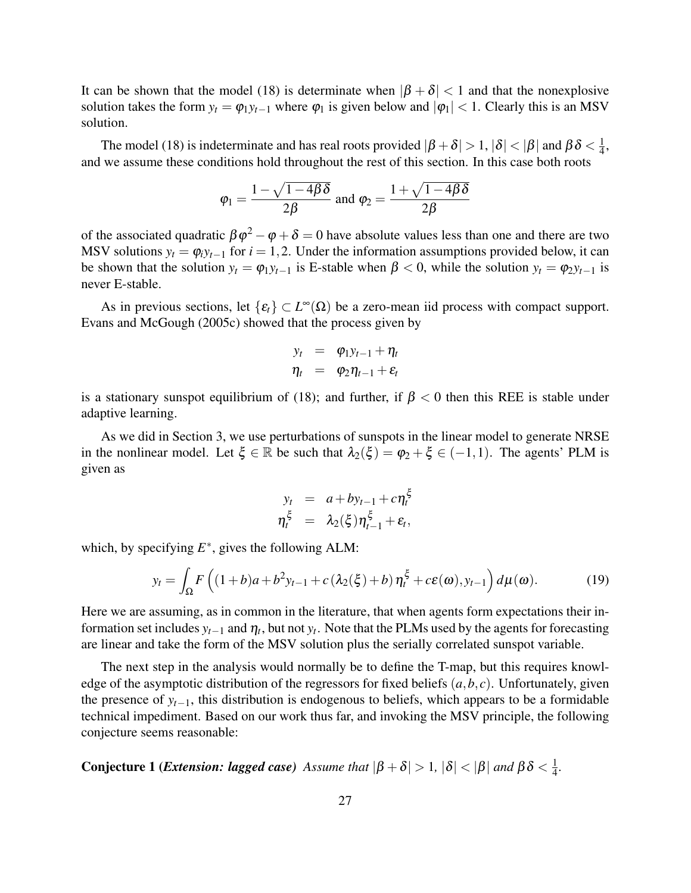It can be shown that the model (18) is determinate when  $|\beta + \delta| < 1$  and that the nonexplosive solution takes the form  $y_t = \varphi_1 y_{t-1}$  where  $\varphi_1$  is given below and  $|\varphi_1| < 1$ . Clearly this is an MSV solution.

The model (18) is indeterminate and has real roots provided  $|\beta+\delta|>1, |\delta|<|\beta|$  and  $\beta\delta<\frac{1}{4}$  $\frac{1}{4}$ , and we assume these conditions hold throughout the rest of this section. In this case both roots

$$
\varphi_1 = \frac{1 - \sqrt{1 - 4\beta \delta}}{2\beta}
$$
 and 
$$
\varphi_2 = \frac{1 + \sqrt{1 - 4\beta \delta}}{2\beta}
$$

of the associated quadratic  $\beta \varphi^2 - \varphi + \delta = 0$  have absolute values less than one and there are two MSV solutions  $y_t = \varphi_i y_{t-1}$  for  $i = 1, 2$ . Under the information assumptions provided below, it can be shown that the solution  $y_t = \varphi_1 y_{t-1}$  is E-stable when  $\beta < 0$ , while the solution  $y_t = \varphi_2 y_{t-1}$  is never E-stable.

As in previous sections, let  $\{\varepsilon_t\} \subset L^\infty(\Omega)$  be a zero-mean iid process with compact support. Evans and McGough (2005c) showed that the process given by

$$
y_t = \varphi_1 y_{t-1} + \eta_t
$$
  

$$
\eta_t = \varphi_2 \eta_{t-1} + \varepsilon_t
$$

is a stationary sunspot equilibrium of (18); and further, if  $\beta < 0$  then this REE is stable under adaptive learning.

As we did in Section 3, we use perturbations of sunspots in the linear model to generate NRSE in the nonlinear model. Let  $\xi \in \mathbb{R}$  be such that  $\lambda_2(\xi) = \varphi_2 + \xi \in (-1,1)$ . The agents' PLM is given as

$$
y_t = a + by_{t-1} + c\eta_t^{\xi}
$$
  

$$
\eta_t^{\xi} = \lambda_2(\xi)\eta_{t-1}^{\xi} + \varepsilon_t,
$$

which, by specifying  $E^*$ , gives the following ALM:

$$
y_t = \int_{\Omega} F\left( (1+b)a + b^2 y_{t-1} + c\left(\lambda_2(\xi) + b\right) \eta_t^{\xi} + c\epsilon(\omega), y_{t-1} \right) d\mu(\omega). \tag{19}
$$

Here we are assuming, as in common in the literature, that when agents form expectations their information set includes  $y_{t-1}$  and  $\eta_t$ , but not  $y_t$ . Note that the PLMs used by the agents for forecasting are linear and take the form of the MSV solution plus the serially correlated sunspot variable.

The next step in the analysis would normally be to define the T-map, but this requires knowledge of the asymptotic distribution of the regressors for fixed beliefs (*a*,*b*, *c*). Unfortunately, given the presence of  $y_{t-1}$ , this distribution is endogenous to beliefs, which appears to be a formidable technical impediment. Based on our work thus far, and invoking the MSV principle, the following conjecture seems reasonable:

**Conjecture 1 (***Extension: lagged case*) Assume that  $|\beta + \delta| > 1$ ,  $|\delta| < |\beta|$  and  $\beta \delta < \frac{1}{4}$ 4 *.*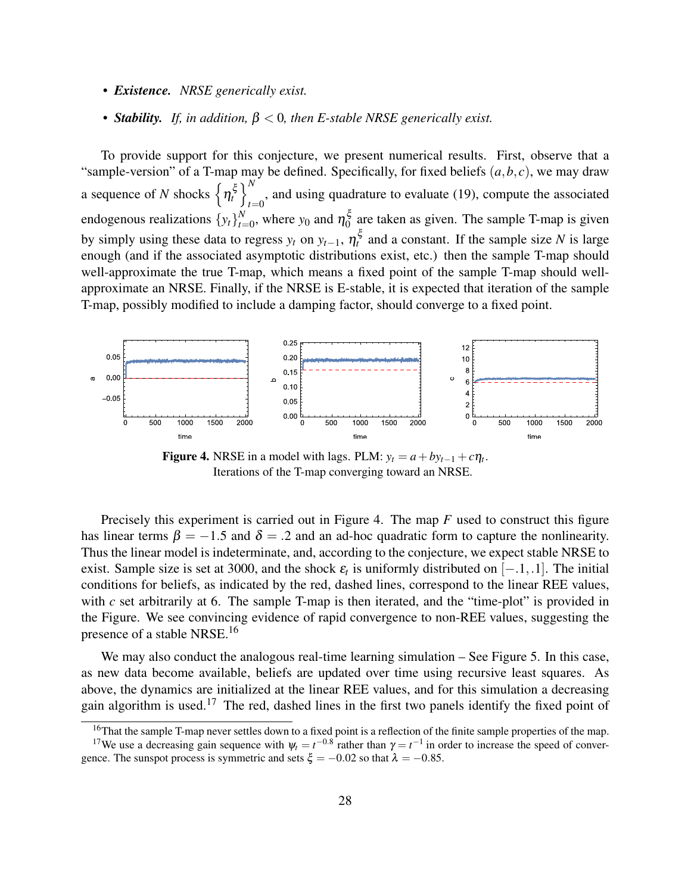- *• Existence. NRSE generically exist.*
- *• Stability. If, in addition,* β < 0*, then E-stable NRSE generically exist.*

To provide support for this conjecture, we present numerical results. First, observe that a "sample-version" of a T-map may be defined. Specifically, for fixed beliefs  $(a, b, c)$ , we may draw a sequence of *N* shocks  $\left\{\eta_t^{\xi}\right\}_t^N$  $_{t=0}$ , and using quadrature to evaluate (19), compute the associated endogenous realizations {*yt*} *N*  $_{t=0}^N$ , where  $y_0$  and  $\eta_0^{\xi}$  $\frac{5}{0}$  are taken as given. The sample T-map is given by simply using these data to regress  $y_t$  on  $y_{t-1}$ ,  $\eta_t^{\xi}$  and a constant. If the sample size *N* is large enough (and if the associated asymptotic distributions exist, etc.) then the sample T-map should well-approximate the true T-map, which means a fixed point of the sample T-map should wellapproximate an NRSE. Finally, if the NRSE is E-stable, it is expected that iteration of the sample T-map, possibly modified to include a damping factor, should converge to a fixed point.



Figure 4. NRSE in a model with lags. PLM:  $y_t = a + by_{t-1} + c\eta_t$ . Iterations of the T-map converging toward an NRSE.

Precisely this experiment is carried out in Figure 4. The map *F* used to construct this figure has linear terms  $\beta = -1.5$  and  $\delta = .2$  and an ad-hoc quadratic form to capture the nonlinearity. Thus the linear model is indeterminate, and, according to the conjecture, we expect stable NRSE to exist. Sample size is set at 3000, and the shock  $\varepsilon_t$  is uniformly distributed on  $[-.1, .1]$ . The initial conditions for beliefs, as indicated by the red, dashed lines, correspond to the linear REE values, with *c* set arbitrarily at 6. The sample T-map is then iterated, and the "time-plot" is provided in the Figure. We see convincing evidence of rapid convergence to non-REE values, suggesting the presence of a stable NRSE.<sup>16</sup>

We may also conduct the analogous real-time learning simulation – See Figure 5. In this case, as new data become available, beliefs are updated over time using recursive least squares. As above, the dynamics are initialized at the linear REE values, and for this simulation a decreasing gain algorithm is used.<sup>17</sup> The red, dashed lines in the first two panels identify the fixed point of

<sup>&</sup>lt;sup>16</sup>That the sample T-map never settles down to a fixed point is a reflection of the finite sample properties of the map. <sup>17</sup>We use a decreasing gain sequence with  $\psi_t = t^{-0.8}$  rather than  $\gamma = t^{-1}$  in order to increase the speed of conver-

gence. The sunspot process is symmetric and sets  $\xi = -0.02$  so that  $\lambda = -0.85$ .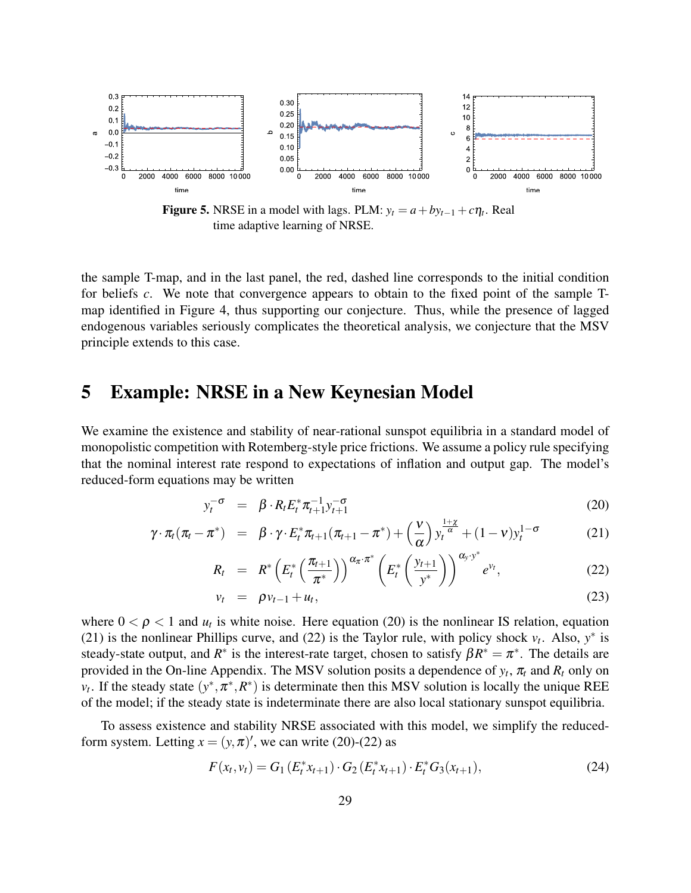

Figure 5. NRSE in a model with lags. PLM:  $y_t = a + by_{t-1} + c\eta_t$ . Real time adaptive learning of NRSE.

the sample T-map, and in the last panel, the red, dashed line corresponds to the initial condition for beliefs *c*. We note that convergence appears to obtain to the fixed point of the sample Tmap identified in Figure 4, thus supporting our conjecture. Thus, while the presence of lagged endogenous variables seriously complicates the theoretical analysis, we conjecture that the MSV principle extends to this case.

## 5 Example: NRSE in a New Keynesian Model

We examine the existence and stability of near-rational sunspot equilibria in a standard model of monopolistic competition with Rotemberg-style price frictions. We assume a policy rule specifying that the nominal interest rate respond to expectations of inflation and output gap. The model's reduced-form equations may be written

$$
y_t^{-\sigma} = \beta \cdot R_t E_t^* \pi_{t+1}^{-1} y_{t+1}^{-\sigma}
$$
 (20)

$$
\gamma \cdot \pi_t (\pi_t - \pi^*) = \beta \cdot \gamma \cdot E_t^* \pi_{t+1} (\pi_{t+1} - \pi^*) + \left(\frac{\nu}{\alpha}\right) y_t^{\frac{1+\chi}{\alpha}} + (1-\nu) y_t^{1-\sigma}
$$
(21)

$$
R_t = R^* \left( E_t^* \left( \frac{\pi_{t+1}}{\pi^*} \right) \right)^{\alpha_{\pi} \cdot \pi^*} \left( E_t^* \left( \frac{y_{t+1}}{y^*} \right) \right)^{\alpha_{\mathcal{Y}} \cdot y^*} e^{v_t}, \qquad (22)
$$

$$
v_t = \rho v_{t-1} + u_t, \qquad (23)
$$

where  $0 < \rho < 1$  and  $u_t$  is white noise. Here equation (20) is the nonlinear IS relation, equation (21) is the nonlinear Phillips curve, and (22) is the Taylor rule, with policy shock  $v_t$ . Also,  $y^*$  is steady-state output, and  $R^*$  is the interest-rate target, chosen to satisfy  $\beta R^* = \pi^*$ . The details are provided in the On-line Appendix. The MSV solution posits a dependence of  $y_t$ ,  $\pi_t$  and  $R_t$  only on  $v_t$ . If the steady state  $(y^*, \pi^*, R^*)$  is determinate then this MSV solution is locally the unique REE of the model; if the steady state is indeterminate there are also local stationary sunspot equilibria.

To assess existence and stability NRSE associated with this model, we simplify the reducedform system. Letting  $x = (y, \pi)'$ , we can write (20)-(22) as

$$
F(x_t, v_t) = G_1(E_t^* x_{t+1}) \cdot G_2(E_t^* x_{t+1}) \cdot E_t^* G_3(x_{t+1}),
$$
\n(24)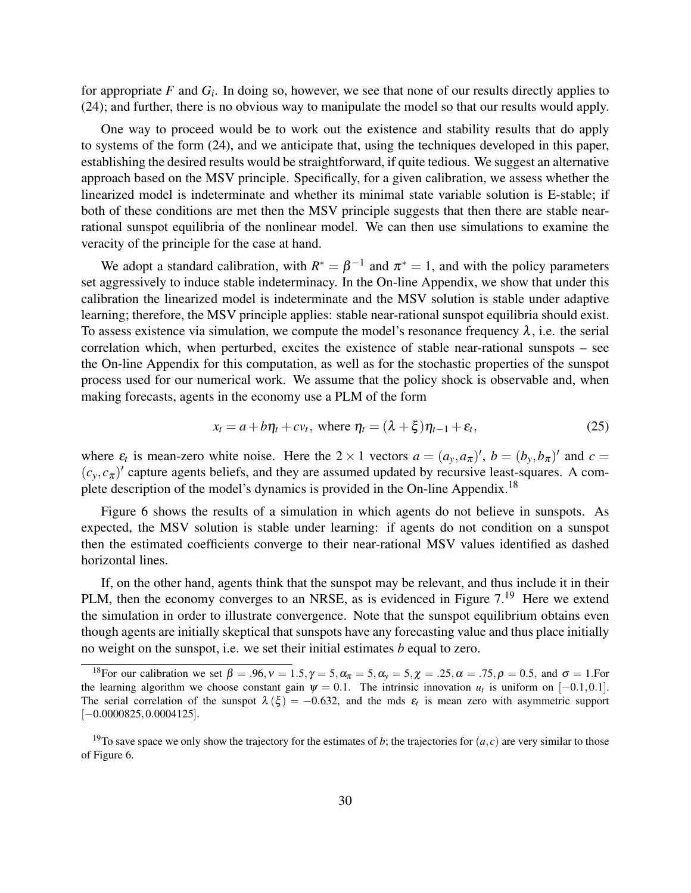for appropriate *F* and *G<sup>i</sup>* . In doing so, however, we see that none of our results directly applies to (24); and further, there is no obvious way to manipulate the model so that our results would apply.

One way to proceed would be to work out the existence and stability results that do apply to systems of the form (24), and we anticipate that, using the techniques developed in this paper, establishing the desired results would be straightforward, if quite tedious. We suggest an alternative approach based on the MSV principle. Specifically, for a given calibration, we assess whether the linearized model is indeterminate and whether its minimal state variable solution is E-stable; if both of these conditions are met then the MSV principle suggests that then there are stable nearrational sunspot equilibria of the nonlinear model. We can then use simulations to examine the veracity of the principle for the case at hand.

We adopt a standard calibration, with  $R^* = \beta^{-1}$  and  $\pi^* = 1$ , and with the policy parameters set aggressively to induce stable indeterminacy. In the On-line Appendix, we show that under this calibration the linearized model is indeterminate and the MSV solution is stable under adaptive learning; therefore, the MSV principle applies: stable near-rational sunspot equilibria should exist. To assess existence via simulation, we compute the model's resonance frequency  $\lambda$ , i.e. the serial correlation which, when perturbed, excites the existence of stable near-rational sunspots – see the On-line Appendix for this computation, as well as for the stochastic properties of the sunspot process used for our numerical work. We assume that the policy shock is observable and, when making forecasts, agents in the economy use a PLM of the form

$$
x_t = a + b\eta_t + cv_t, \text{ where } \eta_t = (\lambda + \xi)\eta_{t-1} + \varepsilon_t,
$$
\n(25)

where  $\varepsilon_t$  is mean-zero white noise. Here the 2 × 1 vectors  $a = (a_y, a_\pi)'$ ,  $b = (b_y, b_\pi)'$  and  $c =$  $(c_y, c_\pi)'$  capture agents beliefs, and they are assumed updated by recursive least-squares. A complete description of the model's dynamics is provided in the On-line Appendix.<sup>18</sup>

Figure 6 shows the results of a simulation in which agents do not believe in sunspots. As expected, the MSV solution is stable under learning: if agents do not condition on a sunspot then the estimated coefficients converge to their near-rational MSV values identified as dashed horizontal lines.

If, on the other hand, agents think that the sunspot may be relevant, and thus include it in their PLM, then the economy converges to an NRSE, as is evidenced in Figure 7.<sup>19</sup> Here we extend the simulation in order to illustrate convergence. Note that the sunspot equilibrium obtains even though agents are initially skeptical that sunspots have any forecasting value and thus place initially no weight on the sunspot, i.e. we set their initial estimates *b* equal to zero.

<sup>&</sup>lt;sup>18</sup>For our calibration we set  $\beta = .96$ ,  $v = 1.5$ ,  $\gamma = 5$ ,  $\alpha_{\pi} = 5$ ,  $\alpha_{\gamma} = 5$ ,  $\chi = .25$ ,  $\alpha = .75$ ,  $\rho = 0.5$ , and  $\sigma = 1$ . For the learning algorithm we choose constant gain  $\psi = 0.1$ . The intrinsic innovation  $u_t$  is uniform on [-0.1,0.1]. The serial correlation of the sunspot  $\lambda(\xi) = -0.632$ , and the mds  $\varepsilon_t$  is mean zero with asymmetric support [−0.0000825,0.0004125].

<sup>&</sup>lt;sup>19</sup>To save space we only show the trajectory for the estimates of *b*; the trajectories for  $(a, c)$  are very similar to those of Figure 6.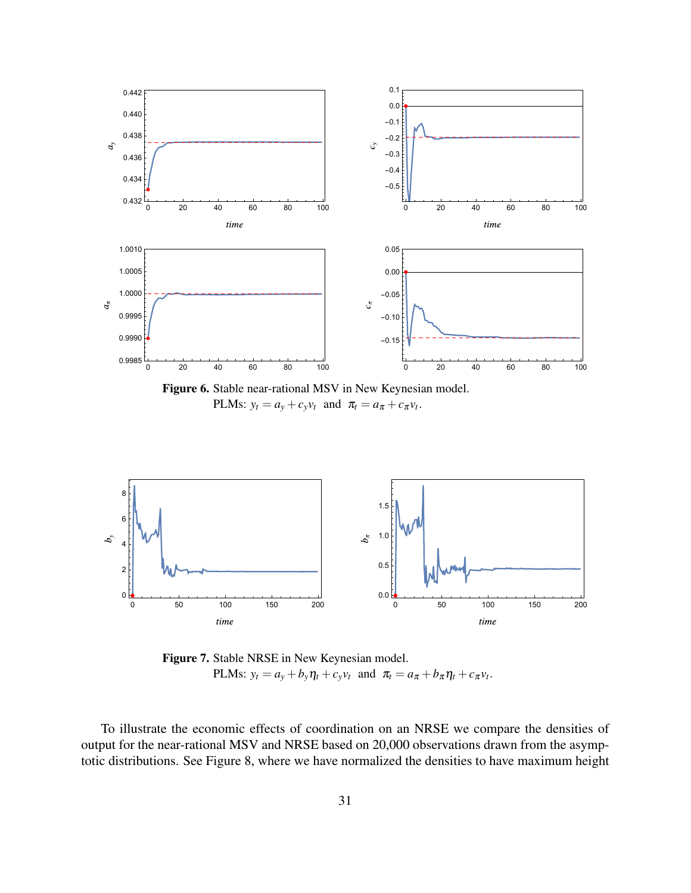



Figure 7. Stable NRSE in New Keynesian model. PLMs:  $y_t = a_y + b_y \eta_t + c_y v_t$  and  $\pi_t = a_\pi + b_\pi \eta_t + c_\pi v_t$ .

To illustrate the economic effects of coordination on an NRSE we compare the densities of output for the near-rational MSV and NRSE based on 20,000 observations drawn from the asymptotic distributions. See Figure 8, where we have normalized the densities to have maximum height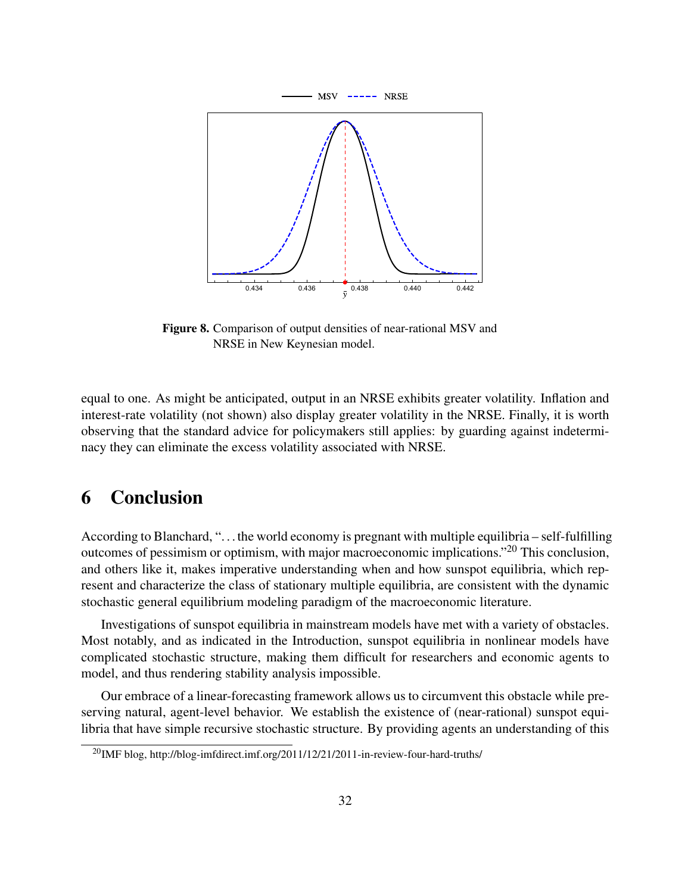

Figure 8. Comparison of output densities of near-rational MSV and NRSE in New Keynesian model.

equal to one. As might be anticipated, output in an NRSE exhibits greater volatility. Inflation and interest-rate volatility (not shown) also display greater volatility in the NRSE. Finally, it is worth observing that the standard advice for policymakers still applies: by guarding against indeterminacy they can eliminate the excess volatility associated with NRSE.

## 6 Conclusion

According to Blanchard, ". . . the world economy is pregnant with multiple equilibria – self-fulfilling outcomes of pessimism or optimism, with major macroeconomic implications."<sup>20</sup> This conclusion, and others like it, makes imperative understanding when and how sunspot equilibria, which represent and characterize the class of stationary multiple equilibria, are consistent with the dynamic stochastic general equilibrium modeling paradigm of the macroeconomic literature.

Investigations of sunspot equilibria in mainstream models have met with a variety of obstacles. Most notably, and as indicated in the Introduction, sunspot equilibria in nonlinear models have complicated stochastic structure, making them difficult for researchers and economic agents to model, and thus rendering stability analysis impossible.

Our embrace of a linear-forecasting framework allows us to circumvent this obstacle while preserving natural, agent-level behavior. We establish the existence of (near-rational) sunspot equilibria that have simple recursive stochastic structure. By providing agents an understanding of this

<sup>&</sup>lt;sup>20</sup>IMF blog, http://blog-imfdirect.imf.org/2011/12/21/2011-in-review-four-hard-truths/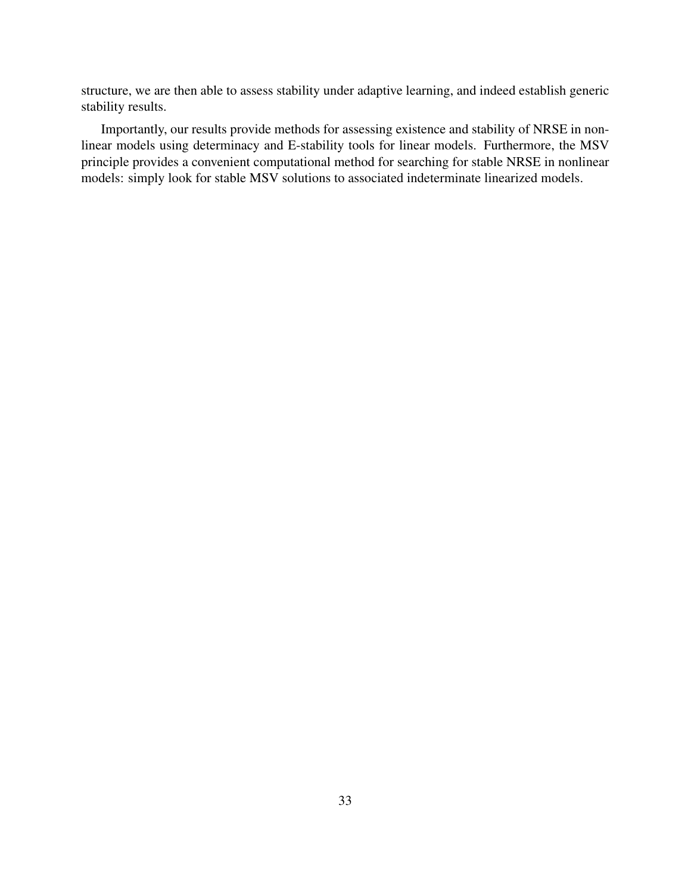structure, we are then able to assess stability under adaptive learning, and indeed establish generic stability results.

Importantly, our results provide methods for assessing existence and stability of NRSE in nonlinear models using determinacy and E-stability tools for linear models. Furthermore, the MSV principle provides a convenient computational method for searching for stable NRSE in nonlinear models: simply look for stable MSV solutions to associated indeterminate linearized models.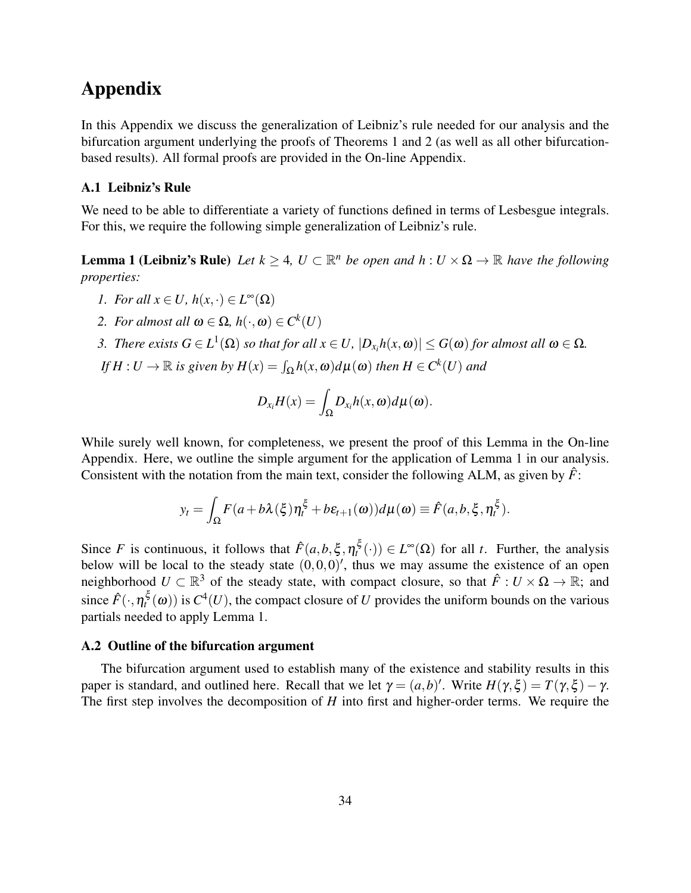# Appendix

In this Appendix we discuss the generalization of Leibniz's rule needed for our analysis and the bifurcation argument underlying the proofs of Theorems 1 and 2 (as well as all other bifurcationbased results). All formal proofs are provided in the On-line Appendix.

#### A.1 Leibniz's Rule

We need to be able to differentiate a variety of functions defined in terms of Lesbesgue integrals. For this, we require the following simple generalization of Leibniz's rule.

**Lemma 1 (Leibniz's Rule)** Let  $k \geq 4$ ,  $U \subset \mathbb{R}^n$  be open and  $h: U \times \Omega \to \mathbb{R}$  have the following *properties:*

- *1. For all*  $x \in U$ *,*  $h(x, \cdot) \in L^{\infty}(\Omega)$
- *2. For almost all*  $\omega \in \Omega$ ,  $h(\cdot, \omega) \in C^k(U)$
- *3. There exists*  $G \in L^1(\Omega)$  *so that for all*  $x \in U$ ,  $|D_{x_i}h(x, \omega)| \le G(\omega)$  *for almost all*  $\omega \in \Omega$ *.*
- $I f H : U \to \mathbb{R}$  *is given by*  $H(x) = \int_{\Omega} h(x, \omega) d\mu(\omega)$  *then*  $H \in C^k(U)$  *and*

$$
D_{x_i}H(x)=\int_{\Omega}D_{x_i}h(x,\omega)d\mu(\omega).
$$

While surely well known, for completeness, we present the proof of this Lemma in the On-line Appendix. Here, we outline the simple argument for the application of Lemma 1 in our analysis. Consistent with the notation from the main text, consider the following ALM, as given by  $\hat{F}$ :

$$
y_t = \int_{\Omega} F(a + b\lambda(\xi)\eta_t^{\xi} + b\varepsilon_{t+1}(\omega))d\mu(\omega) \equiv \hat{F}(a, b, \xi, \eta_t^{\xi}).
$$

Since *F* is continuous, it follows that  $\hat{F}(a,b,\xi,\eta_t^{\xi}(\cdot)) \in L^{\infty}(\Omega)$  for all *t*. Further, the analysis below will be local to the steady state  $(0,0,0)'$ , thus we may assume the existence of an open neighborhood  $U \subset \mathbb{R}^3$  of the steady state, with compact closure, so that  $\hat{F}: U \times \Omega \to \mathbb{R}$ ; and since  $\hat{F}(\cdot,\eta_t^{\xi}(\omega))$  is  $C^4(U)$ , the compact closure of *U* provides the uniform bounds on the various partials needed to apply Lemma 1.

#### A.2 Outline of the bifurcation argument

The bifurcation argument used to establish many of the existence and stability results in this paper is standard, and outlined here. Recall that we let  $\gamma = (a, b)'$ . Write  $H(\gamma, \xi) = T(\gamma, \xi) - \gamma$ . The first step involves the decomposition of *H* into first and higher-order terms. We require the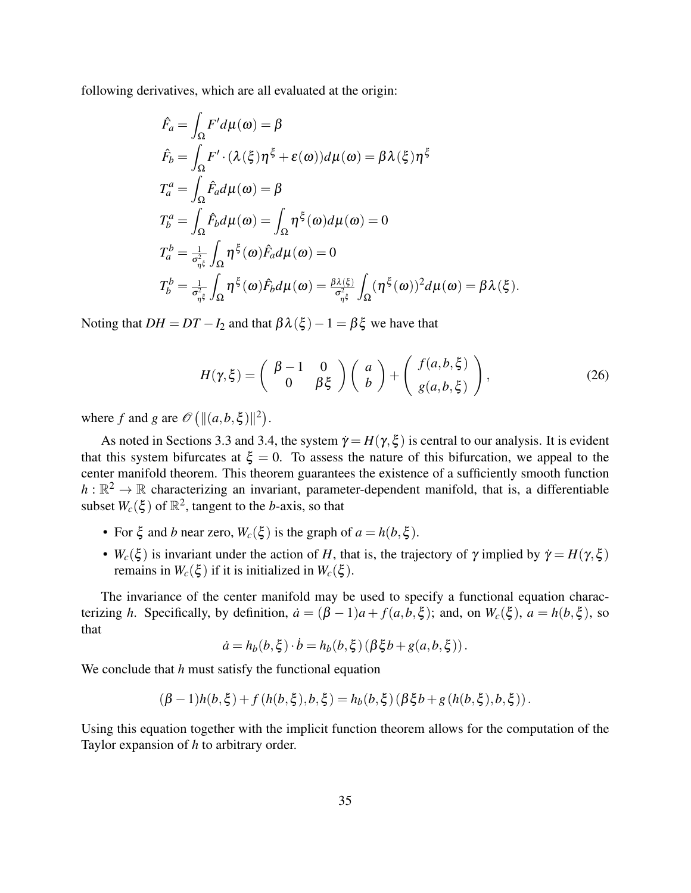following derivatives, which are all evaluated at the origin:

$$
\hat{F}_a = \int_{\Omega} F'd\mu(\omega) = \beta
$$
\n
$$
\hat{F}_b = \int_{\Omega} F' \cdot (\lambda(\xi)\eta^{\xi} + \varepsilon(\omega))d\mu(\omega) = \beta \lambda(\xi)\eta^{\xi}
$$
\n
$$
T_a^a = \int_{\Omega} \hat{F}_a d\mu(\omega) = \beta
$$
\n
$$
T_b^a = \int_{\Omega} \hat{F}_b d\mu(\omega) = \int_{\Omega} \eta^{\xi}(\omega) d\mu(\omega) = 0
$$
\n
$$
T_a^b = \frac{1}{\sigma_{\eta^{\xi}}^2} \int_{\Omega} \eta^{\xi}(\omega) \hat{F}_a d\mu(\omega) = 0
$$
\n
$$
T_b^b = \frac{1}{\sigma_{\eta^{\xi}}^2} \int_{\Omega} \eta^{\xi}(\omega) \hat{F}_b d\mu(\omega) = \frac{\beta \lambda(\xi)}{\sigma_{\eta^{\xi}}^2} \int_{\Omega} (\eta^{\xi}(\omega))^2 d\mu(\omega) = \beta \lambda(\xi).
$$

Noting that  $DH = DT - I_2$  and that  $\beta \lambda(\xi) - 1 = \beta \xi$  we have that

$$
H(\gamma,\xi) = \begin{pmatrix} \beta - 1 & 0 \\ 0 & \beta \xi \end{pmatrix} \begin{pmatrix} a \\ b \end{pmatrix} + \begin{pmatrix} f(a,b,\xi) \\ g(a,b,\xi) \end{pmatrix},
$$
 (26)

where *f* and *g* are  $\mathcal{O}([|(a,b,\xi)||^2)$ .

As noted in Sections 3.3 and 3.4, the system  $\dot{\gamma} = H(\gamma, \xi)$  is central to our analysis. It is evident that this system bifurcates at  $\xi = 0$ . To assess the nature of this bifurcation, we appeal to the center manifold theorem. This theorem guarantees the existence of a sufficiently smooth function  $h:\mathbb{R}^2\to\mathbb{R}$  characterizing an invariant, parameter-dependent manifold, that is, a differentiable subset  $W_c(\xi)$  of  $\mathbb{R}^2$ , tangent to the *b*-axis, so that

- For  $\xi$  and *b* near zero,  $W_c(\xi)$  is the graph of  $a = h(b, \xi)$ .
- $W_c(\xi)$  is invariant under the action of *H*, that is, the trajectory of  $\gamma$  implied by  $\dot{\gamma} = H(\gamma, \xi)$ remains in  $W_c(\xi)$  if it is initialized in  $W_c(\xi)$ .

The invariance of the center manifold may be used to specify a functional equation characterizing *h*. Specifically, by definition,  $\dot{a} = (\beta - 1)a + f(a, b, \xi)$ ; and, on  $W_c(\xi)$ ,  $a = h(b, \xi)$ , so that

$$
\dot{a} = h_b(b, \xi) \cdot \dot{b} = h_b(b, \xi) (\beta \xi b + g(a, b, \xi)).
$$

We conclude that *h* must satisfy the functional equation

$$
(\beta-1)h(b,\xi)+f(h(b,\xi),b,\xi)=h_b(b,\xi)(\beta\xi b+g(h(b,\xi),b,\xi)).
$$

Using this equation together with the implicit function theorem allows for the computation of the Taylor expansion of *h* to arbitrary order.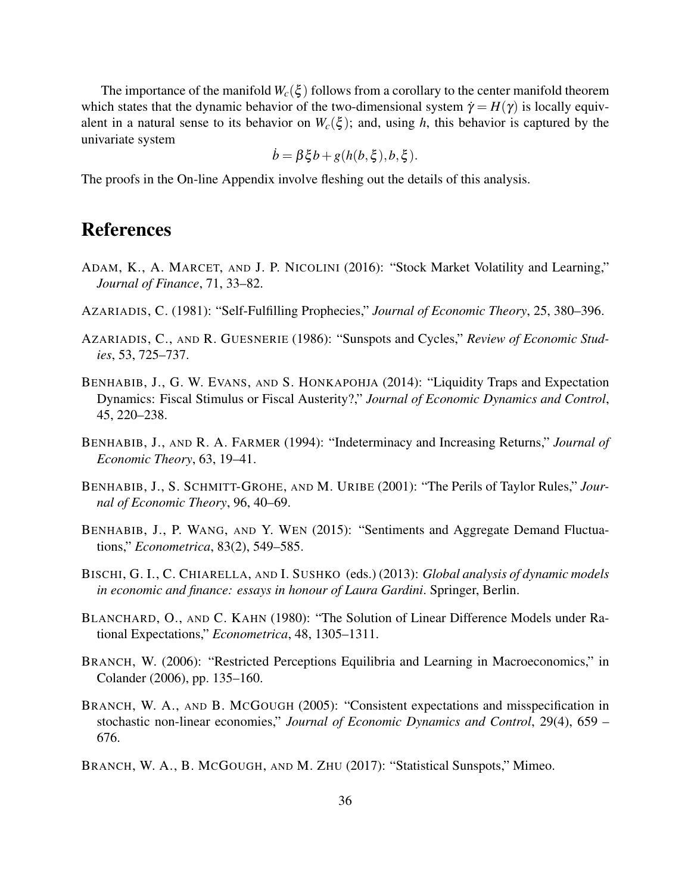The importance of the manifold  $W_c(\xi)$  follows from a corollary to the center manifold theorem which states that the dynamic behavior of the two-dimensional system  $\dot{\gamma} = H(\gamma)$  is locally equivalent in a natural sense to its behavior on  $W_c(\xi)$ ; and, using *h*, this behavior is captured by the univariate system

$$
\dot{b} = \beta \xi b + g(h(b, \xi), b, \xi)
$$

The proofs in the On-line Appendix involve fleshing out the details of this analysis.

## References

- ADAM, K., A. MARCET, AND J. P. NICOLINI (2016): "Stock Market Volatility and Learning," *Journal of Finance*, 71, 33–82.
- AZARIADIS, C. (1981): "Self-Fulfilling Prophecies," *Journal of Economic Theory*, 25, 380–396.
- AZARIADIS, C., AND R. GUESNERIE (1986): "Sunspots and Cycles," *Review of Economic Studies*, 53, 725–737.
- BENHABIB, J., G. W. EVANS, AND S. HONKAPOHJA (2014): "Liquidity Traps and Expectation Dynamics: Fiscal Stimulus or Fiscal Austerity?," *Journal of Economic Dynamics and Control*, 45, 220–238.
- BENHABIB, J., AND R. A. FARMER (1994): "Indeterminacy and Increasing Returns," *Journal of Economic Theory*, 63, 19–41.
- BENHABIB, J., S. SCHMITT-GROHE, AND M. URIBE (2001): "The Perils of Taylor Rules," *Journal of Economic Theory*, 96, 40–69.
- BENHABIB, J., P. WANG, AND Y. WEN (2015): "Sentiments and Aggregate Demand Fluctuations," *Econometrica*, 83(2), 549–585.
- BISCHI, G. I., C. CHIARELLA, AND I. SUSHKO (eds.) (2013): *Global analysis of dynamic models in economic and finance: essays in honour of Laura Gardini*. Springer, Berlin.
- BLANCHARD, O., AND C. KAHN (1980): "The Solution of Linear Difference Models under Rational Expectations," *Econometrica*, 48, 1305–1311.
- BRANCH, W. (2006): "Restricted Perceptions Equilibria and Learning in Macroeconomics," in Colander (2006), pp. 135–160.
- BRANCH, W. A., AND B. MCGOUGH (2005): "Consistent expectations and misspecification in stochastic non-linear economies," *Journal of Economic Dynamics and Control*, 29(4), 659 – 676.
- BRANCH, W. A., B. MCGOUGH, AND M. ZHU (2017): "Statistical Sunspots," Mimeo.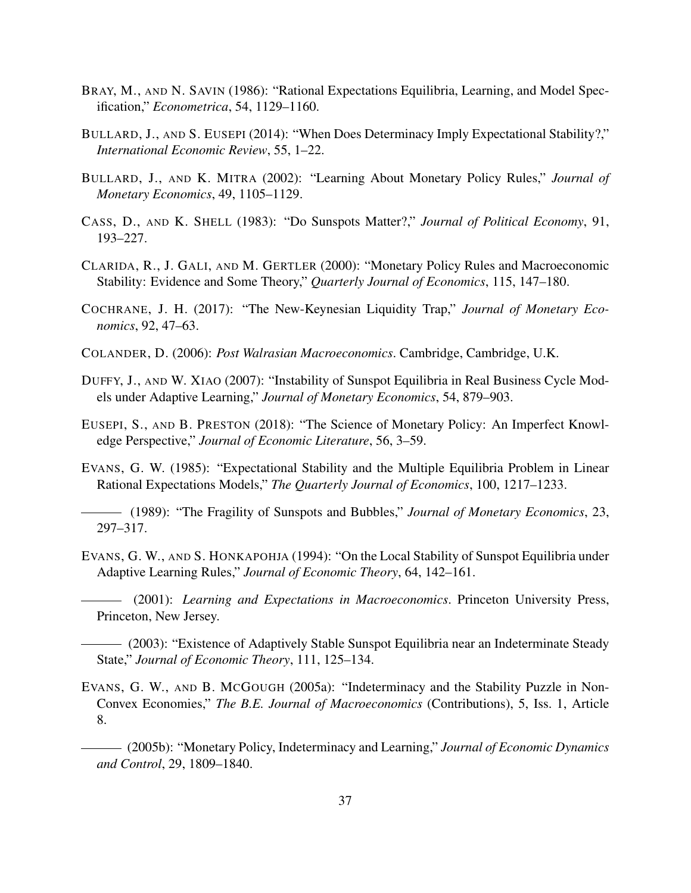- BRAY, M., AND N. SAVIN (1986): "Rational Expectations Equilibria, Learning, and Model Specification," *Econometrica*, 54, 1129–1160.
- BULLARD, J., AND S. EUSEPI (2014): "When Does Determinacy Imply Expectational Stability?," *International Economic Review*, 55, 1–22.
- BULLARD, J., AND K. MITRA (2002): "Learning About Monetary Policy Rules," *Journal of Monetary Economics*, 49, 1105–1129.
- CASS, D., AND K. SHELL (1983): "Do Sunspots Matter?," *Journal of Political Economy*, 91, 193–227.
- CLARIDA, R., J. GALI, AND M. GERTLER (2000): "Monetary Policy Rules and Macroeconomic Stability: Evidence and Some Theory," *Quarterly Journal of Economics*, 115, 147–180.
- COCHRANE, J. H. (2017): "The New-Keynesian Liquidity Trap," *Journal of Monetary Economics*, 92, 47–63.
- COLANDER, D. (2006): *Post Walrasian Macroeconomics*. Cambridge, Cambridge, U.K.
- DUFFY, J., AND W. XIAO (2007): "Instability of Sunspot Equilibria in Real Business Cycle Models under Adaptive Learning," *Journal of Monetary Economics*, 54, 879–903.
- EUSEPI, S., AND B. PRESTON (2018): "The Science of Monetary Policy: An Imperfect Knowledge Perspective," *Journal of Economic Literature*, 56, 3–59.
- EVANS, G. W. (1985): "Expectational Stability and the Multiple Equilibria Problem in Linear Rational Expectations Models," *The Quarterly Journal of Economics*, 100, 1217–1233.
- (1989): "The Fragility of Sunspots and Bubbles," *Journal of Monetary Economics*, 23, 297–317.
- EVANS, G. W., AND S. HONKAPOHJA (1994): "On the Local Stability of Sunspot Equilibria under Adaptive Learning Rules," *Journal of Economic Theory*, 64, 142–161.
	- (2001): *Learning and Expectations in Macroeconomics*. Princeton University Press, Princeton, New Jersey.
- (2003): "Existence of Adaptively Stable Sunspot Equilibria near an Indeterminate Steady State," *Journal of Economic Theory*, 111, 125–134.
- EVANS, G. W., AND B. MCGOUGH (2005a): "Indeterminacy and the Stability Puzzle in Non-Convex Economies," *The B.E. Journal of Macroeconomics* (Contributions), 5, Iss. 1, Article 8.
- (2005b): "Monetary Policy, Indeterminacy and Learning," *Journal of Economic Dynamics and Control*, 29, 1809–1840.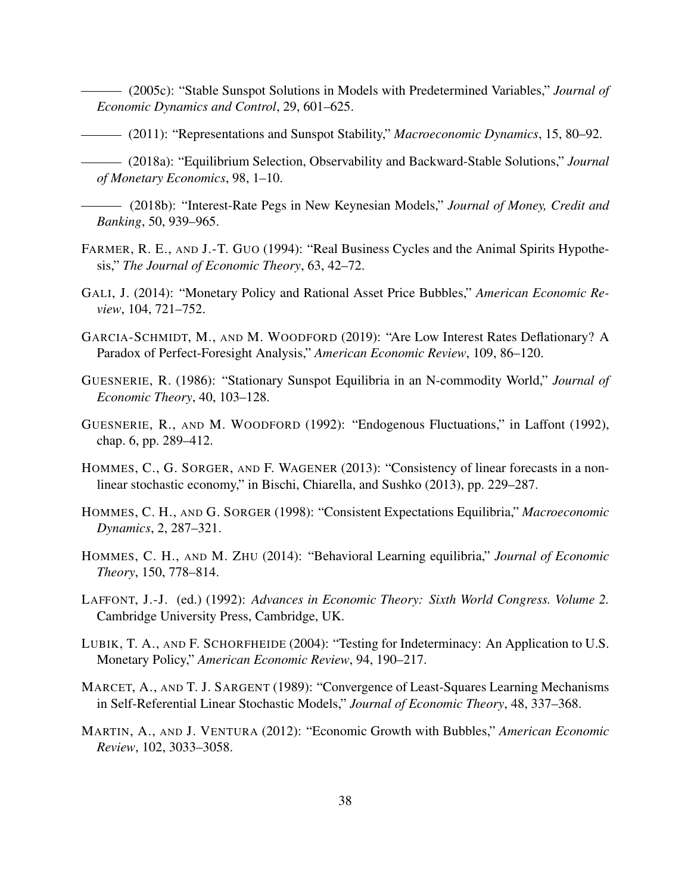(2005c): "Stable Sunspot Solutions in Models with Predetermined Variables," *Journal of Economic Dynamics and Control*, 29, 601–625.

(2011): "Representations and Sunspot Stability," *Macroeconomic Dynamics*, 15, 80–92.

(2018a): "Equilibrium Selection, Observability and Backward-Stable Solutions," *Journal of Monetary Economics*, 98, 1–10.

(2018b): "Interest-Rate Pegs in New Keynesian Models," *Journal of Money, Credit and Banking*, 50, 939–965.

- FARMER, R. E., AND J.-T. GUO (1994): "Real Business Cycles and the Animal Spirits Hypothesis," *The Journal of Economic Theory*, 63, 42–72.
- GALI, J. (2014): "Monetary Policy and Rational Asset Price Bubbles," *American Economic Review*, 104, 721–752.
- GARCIA-SCHMIDT, M., AND M. WOODFORD (2019): "Are Low Interest Rates Deflationary? A Paradox of Perfect-Foresight Analysis," *American Economic Review*, 109, 86–120.
- GUESNERIE, R. (1986): "Stationary Sunspot Equilibria in an N-commodity World," *Journal of Economic Theory*, 40, 103–128.
- GUESNERIE, R., AND M. WOODFORD (1992): "Endogenous Fluctuations," in Laffont (1992), chap. 6, pp. 289–412.
- HOMMES, C., G. SORGER, AND F. WAGENER (2013): "Consistency of linear forecasts in a nonlinear stochastic economy," in Bischi, Chiarella, and Sushko (2013), pp. 229–287.
- HOMMES, C. H., AND G. SORGER (1998): "Consistent Expectations Equilibria," *Macroeconomic Dynamics*, 2, 287–321.
- HOMMES, C. H., AND M. ZHU (2014): "Behavioral Learning equilibria," *Journal of Economic Theory*, 150, 778–814.
- LAFFONT, J.-J. (ed.) (1992): *Advances in Economic Theory: Sixth World Congress. Volume 2.* Cambridge University Press, Cambridge, UK.
- LUBIK, T. A., AND F. SCHORFHEIDE (2004): "Testing for Indeterminacy: An Application to U.S. Monetary Policy," *American Economic Review*, 94, 190–217.
- MARCET, A., AND T. J. SARGENT (1989): "Convergence of Least-Squares Learning Mechanisms in Self-Referential Linear Stochastic Models," *Journal of Economic Theory*, 48, 337–368.
- MARTIN, A., AND J. VENTURA (2012): "Economic Growth with Bubbles," *American Economic Review*, 102, 3033–3058.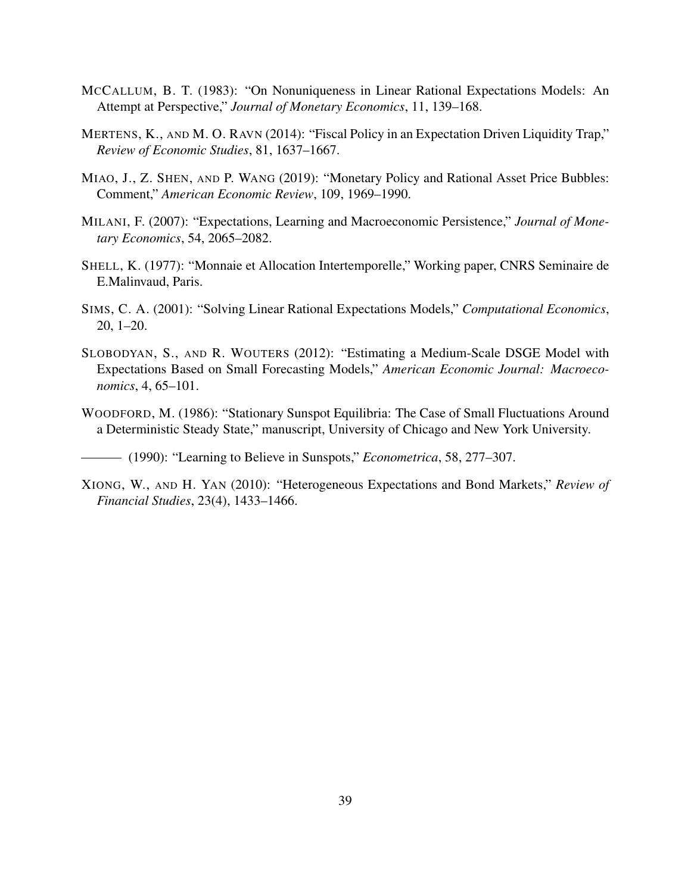- MCCALLUM, B. T. (1983): "On Nonuniqueness in Linear Rational Expectations Models: An Attempt at Perspective," *Journal of Monetary Economics*, 11, 139–168.
- MERTENS, K., AND M. O. RAVN (2014): "Fiscal Policy in an Expectation Driven Liquidity Trap," *Review of Economic Studies*, 81, 1637–1667.
- MIAO, J., Z. SHEN, AND P. WANG (2019): "Monetary Policy and Rational Asset Price Bubbles: Comment," *American Economic Review*, 109, 1969–1990.
- MILANI, F. (2007): "Expectations, Learning and Macroeconomic Persistence," *Journal of Monetary Economics*, 54, 2065–2082.
- SHELL, K. (1977): "Monnaie et Allocation Intertemporelle," Working paper, CNRS Seminaire de E.Malinvaud, Paris.
- SIMS, C. A. (2001): "Solving Linear Rational Expectations Models," *Computational Economics*, 20, 1–20.
- SLOBODYAN, S., AND R. WOUTERS (2012): "Estimating a Medium-Scale DSGE Model with Expectations Based on Small Forecasting Models," *American Economic Journal: Macroeconomics*, 4, 65–101.
- WOODFORD, M. (1986): "Stationary Sunspot Equilibria: The Case of Small Fluctuations Around a Deterministic Steady State," manuscript, University of Chicago and New York University.

(1990): "Learning to Believe in Sunspots," *Econometrica*, 58, 277–307.

XIONG, W., AND H. YAN (2010): "Heterogeneous Expectations and Bond Markets," *Review of Financial Studies*, 23(4), 1433–1466.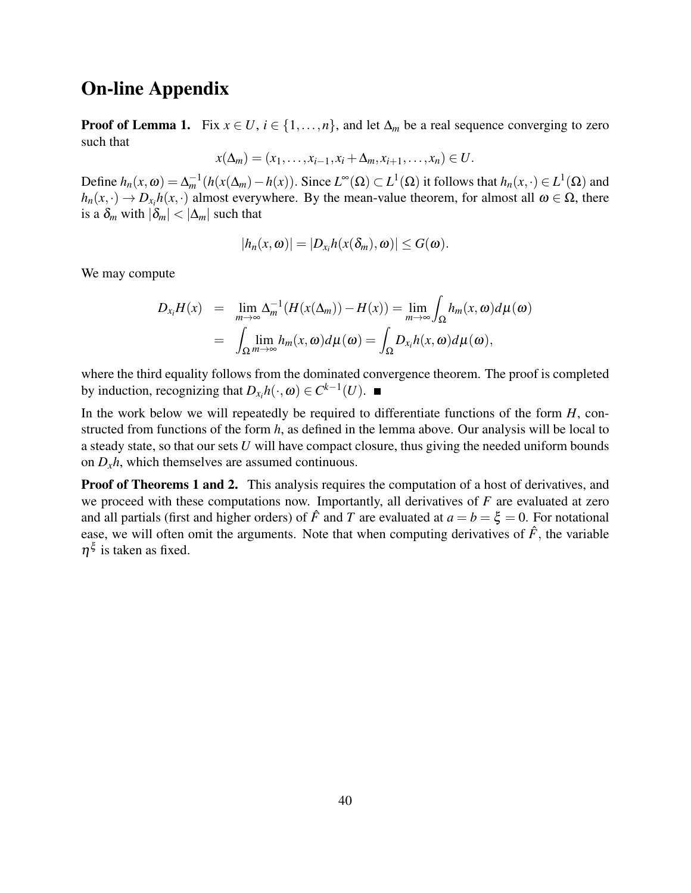### On-line Appendix

**Proof of Lemma 1.** Fix  $x \in U$ ,  $i \in \{1, ..., n\}$ , and let  $\Delta_m$  be a real sequence converging to zero such that

$$
x(\Delta_m)=(x_1,\ldots,x_{i-1},x_i+\Delta_m,x_{i+1},\ldots,x_n)\in U.
$$

Define  $h_n(x, \omega) = \Delta_m^{-1}(h(x(\Delta_m) - h(x))$ . Since  $L^{\infty}(\Omega) \subset L^1(\Omega)$  it follows that  $h_n(x, \cdot) \in L^1(\Omega)$  and  $h_n(x, \cdot) \to D_{x_i}h(x, \cdot)$  almost everywhere. By the mean-value theorem, for almost all  $\omega \in \Omega$ , there is a  $\delta_m$  with  $|\delta_m| < |\Delta_m|$  such that

$$
|h_n(x, \omega)| = |D_{x_i}h(x(\delta_m), \omega)| \le G(\omega).
$$

We may compute

$$
D_{x_i}H(x) = \lim_{m \to \infty} \Delta_m^{-1}(H(x(\Delta_m)) - H(x)) = \lim_{m \to \infty} \int_{\Omega} h_m(x, \omega) d\mu(\omega)
$$
  
= 
$$
\int_{\Omega} \lim_{m \to \infty} h_m(x, \omega) d\mu(\omega) = \int_{\Omega} D_{x_i}h(x, \omega) d\mu(\omega),
$$

where the third equality follows from the dominated convergence theorem. The proof is completed by induction, recognizing that  $D_{x_i}h(\cdot, \omega) \in C^{k-1}(U)$ .

In the work below we will repeatedly be required to differentiate functions of the form *H*, constructed from functions of the form *h*, as defined in the lemma above. Our analysis will be local to a steady state, so that our sets *U* will have compact closure, thus giving the needed uniform bounds on  $D_x h$ , which themselves are assumed continuous.

**Proof of Theorems 1 and 2.** This analysis requires the computation of a host of derivatives, and we proceed with these computations now. Importantly, all derivatives of *F* are evaluated at zero and all partials (first and higher orders) of  $\hat{F}$  and *T* are evaluated at  $a = b = \xi = 0$ . For notational ease, we will often omit the arguments. Note that when computing derivatives of  $\hat{F}$ , the variable  $\eta^{\xi}$  is taken as fixed.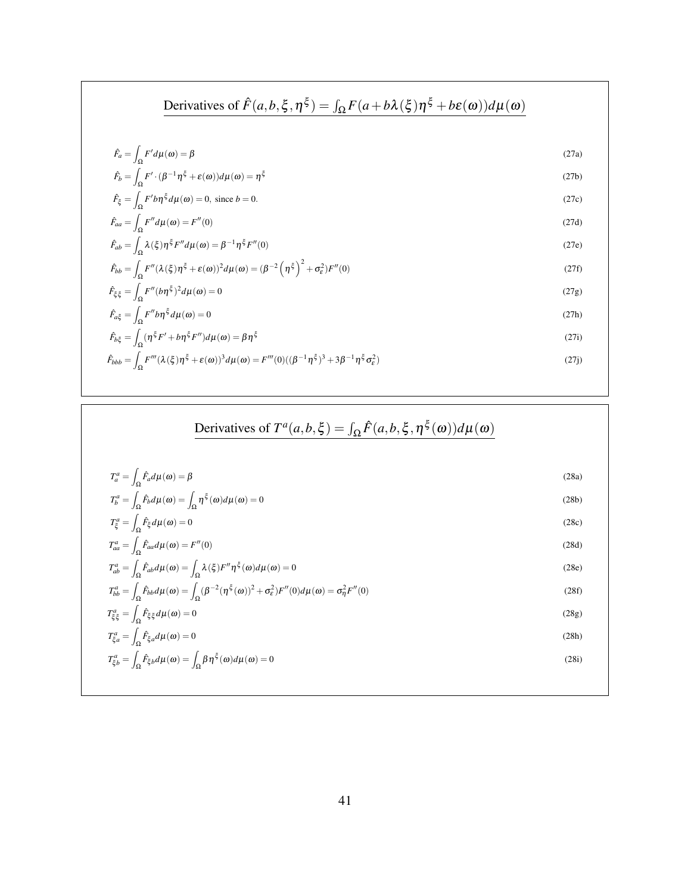**Derivatives of** 
$$
\hat{F}(a, b, \xi, \eta^{\xi}) = \int_{\Omega} F(a+b\lambda(\xi)\eta^{\xi} + b\epsilon(\omega))d\mu(\omega)
$$
  
\n
$$
\hat{F}_a = \int_{\Omega} F'd\mu(\omega) = \beta
$$
\n
$$
\hat{F}_b = \int_{\Omega} F' \cdot (\beta^{-1}\eta^{\xi} + \epsilon(\omega))d\mu(\omega) = \eta^{\xi}
$$
\n
$$
\hat{F}_{\xi} = \int_{\Omega} F' b\eta^{\xi} d\mu(\omega) = 0, \text{ since } b = 0.
$$
\n
$$
\hat{F}_{aa} = \int_{\Omega} F'' d\mu(\omega) = F''(0)
$$
\n
$$
\hat{F}_{ab} = \int_{\Omega} \lambda(\xi)\eta^{\xi}F'' d\mu(\omega) = \beta^{-1}\eta^{\xi}F''(0)
$$
\n
$$
\hat{F}_{bb} = \int_{\Omega} F''(\lambda(\xi)\eta^{\xi} + \epsilon(\omega))^2 d\mu(\omega) = (\beta^{-2}(\eta^{\xi})^2 + \sigma_{\epsilon}^2)F''(0)
$$
\n
$$
\hat{F}_{\xi\xi} = \int_{\Omega} F'' (b\eta^{\xi})^2 d\mu(\omega) = 0
$$
\n
$$
\hat{F}_{a\xi} = \int_{\Omega} F'' b\eta^{\xi} d\mu(\omega) = 0
$$
\n
$$
\hat{F}_{b\xi} = \int_{\Omega} (r \eta^{\xi}F' + b\eta^{\xi}F'') d\mu(\omega) = \beta \eta^{\xi}
$$
\n
$$
\hat{F}_{bbb} = \int_{\Omega} (r \eta^{\xi}F' + b\eta^{\xi}F'') d\mu(\omega) = \beta \eta^{\xi}
$$
\n
$$
\hat{F}_{bbb} = \int_{\Omega} F'''(\lambda(\xi)\eta^{\xi} + \epsilon(\omega))^3 d\mu(\omega) = F'''(0)((\beta^{-1}\eta^{\xi})^3 + 3\beta^{-1}\eta^{\xi} \sigma_{\epsilon}^2)
$$
\n(27i)

Derivatives of 
$$
T^{a}(a, b, \xi) = \int_{\Omega} \hat{F}(a, b, \xi, \eta^{\xi}(\omega)) d\mu(\omega)
$$

\n
$$
T_{a}^{a} = \int_{\Omega} \hat{F}_{a} d\mu(\omega) = \beta \qquad (28a)
$$
\n
$$
T_{b}^{a} = \int_{\Omega} \hat{F}_{b} d\mu(\omega) = \int_{\Omega} \eta^{\xi}(\omega) d\mu(\omega) = 0 \qquad (28b)
$$
\n
$$
T_{\xi}^{a} = \int_{\Omega} \hat{F}_{\xi} d\mu(\omega) = 0 \qquad (28c)
$$
\n
$$
T_{ab}^{a} = \int_{\Omega} \hat{F}_{aa} d\mu(\omega) = F''(0) \qquad (28d)
$$
\n
$$
T_{ab}^{a} = \int_{\Omega} \hat{F}_{aa} d\mu(\omega) = \int_{\Omega} \lambda(\xi) F'' \eta^{\xi}(\omega) d\mu(\omega) = 0 \qquad (28e)
$$
\n
$$
T_{ab}^{a} = \int_{\Omega} \hat{F}_{bb} d\mu(\omega) = \int_{\Omega} (\beta^{-2} (\eta^{\xi}(\omega))^{2} + \sigma_{\xi}^{2}) F''(0) d\mu(\omega) = \sigma_{\eta}^{2} F''(0) \qquad (28f)
$$
\n
$$
T_{\xi\xi}^{a} = \int_{\Omega} \hat{F}_{\xi\xi} d\mu(\omega) = 0 \qquad (28g)
$$
\n
$$
T_{\xi}^{a} = \int_{\Omega} \hat{F}_{\xi} d\mu(\omega) = 0 \qquad (28h)
$$
\n
$$
T_{\xi}^{a} = \int_{\Omega} \hat{F}_{\xi} d\mu(\omega) = \int_{\Omega} \beta \eta^{\xi}(\omega) d\mu(\omega) = 0 \qquad (28i)
$$
\n
$$
T_{ab}^{a} = \int_{\Omega} \hat{F}_{\xi} d\mu(\omega) = \int_{\Omega} \beta \eta^{\xi}(\omega) d\mu(\omega) = 0 \qquad (28i)
$$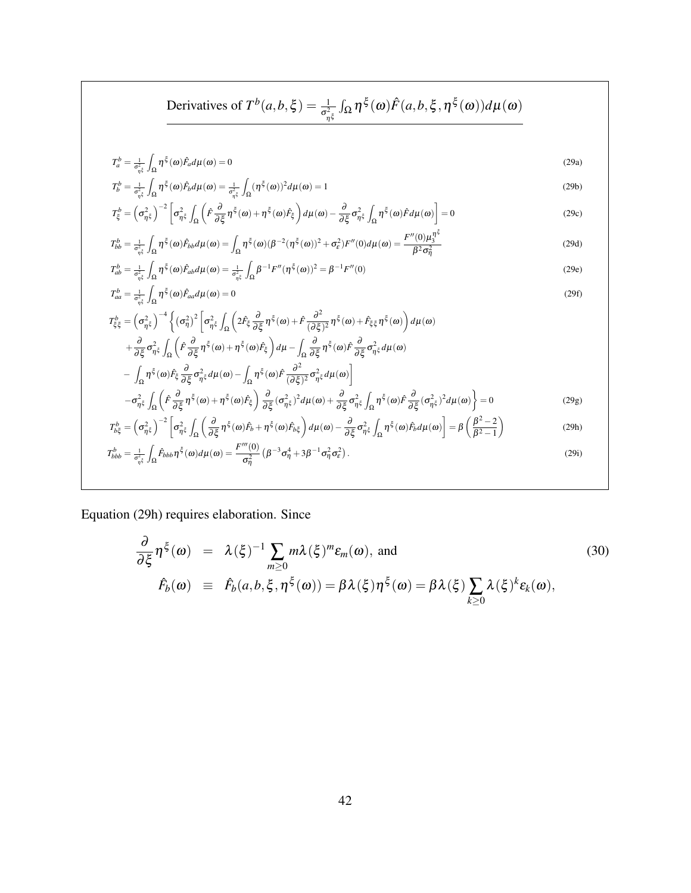Derivatives of 
$$
T^b(a,b,\xi) = \frac{1}{\sigma_{\eta\xi}^2} \int_{\Omega} \eta^{\xi}(\omega) \hat{F}(a,b,\xi,\eta^{\xi}(\omega)) d\mu(\omega)
$$

$$
T_a^b = \frac{1}{\sigma_{\eta\xi}^2} \int_{\Omega} \eta^{\xi}(\omega) \hat{F}_a d\mu(\omega) = 0
$$
\n(29a)

$$
T_b^b = \frac{1}{\sigma_{\eta\xi}^2} \int_{\Omega} \eta^{\xi}(\omega) \hat{F}_b d\mu(\omega) = \frac{1}{\sigma_{\eta\xi}^2} \int_{\Omega} (\eta^{\xi}(\omega))^2 d\mu(\omega) = 1
$$
\n(29b)

$$
T_{\xi}^{b} = \left(\sigma_{\eta\xi}^{2}\right)^{-2} \left[\sigma_{\eta\xi}^{2} \int_{\Omega} \left(\hat{F}\frac{\partial}{\partial \xi}\eta^{\xi}(\omega) + \eta^{\xi}(\omega)\hat{F}_{\xi}\right) d\mu(\omega) - \frac{\partial}{\partial \xi}\sigma_{\eta\xi}^{2} \int_{\Omega} \eta^{\xi}(\omega)\hat{F}d\mu(\omega)\right] = 0
$$
\n(29c)

$$
T_{bb}^{b} = \frac{1}{\sigma_{\eta\xi}^{2}} \int_{\Omega} \eta^{\xi}(\omega) \hat{F}_{bb} d\mu(\omega) = \int_{\Omega} \eta^{\xi}(\omega) (\beta^{-2} (\eta^{\xi}(\omega))^{2} + \sigma_{\varepsilon}^{2}) F''(0) d\mu(\omega) = \frac{F''(0) \mu_{3}^{\eta\xi}}{\beta^{2} \sigma_{\eta}^{2}}
$$
(29d)

$$
T_{ab}^b = \frac{1}{\sigma_{\eta\xi}^2} \int_{\Omega} \eta^{\xi}(\omega) \hat{F}_{ab} d\mu(\omega) = \frac{1}{\sigma_{\eta\xi}^2} \int_{\Omega} \beta^{-1} F''(\eta^{\xi}(\omega))^2 = \beta^{-1} F''(0)
$$
\n(29e)

$$
T_{aa}^b = \frac{1}{\sigma_{\eta^{\xi}}^2} \int_{\Omega} \eta^{\xi}(\omega) \hat{F}_{aa} d\mu(\omega) = 0
$$
\n(29f)

$$
T_{\xi\xi}^{b} = \left(\sigma_{\eta\xi}^{2}\right)^{-4} \left\{ \left(\sigma_{\eta}^{2}\right)^{2} \left[\sigma_{\eta\xi}^{2}\int_{\Omega}\left(2\hat{F}_{\xi}\frac{\partial}{\partial\xi}\eta^{\xi}(\omega)+\hat{F}\frac{\partial^{2}}{(\partial\xi)^{2}}\eta^{\xi}(\omega)+\hat{F}_{\xi\xi}\eta^{\xi}(\omega)\right)d\mu(\omega) \right. \\ \left. +\frac{\partial}{\partial\xi}\sigma_{\eta\xi}^{2}\int_{\Omega}\left(\hat{F}\frac{\partial}{\partial\xi}\eta^{\xi}(\omega)+\eta^{\xi}(\omega)\hat{F}_{\xi}\right)d\mu-\int_{\Omega}\frac{\partial}{\partial\xi}\eta^{\xi}(\omega)\hat{F}\frac{\partial}{\partial\xi}\sigma_{\eta\xi}^{2}d\mu(\omega) \right. \\ \left. -\int_{\Omega}\eta^{\xi}(\omega)\hat{F}_{\xi}\frac{\partial}{\partial\xi}\sigma_{\eta\xi}^{2}d\mu(\omega)-\int_{\Omega}\eta^{\xi}(\omega)\hat{F}\frac{\partial^{2}}{(\partial\xi)^{2}}\sigma_{\eta\xi}^{2}d\mu(\omega)\right] \\ -\sigma_{\eta\xi}^{2}\int_{\Omega}\left(\hat{F}\frac{\partial}{\partial\xi}\eta^{\xi}(\omega)+\eta^{\xi}(\omega)\hat{F}_{\xi}\right)\frac{\partial}{\partial\xi}(\sigma_{\eta\xi}^{2})^{2}d\mu(\omega)+\frac{\partial}{\partial\xi}\sigma_{\eta\xi}^{2}\int_{\Omega}\eta^{\xi}(\omega)\hat{F}\frac{\partial}{\partial\xi}(\sigma_{\eta\xi}^{2})^{2}d\mu(\omega)\right\}=0
$$
(29g)

$$
-\sigma_{\eta\xi}^2 \int_{\Omega} \left( \tilde{F} \frac{\partial}{\partial \xi} \eta^{\xi}(\omega) + \eta^{\xi}(\omega) \tilde{F}_{\xi} \right) \frac{\partial}{\partial \xi} (\sigma_{\eta\xi}^2)^2 d\mu(\omega) + \frac{\partial}{\partial \xi} \sigma_{\eta\xi}^2 \int_{\Omega} \eta^{\xi}(\omega) \tilde{F} \frac{\partial}{\partial \xi} (\sigma_{\eta\xi}^2)^2 d\mu(\omega) \right) = 0 \qquad (29g)
$$
  

$$
T_{b\xi}^b = \left( \sigma_{\eta\xi}^2 \right)^{-2} \left[ \sigma_{\eta\xi}^2 \int_{\Omega} \left( \frac{\partial}{\partial \xi} \eta^{\xi}(\omega) \tilde{F}_{b} + \eta^{\xi}(\omega) \tilde{F}_{b\xi} \right) d\mu(\omega) - \frac{\partial}{\partial \xi} \sigma_{\eta\xi}^2 \int_{\Omega} \eta^{\xi}(\omega) \tilde{F}_{b} d\mu(\omega) \right] = \beta \left( \frac{\beta^2 - 2}{\beta^2 - 1} \right) \qquad (29h)
$$

$$
T_{bbb}^b = \frac{1}{\sigma_{\eta\xi}^2} \int_{\Omega} \hat{F}_{bbb} \eta^{\xi}(\omega) d\mu(\omega) = \frac{F'''(0)}{\sigma_{\eta}^2} \left(\beta^{-3} \sigma_{\eta}^4 + 3\beta^{-1} \sigma_{\eta}^2 \sigma_{\epsilon}^2\right).
$$
 (29i)

Equation (29h) requires elaboration. Since

$$
\frac{\partial}{\partial \xi} \eta^{\xi}(\omega) = \lambda(\xi)^{-1} \sum_{m \ge 0} m \lambda(\xi)^m \varepsilon_m(\omega), \text{ and}
$$
\n
$$
\hat{F}_b(\omega) \equiv \hat{F}_b(a, b, \xi, \eta^{\xi}(\omega)) = \beta \lambda(\xi) \eta^{\xi}(\omega) = \beta \lambda(\xi) \sum_{k \ge 0} \lambda(\xi)^k \varepsilon_k(\omega),
$$
\n(30)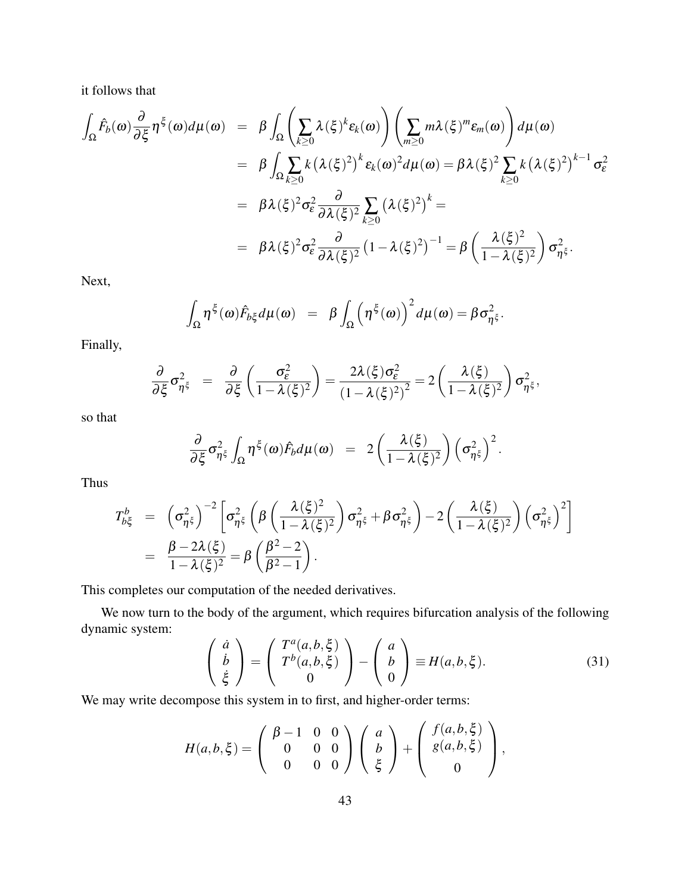it follows that

$$
\int_{\Omega} \hat{F}_{b}(\omega) \frac{\partial}{\partial \xi} \eta^{\xi}(\omega) d\mu(\omega) = \beta \int_{\Omega} \left( \sum_{k \geq 0} \lambda(\xi)^{k} \varepsilon_{k}(\omega) \right) \left( \sum_{m \geq 0} m \lambda(\xi)^{m} \varepsilon_{m}(\omega) \right) d\mu(\omega)
$$
  
\n
$$
= \beta \int_{\Omega} \sum_{k \geq 0} k (\lambda(\xi)^{2})^{k} \varepsilon_{k}(\omega)^{2} d\mu(\omega) = \beta \lambda(\xi)^{2} \sum_{k \geq 0} k (\lambda(\xi)^{2})^{k-1} \sigma_{\varepsilon}^{2}
$$
  
\n
$$
= \beta \lambda(\xi)^{2} \sigma_{\varepsilon}^{2} \frac{\partial}{\partial \lambda(\xi)^{2}} \sum_{k \geq 0} (\lambda(\xi)^{2})^{k} =
$$
  
\n
$$
= \beta \lambda(\xi)^{2} \sigma_{\varepsilon}^{2} \frac{\partial}{\partial \lambda(\xi)^{2}} (1 - \lambda(\xi)^{2})^{-1} = \beta \left( \frac{\lambda(\xi)^{2}}{1 - \lambda(\xi)^{2}} \right) \sigma_{\eta^{\xi}}^{2}.
$$

Next,

$$
\int_{\Omega} \eta^{\xi}(\omega) \hat{F}_{b\xi} d\mu(\omega) = \beta \int_{\Omega} \left( \eta^{\xi}(\omega) \right)^2 d\mu(\omega) = \beta \sigma_{\eta^{\xi}}^2.
$$

Finally,

$$
\frac{\partial}{\partial \xi} \sigma_{\eta^{\xi}}^2 = \frac{\partial}{\partial \xi} \left( \frac{\sigma_{\varepsilon}^2}{1 - \lambda(\xi)^2} \right) = \frac{2\lambda(\xi)\sigma_{\varepsilon}^2}{(1 - \lambda(\xi)^2)^2} = 2\left( \frac{\lambda(\xi)}{1 - \lambda(\xi)^2} \right) \sigma_{\eta^{\xi}}^2,
$$

so that

$$
\frac{\partial}{\partial \xi} \sigma_{\eta^{\xi}}^2 \int_{\Omega} \eta^{\xi}(\omega) \hat{F}_b d\mu(\omega) = 2 \left( \frac{\lambda(\xi)}{1 - \lambda(\xi)^2} \right) \left( \sigma_{\eta^{\xi}}^2 \right)^2.
$$

Thus

$$
T_{b\xi}^b = \left(\sigma_{\eta^{\xi}}^2\right)^{-2} \left[\sigma_{\eta^{\xi}}^2 \left(\beta \left(\frac{\lambda(\xi)^2}{1-\lambda(\xi)^2}\right) \sigma_{\eta^{\xi}}^2 + \beta \sigma_{\eta^{\xi}}^2\right) - 2 \left(\frac{\lambda(\xi)}{1-\lambda(\xi)^2}\right) \left(\sigma_{\eta^{\xi}}^2\right)^2\right]
$$
  
=  $\frac{\beta - 2\lambda(\xi)}{1-\lambda(\xi)^2} = \beta \left(\frac{\beta^2 - 2}{\beta^2 - 1}\right).$ 

This completes our computation of the needed derivatives.

We now turn to the body of the argument, which requires bifurcation analysis of the following dynamic system:

$$
\begin{pmatrix}\n\dot{a} \\
\dot{b} \\
\dot{\xi}\n\end{pmatrix} = \begin{pmatrix}\nT^a(a, b, \xi) \\
T^b(a, b, \xi) \\
0\n\end{pmatrix} - \begin{pmatrix}\na \\
b \\
0\n\end{pmatrix} \equiv H(a, b, \xi).\n\tag{31}
$$

We may write decompose this system in to first, and higher-order terms:

$$
H(a,b,\xi) = \begin{pmatrix} \beta - 1 & 0 & 0 \\ 0 & 0 & 0 \\ 0 & 0 & 0 \end{pmatrix} \begin{pmatrix} a \\ b \\ \xi \end{pmatrix} + \begin{pmatrix} f(a,b,\xi) \\ g(a,b,\xi) \\ 0 \end{pmatrix},
$$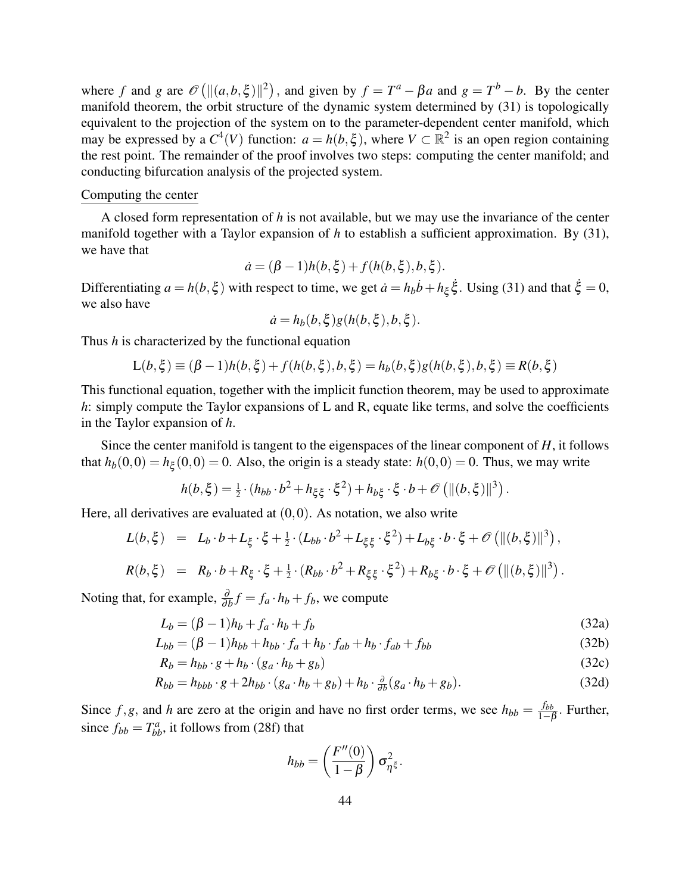where *f* and *g* are  $\mathcal{O}(||(a,b,\xi)||^2)$ , and given by  $f = T^a - \beta a$  and  $g = T^b - b$ . By the center manifold theorem, the orbit structure of the dynamic system determined by (31) is topologically equivalent to the projection of the system on to the parameter-dependent center manifold, which may be expressed by a  $C^4(V)$  function:  $a = h(b,\xi)$ , where  $V \subset \mathbb{R}^2$  is an open region containing the rest point. The remainder of the proof involves two steps: computing the center manifold; and conducting bifurcation analysis of the projected system.

#### Computing the center

A closed form representation of *h* is not available, but we may use the invariance of the center manifold together with a Taylor expansion of *h* to establish a sufficient approximation. By (31), we have that

$$
\dot{a} = (\beta - 1)h(b, \xi) + f(h(b, \xi), b, \xi).
$$

Differentiating  $a = h(b, \xi)$  with respect to time, we get  $\dot{a} = h_b \dot{b} + h_{\xi} \dot{\xi}$ . Using (31) and that  $\dot{\xi} = 0$ , we also have

$$
\dot{a} = h_b(b,\xi)g(h(b,\xi),b,\xi).
$$

Thus *h* is characterized by the functional equation

$$
L(b,\xi) \equiv (\beta - 1)h(b,\xi) + f(h(b,\xi),b,\xi) = h_b(b,\xi)g(h(b,\xi),b,\xi) \equiv R(b,\xi)
$$

This functional equation, together with the implicit function theorem, may be used to approximate *h*: simply compute the Taylor expansions of L and R, equate like terms, and solve the coefficients in the Taylor expansion of *h*.

Since the center manifold is tangent to the eigenspaces of the linear component of *H*, it follows that  $h_b(0,0) = h_{\xi}(0,0) = 0$ . Also, the origin is a steady state:  $h(0,0) = 0$ . Thus, we may write

$$
h(b,\xi) = \frac{1}{2} \cdot (h_{bb} \cdot b^2 + h_{\xi\xi} \cdot \xi^2) + h_{b\xi} \cdot \xi \cdot b + \mathscr{O}\left(\|(b,\xi)\|^3\right).
$$

Here, all derivatives are evaluated at  $(0,0)$ . As notation, we also write

$$
L(b,\xi) = L_b \cdot b + L_{\xi} \cdot \xi + \frac{1}{2} \cdot (L_{bb} \cdot b^2 + L_{\xi\xi} \cdot \xi^2) + L_{b\xi} \cdot b \cdot \xi + \mathcal{O}\left(\|(b,\xi)\|^3\right),
$$
  

$$
R(b,\xi) = R_b \cdot b + R_{\xi} \cdot \xi + \frac{1}{2} \cdot (R_{bb} \cdot b^2 + R_{\xi\xi} \cdot \xi^2) + R_{b\xi} \cdot b \cdot \xi + \mathcal{O}\left(\|(b,\xi)\|^3\right).
$$

Noting that, for example,  $\frac{\partial}{\partial b}f = f_a \cdot h_b + f_b$ , we compute

$$
L_b = (\beta - 1)h_b + f_a \cdot h_b + f_b \tag{32a}
$$

$$
L_{bb} = (\beta - 1)h_{bb} + h_{bb} \cdot f_a + h_b \cdot f_{ab} + h_b \cdot f_{ab} + f_{bb}
$$
\n
$$
(32b)
$$

$$
R_b = h_{bb} \cdot g + h_b \cdot (g_a \cdot h_b + g_b) \tag{32c}
$$

$$
R_{bb} = h_{bbb} \cdot g + 2h_{bb} \cdot (g_a \cdot h_b + g_b) + h_b \cdot \frac{\partial}{\partial b} (g_a \cdot h_b + g_b). \tag{32d}
$$

Since  $f, g$ , and *h* are zero at the origin and have no first order terms, we see  $h_{bb} = \frac{f_{bb}}{1 - f}$  $\frac{J_{bb}}{1-\beta}$ . Further, since  $f_{bb} = T_{bb}^a$ , it follows from (28f) that

$$
h_{bb} = \left(\frac{F''(0)}{1-\beta}\right)\sigma_{\eta^{\xi}}^2.
$$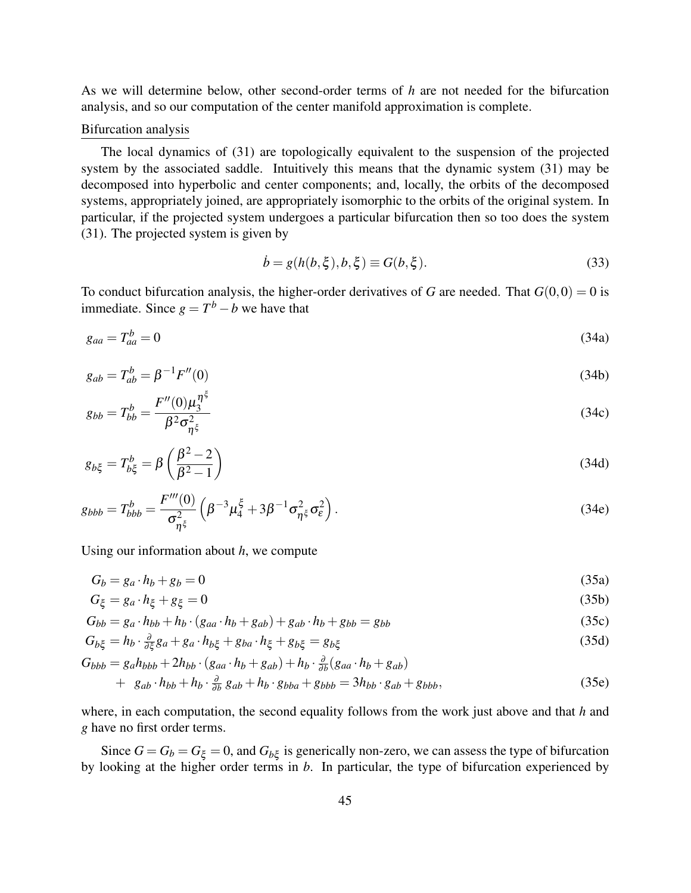As we will determine below, other second-order terms of *h* are not needed for the bifurcation analysis, and so our computation of the center manifold approximation is complete.

#### Bifurcation analysis

The local dynamics of (31) are topologically equivalent to the suspension of the projected system by the associated saddle. Intuitively this means that the dynamic system (31) may be decomposed into hyperbolic and center components; and, locally, the orbits of the decomposed systems, appropriately joined, are appropriately isomorphic to the orbits of the original system. In particular, if the projected system undergoes a particular bifurcation then so too does the system (31). The projected system is given by

$$
\dot{b} = g(h(b,\xi),b,\xi) \equiv G(b,\xi). \tag{33}
$$

To conduct bifurcation analysis, the higher-order derivatives of *G* are needed. That  $G(0,0) = 0$  is immediate. Since  $g = T^b - b$  we have that

$$
g_{aa} = T_{aa}^b = 0 \tag{34a}
$$

$$
g_{ab} = T_{ab}^b = \beta^{-1} F''(0)
$$
\n(34b)

$$
g_{bb} = T_{bb}^b = \frac{F''(0)\mu_3^{\eta^5}}{\beta^2 \sigma_{\eta^5}^2}
$$
 (34c)

$$
g_{b\xi} = T_{b\xi}^b = \beta \left(\frac{\beta^2 - 2}{\beta^2 - 1}\right) \tag{34d}
$$

$$
g_{bbb} = T_{bbb}^{b} = \frac{F'''(0)}{\sigma_{\eta\xi}^2} \left( \beta^{-3} \mu_4^{\xi} + 3 \beta^{-1} \sigma_{\eta\xi}^2 \sigma_{\varepsilon}^2 \right). \tag{34e}
$$

Using our information about *h*, we compute

$$
G_b = g_a \cdot h_b + g_b = 0 \tag{35a}
$$

$$
G_{\xi} = g_a \cdot h_{\xi} + g_{\xi} = 0 \tag{35b}
$$

$$
G_{bb} = g_a \cdot h_{bb} + h_b \cdot (g_{aa} \cdot h_b + g_{ab}) + g_{ab} \cdot h_b + g_{bb} = g_{bb}
$$
\n
$$
(35c)
$$

$$
G_{b\xi} = h_b \cdot \frac{\partial}{\partial \xi} g_a + g_a \cdot h_{b\xi} + g_{ba} \cdot h_{\xi} + g_{b\xi} = g_{b\xi}
$$
(35d)

$$
G_{bbb} = g_a h_{bbb} + 2h_{bb} \cdot (g_{aa} \cdot h_b + g_{ab}) + h_b \cdot \frac{\partial}{\partial b} (g_{aa} \cdot h_b + g_{ab}) + g_{ab} \cdot h_{bb} + h_b \cdot \frac{\partial}{\partial b} g_{ab} + h_b \cdot g_{bba} + g_{bbb} = 3h_{bb} \cdot g_{ab} + g_{bbb},
$$
(35e)

where, in each computation, the second equality follows from the work just above and that *h* and *g* have no first order terms.

Since  $G = G_b = G_{\xi} = 0$ , and  $G_{b\xi}$  is generically non-zero, we can assess the type of bifurcation by looking at the higher order terms in *b*. In particular, the type of bifurcation experienced by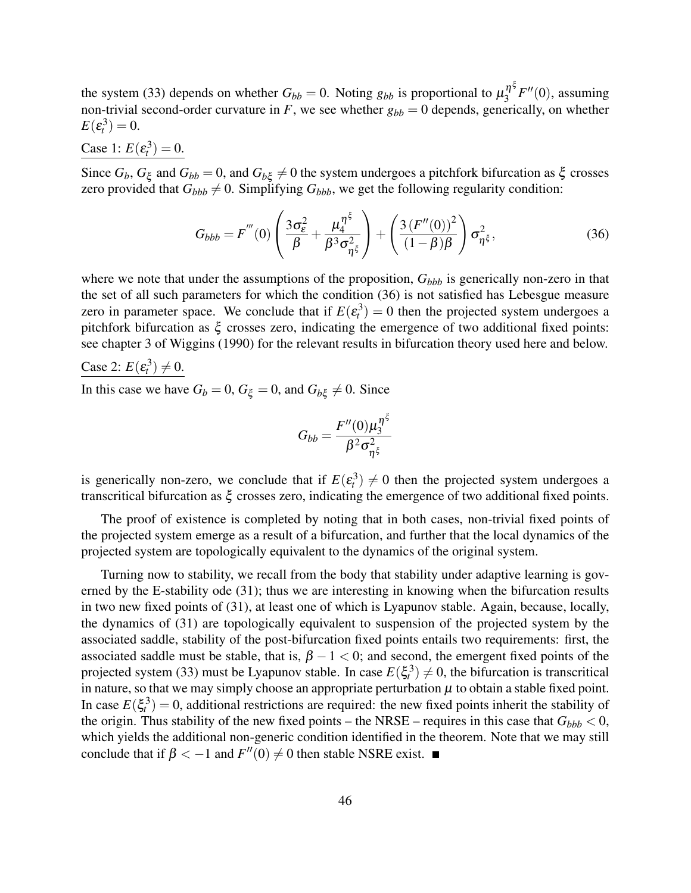the system (33) depends on whether  $G_{bb} = 0$ . Noting  $g_{bb}$  is proportional to  $\mu_3^{\eta^{\xi}}$  $i_3^{\eta}$ <sup>5</sup> $F''(0)$ , assuming non-trivial second-order curvature in  $F$ , we see whether  $g_{bb} = 0$  depends, generically, on whether  $E(\varepsilon_t^3)=0.$ 

### **Case** 1:  $E(\epsilon_t^3) = 0$ .

Since  $G_b$ ,  $G_\xi$  and  $G_{bb} = 0$ , and  $G_{b\xi} \neq 0$  the system undergoes a pitchfork bifurcation as  $\xi$  crosses zero provided that  $G_{bbb} \neq 0$ . Simplifying  $G_{bbb}$ , we get the following regularity condition:

$$
G_{bbb} = F'''(0) \left( \frac{3\sigma_{\varepsilon}^2}{\beta} + \frac{\mu_4^{\eta^{\xi}}}{\beta^3 \sigma_{\eta^{\xi}}^2} \right) + \left( \frac{3\left(F''(0)\right)^2}{\left(1 - \beta\right)\beta} \right) \sigma_{\eta^{\xi}}^2,
$$
\n(36)

where we note that under the assumptions of the proposition,  $G_{bbb}$  is generically non-zero in that the set of all such parameters for which the condition (36) is not satisfied has Lebesgue measure zero in parameter space. We conclude that if  $E(\varepsilon_i^3) = 0$  then the projected system undergoes a pitchfork bifurcation as  $\xi$  crosses zero, indicating the emergence of two additional fixed points: see chapter 3 of Wiggins (1990) for the relevant results in bifurcation theory used here and below.

Case 2: 
$$
E(\varepsilon_t^3) \neq 0
$$
.

In this case we have  $G_b = 0$ ,  $G_{\xi} = 0$ , and  $G_{b\xi} \neq 0$ . Since

$$
G_{bb} = \frac{F''(0)\mu_3^{\eta^{\xi}}}{\beta^2 \sigma_{\eta^{\xi}}^2}
$$

is generically non-zero, we conclude that if  $E(\epsilon_t^3) \neq 0$  then the projected system undergoes a transcritical bifurcation as ξ crosses zero, indicating the emergence of two additional fixed points.

The proof of existence is completed by noting that in both cases, non-trivial fixed points of the projected system emerge as a result of a bifurcation, and further that the local dynamics of the projected system are topologically equivalent to the dynamics of the original system.

Turning now to stability, we recall from the body that stability under adaptive learning is governed by the E-stability ode (31); thus we are interesting in knowing when the bifurcation results in two new fixed points of (31), at least one of which is Lyapunov stable. Again, because, locally, the dynamics of (31) are topologically equivalent to suspension of the projected system by the associated saddle, stability of the post-bifurcation fixed points entails two requirements: first, the associated saddle must be stable, that is,  $\beta - 1 < 0$ ; and second, the emergent fixed points of the projected system (33) must be Lyapunov stable. In case  $E(\xi_i^3) \neq 0$ , the bifurcation is transcritical in nature, so that we may simply choose an appropriate perturbation  $\mu$  to obtain a stable fixed point. In case  $E(\xi_t^3) = 0$ , additional restrictions are required: the new fixed points inherit the stability of the origin. Thus stability of the new fixed points – the NRSE – requires in this case that  $G_{bbb} < 0$ , which yields the additional non-generic condition identified in the theorem. Note that we may still conclude that if  $\beta < -1$  and  $F''(0) \neq 0$  then stable NSRE exist.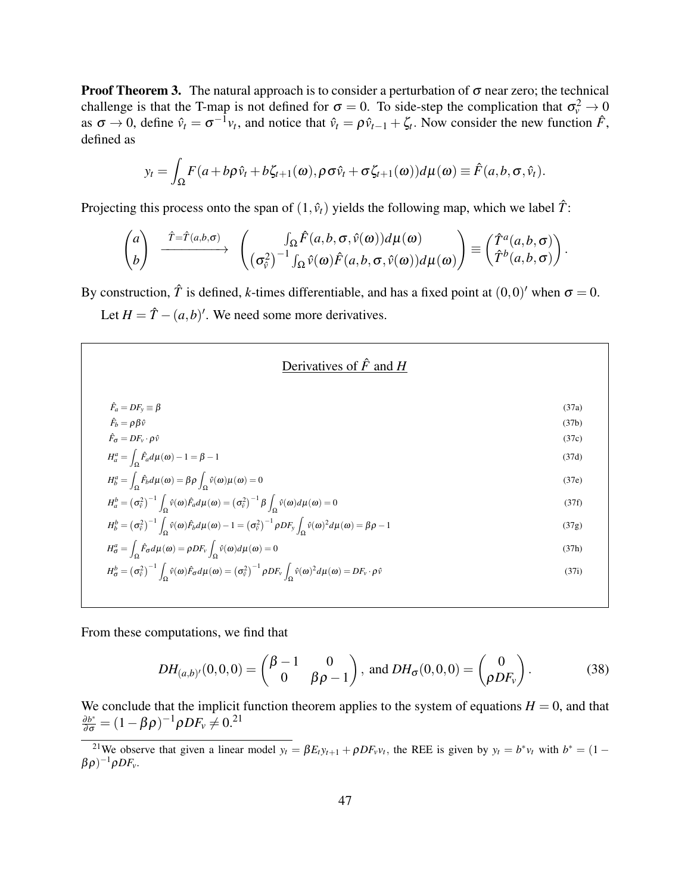**Proof Theorem 3.** The natural approach is to consider a perturbation of  $\sigma$  near zero; the technical challenge is that the T-map is not defined for  $\sigma = 0$ . To side-step the complication that  $\sigma_v^2 \to 0$ as  $\sigma \to 0$ , define  $\hat{v}_t = \sigma^{-1}v_t$ , and notice that  $\hat{v}_t = \rho \hat{v}_{t-1} + \zeta_t$ . Now consider the new function  $\hat{F}$ , defined as

$$
y_t = \int_{\Omega} F(a + b\rho \hat{v}_t + b\zeta_{t+1}(\omega), \rho \sigma \hat{v}_t + \sigma \zeta_{t+1}(\omega)) d\mu(\omega) \equiv \hat{F}(a, b, \sigma, \hat{v}_t).
$$

Projecting this process onto the span of  $(1, \hat{v}_t)$  yields the following map, which we label  $\hat{T}$ :

$$
\begin{pmatrix} a \\ b \end{pmatrix} \xrightarrow{\hat{T} = \hat{T}(a,b,\sigma)} \begin{pmatrix} \int_{\Omega} \hat{F}(a,b,\sigma,\hat{v}(\omega)) d\mu(\omega) \\ (\sigma_{\hat{v}}^2)^{-1} \int_{\Omega} \hat{v}(\omega) \hat{F}(a,b,\sigma,\hat{v}(\omega)) d\mu(\omega) \end{pmatrix} \equiv \begin{pmatrix} \hat{T}^a(a,b,\sigma) \\ \hat{T}^b(a,b,\sigma) \end{pmatrix}.
$$

By construction,  $\hat{T}$  is defined, *k*-times differentiable, and has a fixed point at  $(0,0)'$  when  $\sigma = 0$ .

Let  $H = \hat{T} - (a, b)$ <sup>'</sup>. We need some more derivatives.

![](_page_46_Figure_6.jpeg)

From these computations, we find that

$$
DH_{(a,b)'}(0,0,0) = \begin{pmatrix} \beta - 1 & 0 \\ 0 & \beta \rho - 1 \end{pmatrix}, \text{ and } DH_{\sigma}(0,0,0) = \begin{pmatrix} 0 \\ \rho DF_v \end{pmatrix}.
$$
 (38)

We conclude that the implicit function theorem applies to the system of equations  $H = 0$ , and that  $\frac{\partial b^*}{\partial \sigma} = (1 - \beta \rho)^{-1} \rho D F_v \neq 0.21$ 

<sup>&</sup>lt;sup>21</sup>We observe that given a linear model  $y_t = \beta E_t y_{t+1} + \rho D F_v v_t$ , the REE is given by  $y_t = b^* v_t$  with  $b^* = (1 - \mu)$  $(\beta \rho)^{-1} \rho D F_v$ .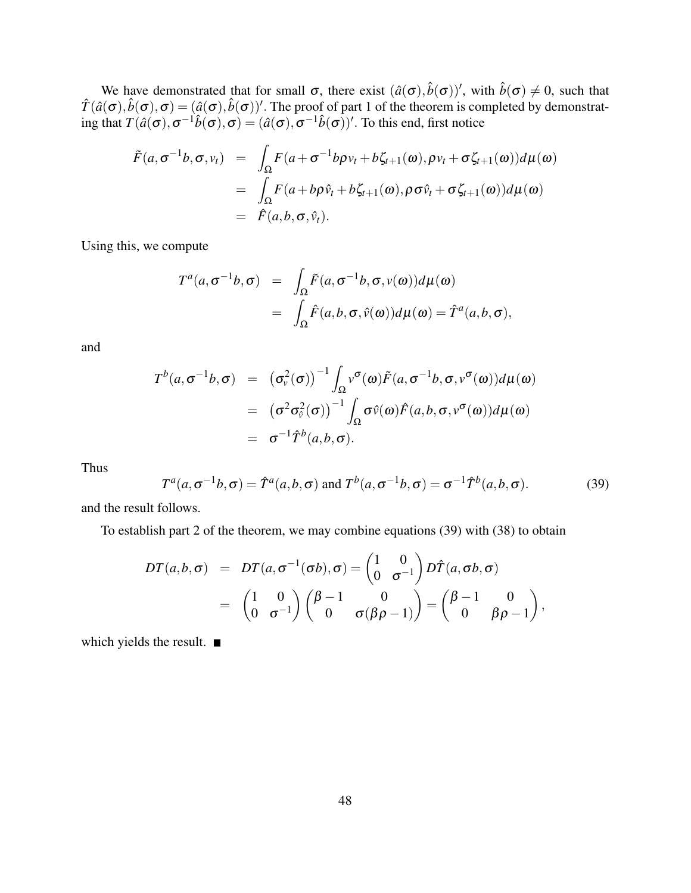We have demonstrated that for small  $\sigma$ , there exist  $(\hat{a}(\sigma), \hat{b}(\sigma))'$ , with  $\hat{b}(\sigma) \neq 0$ , such that  $\hat{T}(\hat{a}(\sigma), \hat{b}(\sigma), \sigma) = (\hat{a}(\sigma), \hat{b}(\sigma))'$ . The proof of part 1 of the theorem is completed by demonstrating that  $T(\hat{a}(\sigma), \sigma^{-1}\hat{b}(\sigma), \sigma) = (\hat{a}(\sigma), \sigma^{-1}\hat{b}(\sigma))'.$  To this end, first notice

$$
\tilde{F}(a, \sigma^{-1}b, \sigma, v_t) = \int_{\Omega} F(a + \sigma^{-1}b\rho v_t + b\zeta_{t+1}(\omega), \rho v_t + \sigma \zeta_{t+1}(\omega))d\mu(\omega) \n= \int_{\Omega} F(a + b\rho \hat{v}_t + b\zeta_{t+1}(\omega), \rho \sigma \hat{v}_t + \sigma \zeta_{t+1}(\omega))d\mu(\omega) \n= \hat{F}(a, b, \sigma, \hat{v}_t).
$$

Using this, we compute

$$
T^{a}(a,\sigma^{-1}b,\sigma) = \int_{\Omega} \tilde{F}(a,\sigma^{-1}b,\sigma,v(\omega))d\mu(\omega)
$$
  
= 
$$
\int_{\Omega} \hat{F}(a,b,\sigma,\hat{v}(\omega))d\mu(\omega) = \hat{T}^{a}(a,b,\sigma),
$$

and

$$
T^{b}(a, \sigma^{-1}b, \sigma) = (\sigma_{\nu}^{2}(\sigma))^{-1} \int_{\Omega} \nu^{\sigma}(\omega) \tilde{F}(a, \sigma^{-1}b, \sigma, \nu^{\sigma}(\omega)) d\mu(\omega)
$$
  

$$
= (\sigma^{2} \sigma_{\nu}^{2}(\sigma))^{-1} \int_{\Omega} \sigma \hat{\nu}(\omega) \hat{F}(a, b, \sigma, \nu^{\sigma}(\omega)) d\mu(\omega)
$$
  

$$
= \sigma^{-1} \hat{T}^{b}(a, b, \sigma).
$$

Thus

$$
T^{a}(a,\sigma^{-1}b,\sigma) = \hat{T}^{a}(a,b,\sigma) \text{ and } T^{b}(a,\sigma^{-1}b,\sigma) = \sigma^{-1}\hat{T}^{b}(a,b,\sigma). \tag{39}
$$

and the result follows.

To establish part 2 of the theorem, we may combine equations (39) with (38) to obtain

$$
DT(a,b,\sigma) = DT(a,\sigma^{-1}(\sigma b),\sigma) = \begin{pmatrix} 1 & 0 \\ 0 & \sigma^{-1} \end{pmatrix} D\hat{T}(a,\sigma b,\sigma)
$$
  
= 
$$
\begin{pmatrix} 1 & 0 \\ 0 & \sigma^{-1} \end{pmatrix} \begin{pmatrix} \beta-1 & 0 \\ 0 & \sigma(\beta\rho-1) \end{pmatrix} = \begin{pmatrix} \beta-1 & 0 \\ 0 & \beta\rho-1 \end{pmatrix},
$$

which yields the result.  $\blacksquare$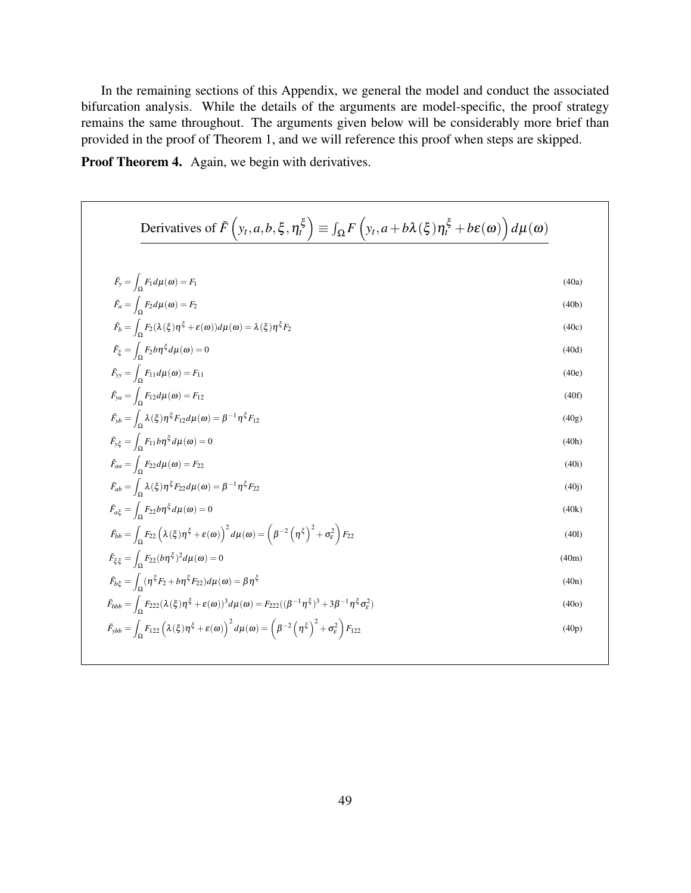In the remaining sections of this Appendix, we general the model and conduct the associated bifurcation analysis. While the details of the arguments are model-specific, the proof strategy remains the same throughout. The arguments given below will be considerably more brief than provided in the proof of Theorem 1, and we will reference this proof when steps are skipped.

Proof Theorem 4. Again, we begin with derivatives.

Derivatives of 
$$
\tilde{F}\left(y_t, a, b, \xi, \eta_t^{\xi}\right) \equiv \int_{\Omega} F\left(y_t, a+b\lambda(\xi)\eta_t^{\xi} + be(\omega)\right) d\mu(\omega)
$$
  
\n
$$
\tilde{F}_y = \int_{\Omega} F_1 d\mu(\omega) = F_1
$$
\n(40a)  
\n
$$
\tilde{F}_b = \int_{\Omega} F_2 d\mu(\omega) = F_2
$$
\n(40b)  
\n
$$
\tilde{F}_{\xi} = \int_{\Omega} F_2 b\eta^{\xi} d\mu(\omega) = 0
$$
\n(40c)  
\n
$$
\tilde{F}_y = \int_{\Omega} F_1 d\mu(\omega) = F_{11}
$$
\n(40e)  
\n
$$
\tilde{F}_{yy} = \int_{\Omega} F_{12} d\mu(\omega) = F_{12}
$$
\n(40f)  
\n
$$
\tilde{F}_{yy} = \int_{\Omega} \lambda(\xi)\eta^{\xi} F_{12} d\mu(\omega) = \beta^{-1}\eta^{\xi} F_{12}
$$
\n(40g)  
\n
$$
\tilde{F}_{yy} = \int_{\Omega} \lambda(\xi)\eta^{\xi} F_{12} d\mu(\omega) = 0
$$
\n(40h)  
\n
$$
\tilde{F}_{ab} = \int_{\Omega} F_{12} b\mu(\omega) = F_{22}
$$
\n(40i)  
\n
$$
\tilde{F}_{ab} = \int_{\Omega} \lambda(\xi)\eta^{\xi} F_{22} d\mu(\omega) = \beta^{-1}\eta^{\xi} F_{22}
$$
\n(40j)  
\n
$$
\tilde{F}_{ab} = \int_{\Omega} F_{22} b\eta^{\xi} d\mu(\omega) = 0
$$
\n(40k)  
\n
$$
\tilde{F}_{bb} = \int_{\Omega} F_{22} b\eta^{\xi} d\mu(\omega) = 0
$$
\n(40l)  
\n
$$
\tilde{F}_{bb} = \int_{\Omega} F_{22} b\eta^{\xi} d\mu(\omega) = 0
$$
\n(40m)  
\n
$$
\tilde{F}_{bb} = \int_{\Omega} F_{22} b\eta^{\xi} d\mu(\omega) = 0
$$
\n(40m)  
\n $$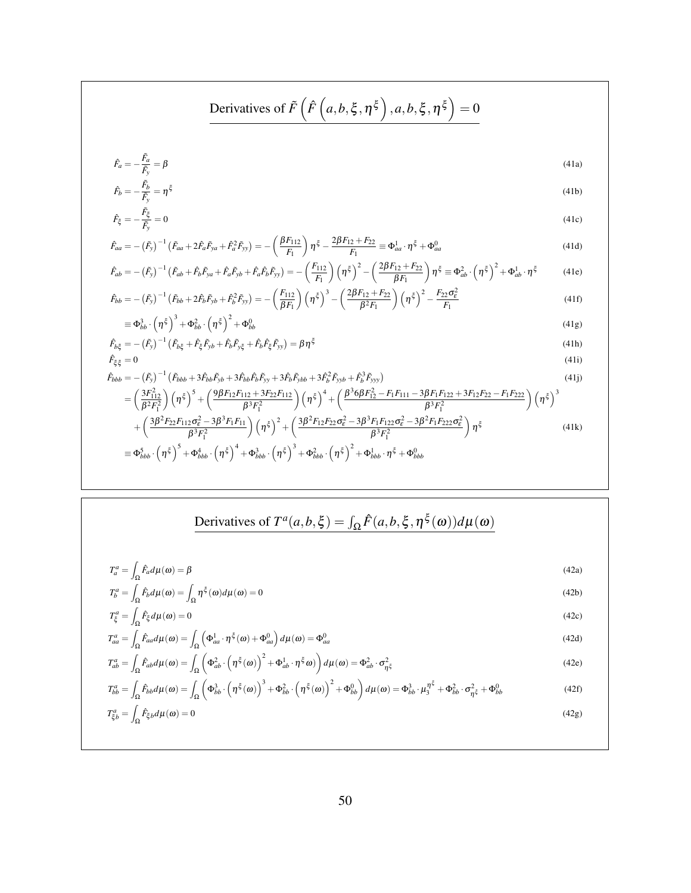$$
\begin{aligned}\n\text{Derivatives of } &\tilde{F}\left(\hat{F}\left(a,b,\xi,\eta^{\xi}\right),a,b,\xi,\eta^{\xi}\right)=0 \\
\hat{F}_{a} &= -\frac{\tilde{F}_{a}}{\tilde{F}_{y}}=\tilde{p}^{2} \\
\hat{F}_{b} &= -\frac{\tilde{F}_{b}}{\tilde{F}_{y}}=\eta^{\xi} \\
\hat{F}_{c} &= -\frac{\tilde{F}_{c}}{\tilde{F}_{y}}=0\n\end{aligned}
$$
\n
$$
\begin{aligned}\n\hat{F}_{aa} &= -(F_{y})^{-1}\left(\tilde{F}_{aa}+2\tilde{F}_{a}\tilde{F}_{ya}+\tilde{F}_{a}^{2}\tilde{F}_{yy}\right)=-\left(\frac{\beta F_{112}}{\tilde{F}_{1}}\right)\eta^{\xi}-\frac{2\beta F_{12}+F_{22}}{\tilde{F}_{1}}\equiv\Phi_{aa}^{1} \cdot \eta^{\xi}+\Phi_{aa}^{0} \\
\hat{F}_{ab} &= -(F_{y})^{-1}\left(\tilde{F}_{ab}+2\tilde{F}_{b}^{2}\pi+\tilde{F}_{a}\tilde{F}_{yb}+\tilde{F}_{a}\tilde{F}_{b}\tilde{F}_{yy}\right)=-\left(\frac{F_{112}}{\tilde{F}_{1}}\right)\left(\eta^{\xi}\right)^{2}-\left(\frac{2\beta F_{12}+F_{22}}{\beta F_{1}}\right)\eta^{\xi}\equiv\Phi_{ab}^{2} \cdot\left(\eta^{\xi}\right)^{2}+\Phi_{ab}^{1} \cdot \eta^{\xi} \qquad (41e) \\
\hat{F}_{bb} &= -(F_{y})^{-1}\left(\tilde{F}_{bb}+2\tilde{F}_{b}\tilde{F}_{y}+\tilde{F}_{b}^{2}\tilde{F}_{yy}\right)=-\left(\frac{F_{112}}{\tilde{F}_{1}}\right)\left(\eta^{\xi}\right)^{3}-\left(\frac{2\beta F_{12}+F_{22}}{\beta F_{1}}\right)\left(\eta^{\xi}\right)^{2}-\frac{F_{22}\sigma_{\xi}^{2}}{\tilde{F}_{1}}\qquad (41f) \\
&= \Phi_{bb}^{3} \cdot\left(\eta^{\xi}\right)^{3} + \Phi_{bb}^{2} \cdot\left(\eta^{\xi}\right)^{2} + \Phi_{bb}^{6}\
$$

# Derivatives of  $T^a(a,b,\xi) = \int_{\Omega} \hat{F}(a,b,\xi,\eta^{\xi}(\omega))d\mu(\omega)$

$$
T_a^a = \int_{\Omega} \hat{F}_a d\mu(\omega) = \beta \tag{42a}
$$

$$
T_b^a = \int_{\Omega} \hat{F}_b d\mu(\omega) = \int_{\Omega} \eta^{\xi}(\omega) d\mu(\omega) = 0
$$
\n(42b)

$$
T_{\xi}^{a} = \int_{\Omega} \hat{F}_{\xi} d\mu(\omega) = 0
$$
\n(42c)

$$
T_{aa}^a = \int_{\Omega} \hat{F}_{aa} d\mu(\omega) = \int_{\Omega} \left( \Phi_{aa}^1 \cdot \eta^{\xi}(\omega) + \Phi_{aa}^0 \right) d\mu(\omega) = \Phi_{aa}^0
$$
\n(42d)

$$
T_{ab}^a = \int_{\Omega} \hat{F}_{ab} d\mu(\omega) = \int_{\Omega} \left( \Phi_{ab}^2 \cdot \left( \eta^{\xi}(\omega) \right)^2 + \Phi_{ab}^1 \cdot \eta^{\xi} \omega \right) d\mu(\omega) = \Phi_{ab}^2 \cdot \sigma_{\eta^{\xi}}^2
$$
(42e)

$$
T_{bb}^{a} = \int_{\Omega} \hat{F}_{bb} d\mu(\omega) = \int_{\Omega} \left( \Phi_{bb}^{3} \cdot \left( \eta^{\xi}(\omega) \right)^{3} + \Phi_{bb}^{2} \cdot \left( \eta^{\xi}(\omega) \right)^{2} + \Phi_{bb}^{0} \right) d\mu(\omega) = \Phi_{bb}^{3} \cdot \mu_{3}^{\eta^{\xi}} + \Phi_{bb}^{2} \cdot \sigma_{\eta^{\xi}}^{2} + \Phi_{bb}^{0}
$$
(42f)

$$
T_{\xi b}^{a} = \int_{\Omega} \hat{F}_{\xi b} d\mu(\omega) = 0
$$
\n(42g)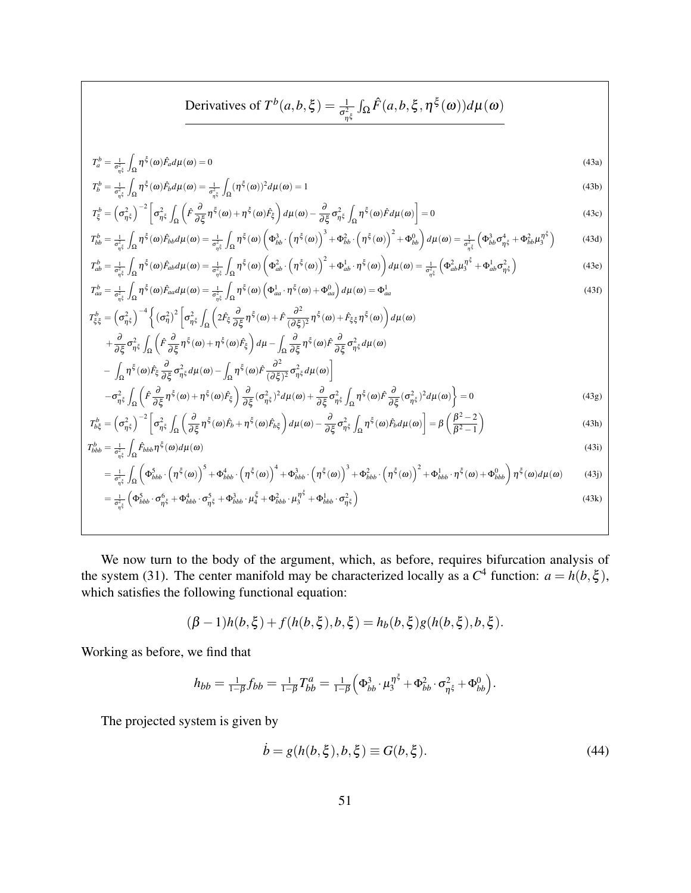Derivatives of 
$$
T^b(a,b,\xi) = \frac{1}{\sigma_{\eta\xi}^2} \int_{\Omega} \hat{F}(a,b,\xi,\eta^{\xi}(\omega)) d\mu(\omega)
$$

$$
T_a^b = \frac{1}{\sigma_{\eta\zeta}^2} \int_{\Omega} \eta^{\zeta}(\omega) \hat{F}_a d\mu(\omega) = 0
$$
\n(43a)

$$
T_b^b = \frac{1}{\sigma_{\eta\xi}^2} \int_{\Omega} \eta^{\xi}(\omega) \hat{F}_b d\mu(\omega) = \frac{1}{\sigma_{\eta\xi}^2} \int_{\Omega} (\eta^{\xi}(\omega))^2 d\mu(\omega) = 1
$$
\n(43b)

$$
T_{\xi}^{b} = \left(\sigma_{\eta\xi}^{2}\right)^{-2} \left[\sigma_{\eta\xi}^{2} \int_{\Omega} \left(\hat{F}\frac{\partial}{\partial\xi}\eta^{\xi}(\omega) + \eta^{\xi}(\omega)\hat{F}_{\xi}\right) d\mu(\omega) - \frac{\partial}{\partial\xi}\sigma_{\eta\xi}^{2} \int_{\Omega} \eta^{\xi}(\omega)\hat{F}d\mu(\omega)\right] = 0
$$
\n(43c)

$$
T_{bb}^{b} = \frac{1}{\sigma_{\eta\xi}^{2}} \int_{\Omega} \eta^{\xi}(\omega) \hat{F}_{bb} d\mu(\omega) = \frac{1}{\sigma_{\eta\xi}^{2}} \int_{\Omega} \eta^{\xi}(\omega) \left(\Phi_{bb}^{3} \cdot \left(\eta^{\xi}(\omega)\right)^{3} + \Phi_{bb}^{2} \cdot \left(\eta^{\xi}(\omega)\right)^{2} + \Phi_{bb}^{0}\right) d\mu(\omega) = \frac{1}{\sigma_{\eta\xi}^{2}} \left(\Phi_{bb}^{3} \sigma_{\eta\xi}^{4} + \Phi_{bb}^{2} \mu_{3}^{\eta\xi}\right)
$$
(43d)

$$
T_{ab}^{b} = \frac{1}{\sigma_{\eta^{\xi}}^{2}} \int_{\Omega} \eta^{\xi}(\omega) \hat{F}_{ab} d\mu(\omega) = \frac{1}{\sigma_{\eta^{\xi}}^{2}} \int_{\Omega} \eta^{\xi}(\omega) \left(\Phi_{ab}^{2} \cdot \left(\eta^{\xi}(\omega)\right)^{2} + \Phi_{ab}^{1} \cdot \eta^{\xi}(\omega)\right) d\mu(\omega) = \frac{1}{\sigma_{\eta^{\xi}}^{2}} \left(\Phi_{ab}^{2} \mu_{3}^{\eta^{\xi}} + \Phi_{ab}^{1} \sigma_{\eta^{\xi}}^{2}\right)
$$
(43e)

$$
T_{aa}^{b} = \frac{1}{\sigma_{\eta\xi}^{2}} \int_{\Omega} \eta^{\xi}(\omega) \hat{F}_{aa} d\mu(\omega) = \frac{1}{\sigma_{\eta\xi}^{2}} \int_{\Omega} \eta^{\xi}(\omega) \left(\Phi_{aa}^{1} \cdot \eta^{\xi}(\omega) + \Phi_{aa}^{0}\right) d\mu(\omega) = \Phi_{aa}^{1}
$$
\n
$$
(43f)
$$

$$
T_{\xi\xi}^{b} = \left(\sigma_{\eta\xi}^{2}\right)^{-4} \left\{ \left(\sigma_{\eta}^{2}\right)^{2} \left[\sigma_{\eta\xi}^{2}\int_{\Omega}\left(2\hat{F}_{\xi}\frac{\partial}{\partial\xi}\eta^{\xi}(\omega)+\hat{F}\frac{\partial^{2}}{(\partial\xi)^{2}}\eta^{\xi}(\omega)+\hat{F}_{\xi\xi}\eta^{\xi}(\omega)\right)d\mu(\omega) \right.\right.\left. +\frac{\partial}{\partial\xi}\sigma_{\eta\xi}^{2}\int_{\Omega}\left(\hat{F}\frac{\partial}{\partial\xi}\eta^{\xi}(\omega)+\eta^{\xi}(\omega)\hat{F}_{\xi}\right)d\mu-\int_{\Omega}\frac{\partial}{\partial\xi}\eta^{\xi}(\omega)\hat{F}\frac{\partial}{\partial\xi}\sigma_{\eta\xi}^{2}d\mu(\omega) \right.\left. -\int_{\Omega}\eta^{\xi}(\omega)\hat{F}_{\xi}\frac{\partial}{\partial\xi}\sigma_{\eta\xi}^{2}d\mu(\omega)-\int_{\Omega}\eta^{\xi}(\omega)\hat{F}\frac{\partial^{2}}{(\partial\xi)^{2}}\sigma_{\eta\xi}^{2}d\mu(\omega)\right]\left. -\sigma_{\eta\xi}^{2}\int_{\Omega}\left(\hat{F}\frac{\partial}{\partial\xi}\eta^{\xi}(\omega)+\eta^{\xi}(\omega)\hat{F}_{\xi}\right)\frac{\partial}{\partial\xi}(\sigma_{\eta\xi}^{2})^{2}d\mu(\omega)+\frac{\partial}{\partial\xi}\sigma_{\eta\xi}^{2}\int_{\Omega}\eta^{\xi}(\omega)\hat{F}\frac{\partial}{\partial\xi}(\sigma_{\eta\xi}^{2})^{2}d\mu(\omega)\right>=0
$$
\n(43g)

$$
T_{b\xi}^{b} = \left(\sigma_{\eta\xi}^{2}\right)^{-2} \left[\sigma_{\eta\xi}^{2} \int_{\Omega} \left(\frac{\partial}{\partial \xi} \eta^{\xi}(\omega) \hat{F}_{b} + \eta^{\xi}(\omega) \hat{F}_{b\xi}\right) d\mu(\omega) - \frac{\partial}{\partial \xi} \sigma_{\eta\xi}^{2} \int_{\Omega} \eta^{\xi}(\omega) \hat{F}_{b} d\mu(\omega)\right] = \beta \left(\frac{\beta^{2}-2}{\beta^{2}-1}\right)
$$
(43h)

$$
T_{bbb}^{b} = \frac{1}{\sigma_{\eta\xi}^2} \int_{\Omega} \hat{F}_{bbb} \eta^{\xi}(\omega) d\mu(\omega)
$$
\n
$$
1 + \int_{\Omega} \left( \sigma_{\phi}^{\xi}(\omega) \right)^5 + \sigma_{\phi}^4 - \left( \sigma_{\phi}^{\xi}(\omega) \right)^4 + \sigma_{\phi}^3 - \left( \sigma_{\phi}^{\xi}(\omega) \right)^3 + \sigma_{\phi}^2 - \left( \sigma_{\phi}^{\xi}(\omega) \right)^2 + \sigma_{\phi}^4 - \sigma_{\phi}^{\xi}(\omega) d\mu(\omega)
$$
\n
$$
(43i)
$$

$$
= \frac{1}{\sigma_{\eta\xi}^2} \int_{\Omega} \left( \Phi_{bbb}^5 \cdot \left( \eta^{\xi}(\omega) \right)^5 + \Phi_{bbb}^4 \cdot \left( \eta^{\xi}(\omega) \right)^4 + \Phi_{bbb}^3 \cdot \left( \eta^{\xi}(\omega) \right)^3 + \Phi_{bbb}^2 \cdot \left( \eta^{\xi}(\omega) \right)^2 + \Phi_{bbb}^1 \cdot \eta^{\xi}(\omega) + \Phi_{bbb}^0 \right) \eta^{\xi}(\omega) d\mu(\omega) \tag{43}
$$

$$
= \frac{1}{\sigma_{\eta\xi}^2} \left( \Phi_{bbb}^5 \cdot \sigma_{\eta\xi}^6 + \Phi_{bbb}^4 \cdot \sigma_{\eta\xi}^5 + \Phi_{bbb}^3 \cdot \mu_4^5 + \Phi_{bbb}^2 \cdot \mu_3^7 + \Phi_{bbb}^1 \cdot \sigma_{\eta\xi}^2 \right)
$$
(43k)

We now turn to the body of the argument, which, as before, requires bifurcation analysis of the system (31). The center manifold may be characterized locally as a  $C^4$  function:  $a = h(b, \xi)$ , which satisfies the following functional equation:

$$
(\beta - 1)h(b, \xi) + f(h(b, \xi), b, \xi) = h_b(b, \xi)g(h(b, \xi), b, \xi).
$$

Working as before, we find that

$$
h_{bb} = \frac{1}{1-\beta} f_{bb} = \frac{1}{1-\beta} T_{bb}^a = \frac{1}{1-\beta} \left( \Phi_{bb}^3 \cdot \mu_3^{\eta^{\xi}} + \Phi_{bb}^2 \cdot \sigma_{\eta^{\xi}}^2 + \Phi_{bb}^0 \right).
$$

The projected system is given by

$$
\dot{b} = g(h(b, \xi), b, \xi) \equiv G(b, \xi). \tag{44}
$$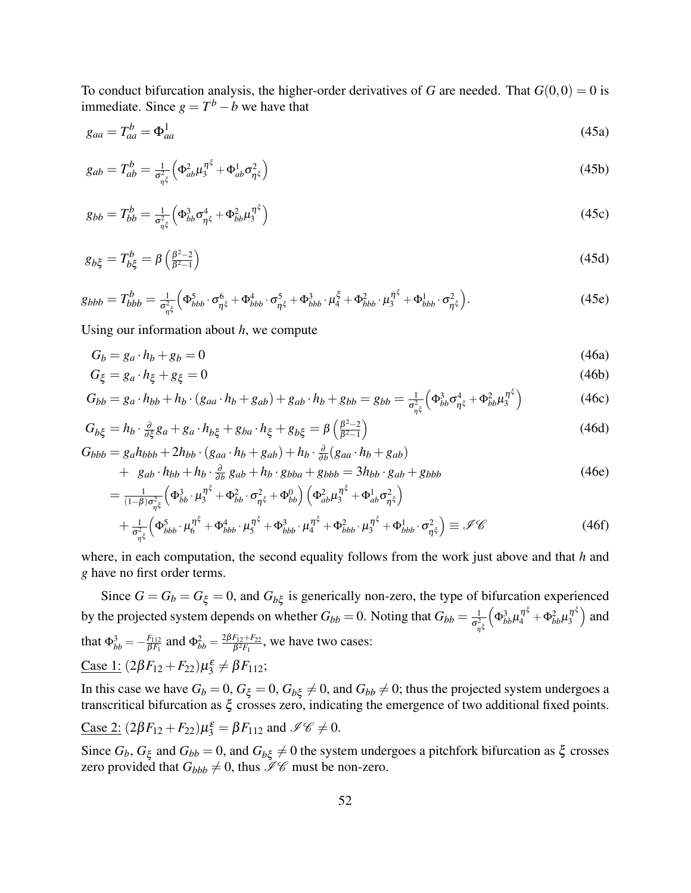To conduct bifurcation analysis, the higher-order derivatives of *G* are needed. That  $G(0,0) = 0$  is immediate. Since  $g = T^b - b$  we have that

$$
g_{aa} = T_{aa}^b = \Phi_{aa}^1 \tag{45a}
$$

$$
g_{ab} = T_{ab}^b = \frac{1}{\sigma_{\eta^{\xi}}^2} \left( \Phi_{ab}^2 \mu_3^{\eta^{\xi}} + \Phi_{ab}^1 \sigma_{\eta^{\xi}}^2 \right)
$$
(45b)

$$
g_{bb} = T_{bb}^b = \frac{1}{\sigma_{\eta^{\xi}}^2} \left( \Phi_{bb}^3 \sigma_{\eta^{\xi}}^4 + \Phi_{bb}^2 \mu_3^{\eta^{\xi}} \right)
$$
(45c)

$$
g_{b\xi} = T_{b\xi}^b = \beta \left(\frac{\beta^2 - 2}{\beta^2 - 1}\right) \tag{45d}
$$

$$
g_{bbb} = T_{bbb}^b = \frac{1}{\sigma_{\eta\xi}^2} \Big( \Phi_{bbb}^5 \cdot \sigma_{\eta\xi}^6 + \Phi_{bbb}^4 \cdot \sigma_{\eta\xi}^5 + \Phi_{bbb}^3 \cdot \mu_4^5 + \Phi_{bbb}^2 \cdot \mu_3^7 + \Phi_{bbb}^1 \cdot \sigma_{\eta\xi}^2 \Big). \tag{45e}
$$

Using our information about *h*, we compute

$$
G_b = g_a \cdot h_b + g_b = 0 \tag{46a}
$$

$$
G_{\xi} = g_a \cdot h_{\xi} + g_{\xi} = 0 \tag{46b}
$$

$$
G_{bb} = g_a \cdot h_{bb} + h_b \cdot (g_{aa} \cdot h_b + g_{ab}) + g_{ab} \cdot h_b + g_{bb} = g_{bb} = \frac{1}{\sigma_{\eta^{\xi}}^2} \left( \Phi_{bb}^3 \sigma_{\eta^{\xi}}^4 + \Phi_{bb}^2 \mu_3^{\eta^{\xi}} \right)
$$
(46c)

$$
G_{b\xi} = h_b \cdot \frac{\partial}{\partial \xi} g_a + g_a \cdot h_{b\xi} + g_{ba} \cdot h_{\xi} + g_{b\xi} = \beta \left( \frac{\beta^2 - 2}{\beta^2 - 1} \right)
$$
(46d)

$$
G_{bbb} = g_a h_{bbb} + 2h_{bb} \cdot (g_{aa} \cdot h_b + g_{ab}) + h_b \cdot \frac{\partial}{\partial b} (g_{aa} \cdot h_b + g_{ab})
$$
  
+  $g_{ab} \cdot h_{bb} + h_b \cdot \frac{\partial}{\partial b} g_{ab} + h_b \cdot g_{bba} + g_{bbb} = 3h_{bb} \cdot g_{ab} + g_{bbb}$  (46e)

$$
= \frac{1}{(1-\beta)\sigma_{\eta\xi}^2} \left( \Phi_{bb}^3 \cdot \mu_3^{\eta\xi} + \Phi_{bb}^2 \cdot \sigma_{\eta\xi}^2 + \Phi_{bb}^0 \right) \left( \Phi_{ab}^2 \mu_3^{\eta\xi} + \Phi_{ab}^1 \sigma_{\eta\xi}^2 \right)
$$
  
+ 
$$
\frac{1}{\sigma_{\eta\xi}^2} \left( \Phi_{bbb}^5 \cdot \mu_6^{\eta\xi} + \Phi_{bbb}^4 \cdot \mu_5^{\eta\xi} + \Phi_{bbb}^3 \cdot \mu_4^{\eta\xi} + \Phi_{bbb}^2 \cdot \mu_3^{\eta\xi} + \Phi_{bbb}^1 \cdot \sigma_{\eta\xi}^2 \right) \equiv \mathscr{I} \mathscr{C}
$$
(46f)

where, in each computation, the second equality follows from the work just above and that *h* and *g* have no first order terms.

Since  $G = G_b = G_{\xi} = 0$ , and  $G_{b\xi}$  is generically non-zero, the type of bifurcation experienced by the projected system depends on whether  $G_{bb} = 0$ . Noting that  $G_{bb} = \frac{1}{\sigma^2}$ η ξ  $\Big(\Phi_{bb}^3\mu_4^{\eta^\xi}+\Phi_{bb}^2\mu_3^{\eta^\xi}$  $\binom{\eta^{\xi}}{3}$  and that  $\Phi_{bb}^3 = -\frac{F_{112}}{\beta F_1}$ *f*<sub>*BF*1</sub></sub> and  $Φ<sub>bb</sub><sup>2</sup> = \frac{2βF_{12} + F_{22}}{β<sup>2</sup>F_1}$  $\frac{F_{12}+F_{22}}{\beta^2 F_1}$ , we have two cases:  $\text{Case 1: } (2\beta F_{12} + F_{22})\mu_3^{\varepsilon} \neq \beta F_{112};$ 

In this case we have  $G_b = 0$ ,  $G_{\xi} = 0$ ,  $G_{b\xi} \neq 0$ , and  $G_{bb} \neq 0$ ; thus the projected system undergoes a transcritical bifurcation as ξ crosses zero, indicating the emergence of two additional fixed points.

$$
\underline{\text{Case 2:}}\ (2\beta F_{12} + F_{22})\mu_3^{\varepsilon} = \beta F_{112} \text{ and } \mathscr{I}\mathscr{C} \neq 0.
$$

Since  $G_b$ ,  $G_\xi$  and  $G_{bb} = 0$ , and  $G_{b\xi} \neq 0$  the system undergoes a pitchfork bifurcation as  $\xi$  crosses zero provided that  $G_{bbb} \neq 0$ , thus  $\mathcal{I}\mathcal{C}$  must be non-zero.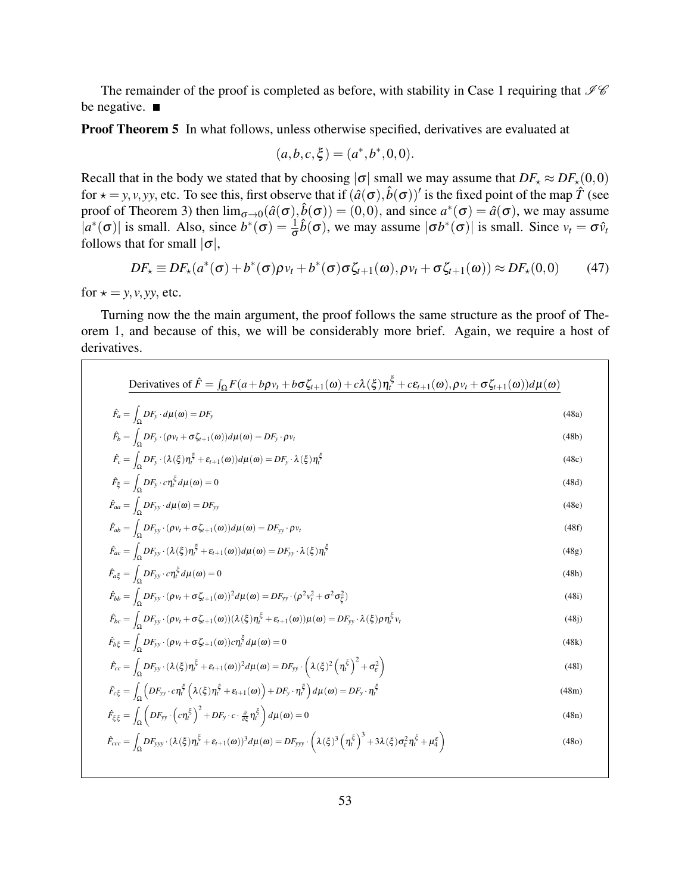The remainder of the proof is completed as before, with stability in Case 1 requiring that  $\mathcal{I}\mathcal{C}$ be negative.  $\blacksquare$ 

**Proof Theorem 5** In what follows, unless otherwise specified, derivatives are evaluated at

$$
(a,b,c,\xi) = (a^*,b^*,0,0).
$$

Recall that in the body we stated that by choosing  $|\sigma|$  small we may assume that  $DF_{\star} \approx DF_{\star}(0,0)$ for  $\star = y, v, yy$ , etc. To see this, first observe that if  $(\hat{a}(\sigma), \hat{b}(\sigma))'$  is the fixed point of the map  $\hat{T}$  (see proof of Theorem 3) then  $\lim_{\sigma \to 0} (\hat{a}(\sigma), \hat{b}(\sigma)) = (0,0)$ , and since  $a^*(\sigma) = \hat{a}(\sigma)$ , we may assume  $|a^*(\sigma)|$  is small. Also, since  $b^*(\sigma) = \frac{1}{\sigma}\hat{b}(\sigma)$ , we may assume  $|\sigma b^*(\sigma)|$  is small. Since  $v_t = \sigma \hat{v}_t$ follows that for small  $|\sigma|$ ,

$$
DF_{\star} \equiv DF_{\star}(a^*(\sigma) + b^*(\sigma)\rho v_t + b^*(\sigma)\sigma\zeta_{t+1}(\omega), \rho v_t + \sigma\zeta_{t+1}(\omega)) \approx DF_{\star}(0,0)
$$
 (47)

for  $\star = y, v, yy$ , etc.

Turning now the the main argument, the proof follows the same structure as the proof of Theorem 1, and because of this, we will be considerably more brief. Again, we require a host of derivatives.

| $\hat{F}_a = \int_{\Omega} DF_y \cdot d\mu(\omega) = DF_y$                                                                                                                                                                                                               | (48a) |
|--------------------------------------------------------------------------------------------------------------------------------------------------------------------------------------------------------------------------------------------------------------------------|-------|
| $\hat{F}_b = \int_{\Omega} DF_y \cdot (\rho v_t + \sigma \zeta_{t+1}(\omega)) d\mu(\omega) = DF_y \cdot \rho v_t$                                                                                                                                                        | (48b) |
| $\hat{F}_c = \int_{\Omega} DF_y \cdot (\lambda(\xi)\eta_t^{\xi} + \varepsilon_{t+1}(\omega)) d\mu(\omega) = DF_y \cdot \lambda(\xi)\eta_t^{\xi}$                                                                                                                         | (48c) |
| $\hat{F}_{\xi} = \int_{\Omega} DF_y \cdot c \eta_t^{\xi} d\mu(\omega) = 0$                                                                                                                                                                                               | (48d) |
| $\hat{F}_{aa} = \int_{\Omega} DF_{yy} \cdot d\mu(\omega) = DF_{yy}$                                                                                                                                                                                                      | (48e) |
| $\hat{F}_{ab} = \int_{\Omega} DF_{yy} \cdot (\rho v_t + \sigma \zeta_{t+1}(\omega)) d\mu(\omega) = DF_{yy} \cdot \rho v_t$                                                                                                                                               | (48f) |
| $\hat{F}_{ac} = \int_{\Omega} DF_{yy} \cdot (\lambda(\xi)) \eta_t^{\xi} + \varepsilon_{t+1}(\omega)) d\mu(\omega) = DF_{yy} \cdot \lambda(\xi) \eta_t^{\xi}$                                                                                                             | (48g) |
| $\hat{F}_{a\xi} = \int_{\Omega} DF_{yy} \cdot c \eta_t^{\xi} d\mu(\omega) = 0$                                                                                                                                                                                           | (48h) |
| $\hat{F}_{bb} = \int_{\Omega} DF_{yy} \cdot (\rho v_t + \sigma \zeta_{t+1}(\omega))^2 d\mu(\omega) = DF_{yy} \cdot (\rho^2 v_t^2 + \sigma^2 \sigma_{\zeta}^2)$                                                                                                           | (48i) |
| $\hat{F}_{bc} = \int_{\Omega} DF_{yy} \cdot (\rho v_t + \sigma \zeta_{t+1}(\omega)) (\lambda(\xi)) \eta_t^{\xi} + \varepsilon_{t+1}(\omega)) \mu(\omega) = DF_{yy} \cdot \lambda(\xi) \rho \eta_t^{\xi} v_t$                                                             | (48j) |
| $\hat{F}_{b\xi} = \int_{\Omega} DF_{yy} \cdot (\rho v_t + \sigma \zeta_{t+1}(\omega)) c \eta_t^{\xi} d\mu(\omega) = 0$                                                                                                                                                   | (48k) |
| $\hat{F}_{cc} = \int_{\Omega} DF_{yy} \cdot (\lambda(\xi)\eta_t^{\xi} + \varepsilon_{t+1}(\omega))^2 d\mu(\omega) = DF_{yy} \cdot \left(\lambda(\xi)^2 \left(\eta_t^{\xi}\right)^2 + \sigma_{\varepsilon}^2\right)$                                                      | (481) |
| $\hat{F}_{c\xi} = \int_{\Omega} \left( DF_{yy} \cdot c \eta_t^{\xi} \left( \lambda(\xi) \eta_t^{\xi} + \varepsilon_{t+1}(\omega) \right) + DF_y \cdot \eta_t^{\xi} \right) d\mu(\omega) = DF_y \cdot \eta_t^{\xi}$                                                       | (48m) |
| $\hat{F}_{\xi\xi} = \int_{\Omega} \left( DF_{yy} \cdot \left( c \eta_t^{\xi} \right)^2 + DF_y \cdot c \cdot \frac{\partial}{\partial \xi} \eta_t^{\xi} \right) d\mu(\omega) = 0$                                                                                         | (48n) |
| $\hat{F}_{ccc} = \int_{\Omega} DF_{yyy} \cdot (\lambda(\xi)\eta_t^{\xi} + \varepsilon_{t+1}(\omega))^3 d\mu(\omega) = DF_{yyy} \cdot \left(\lambda(\xi)^3 \left(\eta_t^{\xi}\right)^3 + 3\lambda(\xi)\sigma_{\varepsilon}^2 \eta_t^{\xi} + \mu_{4}^{\varepsilon}\right)$ | (48o) |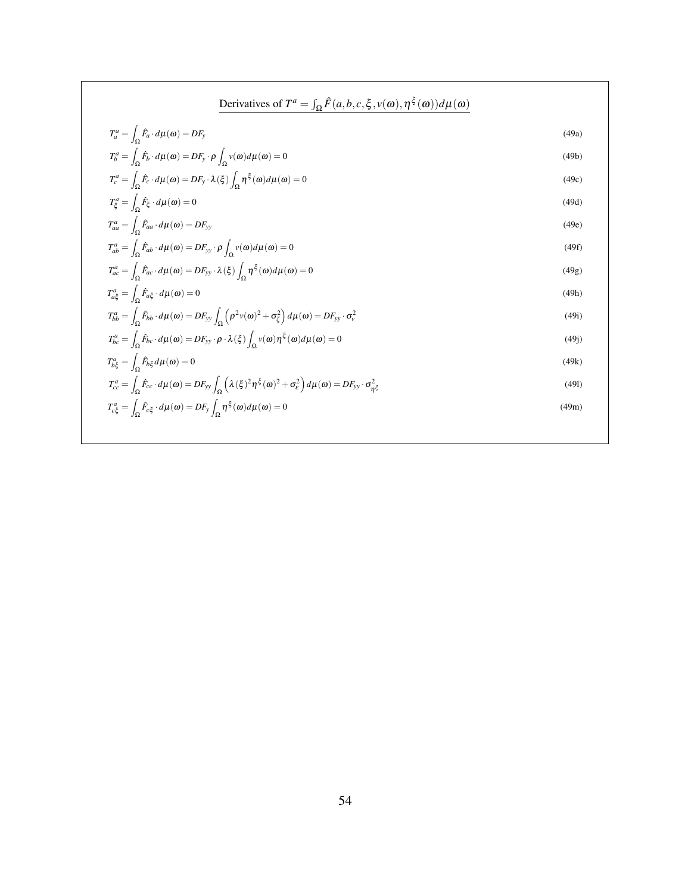Derivatives of 
$$
T^a = \int_{\Omega} \hat{F}(a, b, c, \xi, v(\omega), \eta^{\xi}(\omega)) d\mu(\omega)
$$
  
\n
$$
T_a^a = \int_{\Omega} \hat{F}_b \cdot d\mu(\omega) = DF_y \cdot \rho \int_{\Omega} v(\omega) d\mu(\omega) = 0
$$
\n(49a)  
\n
$$
T_b^a = \int_{\Omega} \hat{F}_c \cdot d\mu(\omega) = DF_y \cdot \lambda(\xi) \int_{\Omega} \eta^{\xi}(\omega) d\mu(\omega) = 0
$$
\n(49c)  
\n
$$
T_c^a = \int_{\Omega} \hat{F}_c \cdot d\mu(\omega) = DF_y \cdot \lambda(\xi) \int_{\Omega} \eta^{\xi}(\omega) d\mu(\omega) = 0
$$
\n(49e)  
\n
$$
T_{aa}^a = \int_{\Omega} \hat{F}_{aa} \cdot d\mu(\omega) = DF_{yy} \cdot \rho \int_{\Omega} v(\omega) d\mu(\omega) = 0
$$
\n(49e)  
\n
$$
T_{aa}^a = \int_{\Omega} \hat{F}_{ab} \cdot d\mu(\omega) = DF_{yy} \cdot \lambda(\xi) \int_{\Omega} \eta^{\xi}(\omega) d\mu(\omega) = 0
$$
\n(49f)  
\n
$$
T_{ac}^a = \int_{\Omega} \hat{F}_{ac} \cdot d\mu(\omega) = DF_{yy} \cdot \lambda(\xi) \int_{\Omega} \eta^{\xi}(\omega) d\mu(\omega) = 0
$$
\n(49g)  
\n
$$
T_{ac}^a = \int_{\Omega} \hat{F}_{bc} \cdot d\mu(\omega) = DF_{yy} \cdot \rho \cdot \lambda(\xi) \int_{\Omega} v(\omega)^2 + \sigma_{\xi}^2 \right) d\mu(\omega) = DF_{yy} \cdot \sigma_{\xi}^2
$$
\n(49h)  
\n
$$
T_{bc}^a = \int_{\Omega} \hat{F}_{bc} \cdot d\mu(\omega) = DF_{yy} \cdot \rho \cdot \lambda(\xi) \int_{\Omega} v(\omega) \eta^{\xi}(\omega) d\mu(\omega) = 0
$$
\n(49j)  
\n
$$
T_{ac}^a = \int_{\Omega} \hat{F}_{bc} \cdot d\mu(\omega) = DF_{yy} \int_{\Omega} (\lambda(\xi)^2 \eta^
$$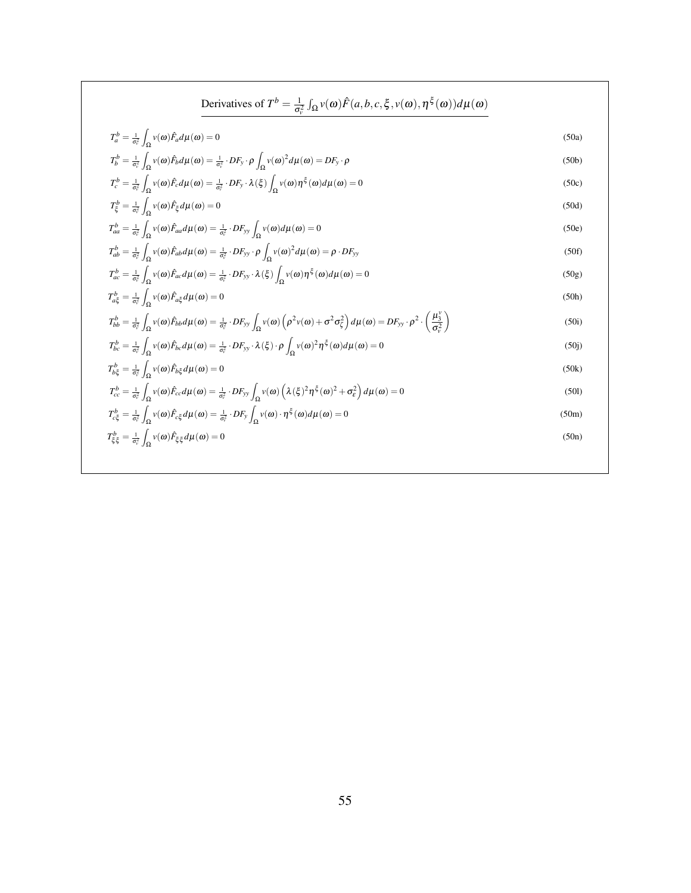$$
\begin{aligned}\n\text{Derivatives of } T^{b} &= \frac{1}{\sigma_{v}^{2}} \int_{\Omega} v(\omega) \hat{F}(a,b,c,\xi,v(\omega),\eta^{\xi}(\omega)) d\mu(\omega) \\
T_{a}^{b} &= \frac{1}{\sigma_{v}^{2}} \int_{\Omega} v(\omega) \hat{F}_{a} d\mu(\omega) = 0 \\
T_{b}^{b} &= \frac{1}{\sigma_{v}^{2}} \int_{\Omega} v(\omega) \hat{F}_{b} d\mu(\omega) = \frac{1}{\sigma_{v}^{2}} \cdot DF_{y} \cdot \rho \int_{\Omega} v(\omega)^{2} d\mu(\omega) = DF_{y} \cdot \rho \\
T_{c}^{b} &= \frac{1}{\sigma_{v}^{2}} \int_{\Omega} v(\omega) \hat{F}_{c} d\mu(\omega) = \frac{1}{\sigma_{v}^{2}} \cdot DF_{y} \cdot \lambda(\xi) \int_{\Omega} v(\omega) \eta^{\xi}(\omega) d\mu(\omega) = 0 \\
T_{b}^{b} &= \frac{1}{\sigma_{v}^{2}} \int_{\Omega} v(\omega) \hat{F}_{a} d\mu(\omega) = \frac{1}{\sigma_{v}^{2}} \cdot DF_{yy} \int_{\Omega} v(\omega) d\mu(\omega) = 0 \\
T_{ab}^{b} &= \frac{1}{\sigma_{v}^{2}} \int_{\Omega} v(\omega) \hat{F}_{ab} d\mu(\omega) = \frac{1}{\sigma_{v}^{2}} \cdot DF_{yy} \cdot \rho \int_{\Omega} v(\omega) d\mu(\omega) = \rho \cdot DF_{yy} \\
T_{ab}^{b} &= \frac{1}{\sigma_{v}^{2}} \int_{\Omega} v(\omega) \hat{F}_{ab} d\mu(\omega) = \frac{1}{\sigma_{v}^{2}} \cdot DF_{yy} \cdot \lambda(\xi) \int_{\Omega} v(\omega) \eta^{\xi}(\omega) d\mu(\omega) = 0 \\
T_{ab}^{b} &= \frac{1}{\sigma_{v}^{2}} \int_{\Omega} v(\omega) \hat{F}_{ab} d\mu(\omega) = 0 \\
T_{ab}^{b} &= \frac{1}{\sigma_{v}^{2}} \int_{\Omega} v(\omega) \hat{F}_{ab} d\mu(\omega) = 0 \\
T_{ab}^{b} &= \frac{1}{\sigma_{v}^{2}} \int_{\Omega} v(\omega) \hat{F}_{ba} d
$$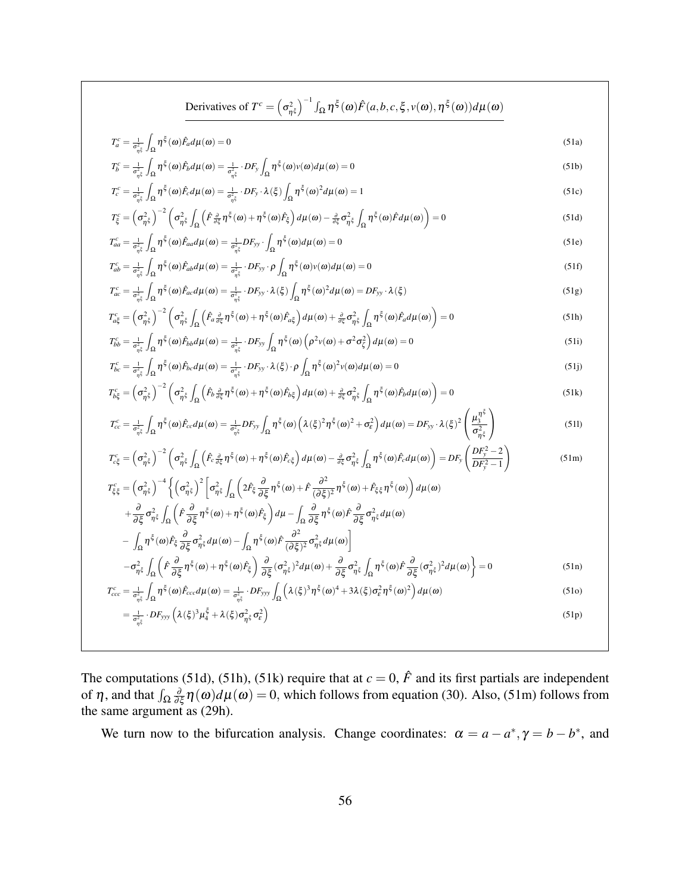Derivatives of 
$$
T^{c} = (\sigma_{\eta\xi}^{2})^{-1} \int_{\Omega} \eta^{\xi}(\omega) \hat{F}(a,b,c,\xi,v(\omega),\eta^{\xi}(\omega)) d\mu(\omega)
$$
  
\n
$$
T_{b}^{c} = \frac{1}{\sigma_{\eta\xi}^{2}} \int_{\Omega} \eta^{\xi}(\omega) \hat{F}_{a}d\mu(\omega) = 0
$$
\n
$$
T_{b}^{c} = \frac{1}{\sigma_{\eta\xi}^{2}} \int_{\Omega} \eta^{\xi}(\omega) \hat{F}_{a}d\mu(\omega) = \frac{1}{\sigma_{\eta\xi}^{2}} \cdot DF_{b} \int_{\Omega} \eta^{\xi}(\omega)(\omega) d\mu(\omega) = 0
$$
\n
$$
T_{c}^{c} = \frac{1}{\sigma_{\eta\xi}^{2}} \int_{\Omega} \eta^{\xi}(\omega) \hat{F}_{a}d\mu(\omega) = \frac{1}{\sigma_{\eta\xi}^{2}} \cdot DF_{b} \cdot \lambda(\xi) \int_{\Omega} \eta^{\xi}(\omega)^{2} d\mu(\omega) = 1
$$
\n
$$
T_{c}^{c} = (\sigma_{\eta\xi}^{2})^{-2} (\sigma_{\eta\xi}^{2} \int_{\Omega} (\hat{F}_{\frac{\partial}{\partial\xi}}^{2} \eta^{\xi}(\omega) + \eta^{\xi}(\omega) \hat{F}_{b}^{2}) d\mu(\omega) = 0
$$
\n
$$
T_{ab}^{c} = \frac{1}{\sigma_{\eta\xi}^{2}} \int_{\Omega} \eta^{\xi}(\omega) \hat{F}_{ab}d\mu(\omega) = \frac{1}{\sigma_{\eta\xi}^{2}} \cdot DF_{b} \cdot \lambda(\xi) \int_{\Omega} \eta^{\xi}(\omega) d\mu(\omega) = 0
$$
\n
$$
T_{ab}^{c} = \frac{1}{\sigma_{\eta\xi}^{2}} \int_{\Omega} \eta^{\xi}(\omega) \hat{F}_{ab}d\mu(\omega) = \frac{1}{\sigma_{\eta\xi}^{2}} \cdot DF_{b} \cdot \lambda(\xi) \int_{\Omega} \eta^{\xi}(\omega) d\mu(\omega) = 0
$$
\n
$$
T_{bc}^{c} = (\frac{1}{\sigma_{\eta\xi}^{2}} \int_{\Omega} \eta^{\xi}(\omega) \hat{F}_{ab}d\mu(\omega
$$

The computations (51d), (51h), (51k) require that at  $c = 0$ ,  $\hat{F}$  and its first partials are independent of  $\eta$ , and that  $\int_{\Omega} \frac{\partial}{\partial \xi} \eta(\omega) d\mu(\omega) = 0$ , which follows from equation (30). Also, (51m) follows from the same argument as (29h).

We turn now to the bifurcation analysis. Change coordinates:  $\alpha = a - a^*$ ,  $\gamma = b - b^*$ , and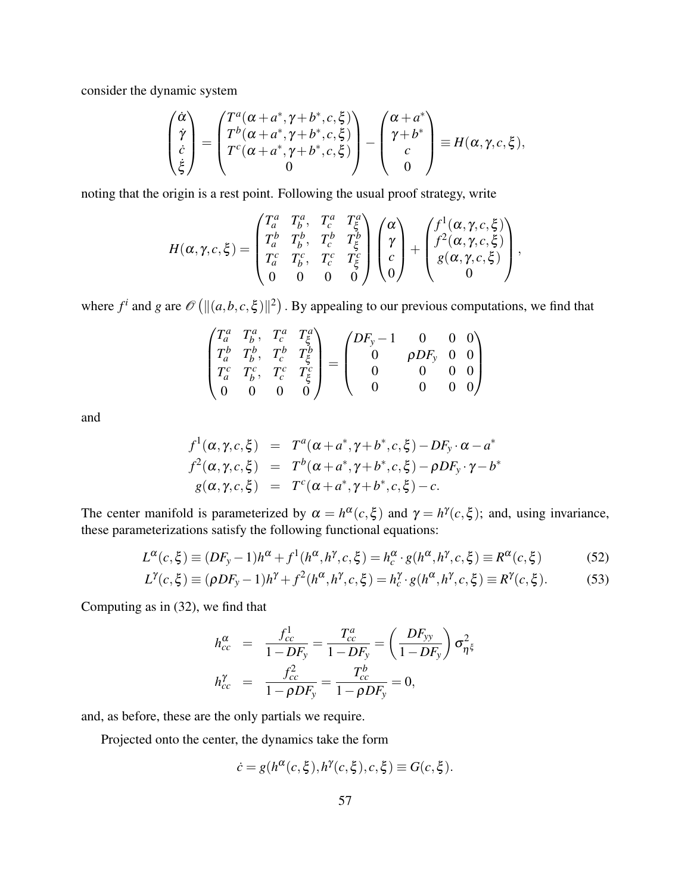consider the dynamic system

$$
\begin{pmatrix}\n\dot{\alpha} \\
\dot{\gamma} \\
\dot{c} \\
\dot{\xi}\n\end{pmatrix} = \begin{pmatrix}\nT^a(\alpha + a^*, \gamma + b^*, c, \xi) \\
T^b(\alpha + a^*, \gamma + b^*, c, \xi) \\
T^c(\alpha + a^*, \gamma + b^*, c, \xi) \\
0\n\end{pmatrix} - \begin{pmatrix}\n\alpha + a^* \\
\gamma + b^* \\
c \\
0\n\end{pmatrix} \equiv H(\alpha, \gamma, c, \xi),
$$

noting that the origin is a rest point. Following the usual proof strategy, write

$$
H(\alpha, \gamma, c, \xi) = \begin{pmatrix} T_a^a & T_b^a & T_c^a & T_c^a \\ T_a^b & T_b^b & T_c^b & T_c^b \\ T_a^c & T_b^c & T_c^c & T_c^c \\ 0 & 0 & 0 & 0 \end{pmatrix} \begin{pmatrix} \alpha \\ \gamma \\ c \\ 0 \end{pmatrix} + \begin{pmatrix} f^1(\alpha, \gamma, c, \xi) \\ f^2(\alpha, \gamma, c, \xi) \\ g(\alpha, \gamma, c, \xi) \\ 0 \end{pmatrix},
$$

where  $f^i$  and  $g$  are  $\mathscr{O}(|[(a,b,c,\xi)||^2)$ . By appealing to our previous computations, we find that

$$
\begin{pmatrix}\nT_a^a & T_b^a, & T_c^a & T_\xi^a \\
T_a^b & T_b^b, & T_c^b & T_\xi^b \\
T_a^c & T_b^c, & T_c^c & T_\xi^c \\
0 & 0 & 0 & 0\n\end{pmatrix} = \begin{pmatrix}\nDF_y - 1 & 0 & 0 & 0 \\
0 & \rho DF_y & 0 & 0 \\
0 & 0 & 0 & 0 \\
0 & 0 & 0 & 0\n\end{pmatrix}
$$

and

$$
f^1(\alpha, \gamma, c, \xi) = T^a(\alpha + a^*, \gamma + b^*, c, \xi) - DF_y \cdot \alpha - a^*
$$
  

$$
f^2(\alpha, \gamma, c, \xi) = T^b(\alpha + a^*, \gamma + b^*, c, \xi) - \rho DF_y \cdot \gamma - b^*
$$
  

$$
g(\alpha, \gamma, c, \xi) = T^c(\alpha + a^*, \gamma + b^*, c, \xi) - c.
$$

The center manifold is parameterized by  $\alpha = h^{\alpha}(c,\xi)$  and  $\gamma = h^{\gamma}(c,\xi)$ ; and, using invariance, these parameterizations satisfy the following functional equations:

$$
L^{\alpha}(c,\xi) \equiv (DF_{y}-1)h^{\alpha} + f^{\alpha}(h^{\alpha},h^{\gamma},c,\xi) = h_{c}^{\alpha} \cdot g(h^{\alpha},h^{\gamma},c,\xi) \equiv R^{\alpha}(c,\xi)
$$
(52)

$$
L^{\gamma}(c,\xi) \equiv (\rho DF_y - 1)h^{\gamma} + f^2(h^{\alpha}, h^{\gamma}, c, \xi) = h_c^{\gamma} \cdot g(h^{\alpha}, h^{\gamma}, c, \xi) \equiv R^{\gamma}(c, \xi). \tag{53}
$$

Computing as in (32), we find that

$$
h_{cc}^{\alpha} = \frac{f_{cc}^{1}}{1 - DF_{y}} = \frac{T_{cc}^{a}}{1 - DF_{y}} = \left(\frac{DF_{yy}}{1 - DF_{y}}\right) \sigma_{\eta^{2}\xi}^{2}
$$

$$
h_{cc}^{\gamma} = \frac{f_{cc}^{2}}{1 - \rho DF_{y}} = \frac{T_{cc}^{b}}{1 - \rho DF_{y}} = 0,
$$

and, as before, these are the only partials we require.

Projected onto the center, the dynamics take the form

$$
\dot{c} = g(h^{\alpha}(c,\xi), h^{\gamma}(c,\xi), c, \xi) \equiv G(c,\xi).
$$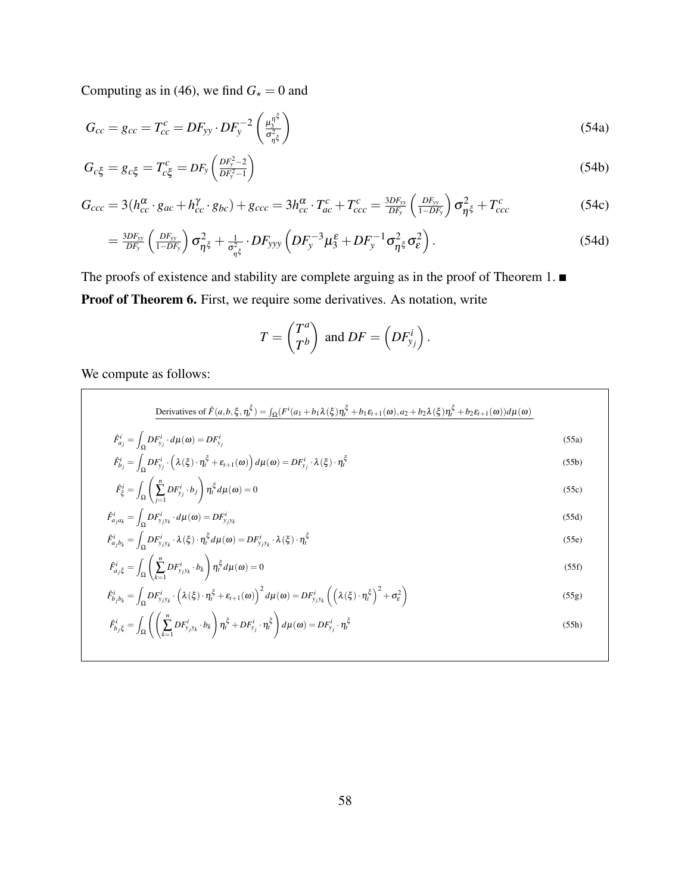Computing as in (46), we find  $G<sub>\star</sub> = 0$  and

$$
G_{cc} = g_{cc} = T_{cc}^c = DF_{yy} \cdot DF_y^{-2} \left(\frac{\mu_3^{\eta^{\xi}}}{\sigma_{\eta^{\xi}}^2}\right)
$$
 (54a)

$$
G_{c\xi} = g_{c\xi} = T_{c\xi}^c = DF_y \left( \frac{DF_y^2 - 2}{DF_y^2 - 1} \right)
$$
 (54b)

$$
G_{ccc} = 3(h_{cc}^{\alpha} \cdot g_{ac} + h_{cc}^{\gamma} \cdot g_{bc}) + g_{ccc} = 3h_{cc}^{\alpha} \cdot T_{ac}^{c} + T_{ccc}^{c} = \frac{3DF_{yy}}{DF_{y}} \left(\frac{DF_{yy}}{1 - DF_{y}}\right) \sigma_{\eta\xi}^{2} + T_{ccc}^{c}
$$
(54c)

$$
=\frac{3DF_{yy}}{DF_y}\left(\frac{DF_{yy}}{1-DF_y}\right)\sigma_{\eta\zeta}^2+\frac{1}{\sigma_{\eta\zeta}^2}\cdot DF_{yyy}\left(DF_y^{-3}\mu_{3}^{\epsilon}+DF_y^{-1}\sigma_{\eta\zeta}^2\sigma_{\epsilon}^2\right).
$$
\n(54d)

The proofs of existence and stability are complete arguing as in the proof of Theorem 1.  $\blacksquare$ Proof of Theorem 6. First, we require some derivatives. As notation, write

*a*

$$
T = \begin{pmatrix} T^a \\ T^b \end{pmatrix} \text{ and } DF = \left( DF_{y_j}^i \right).
$$

We compute as follows:

Derivatives of 
$$
\hat{F}(a, b, \xi, \eta_i^{\xi}) = \int_{\Omega} (F^i(a_1 + b_1 \lambda(\xi)) \eta_i^{\xi} + b_1 \varepsilon_{t+1}(\omega), a_2 + b_2 \lambda(\xi) \eta_i^{\xi} + b_2 \varepsilon_{t+1}(\omega)) d\mu(\omega)
$$
  
\n
$$
\hat{F}_{a_j}^i = \int_{\Omega} DF^i_{y_j} \cdot d\mu(\omega) = DF^i_{y_j}
$$
\n(55a)  
\n
$$
\hat{F}_{b_j}^i = \int_{\Omega} DF^i_{y_j} \cdot (\lambda(\xi) \cdot \eta_i^{\xi} + \varepsilon_{t+1}(\omega)) d\mu(\omega) = DF^i_{y_j} \cdot \lambda(\xi) \cdot \eta_i^{\xi}
$$
\n(55b)

$$
\hat{F}_{\xi}^{i} = \int_{\Omega} \left( \sum_{j=1}^{n} DF_{y_{j}}^{i} \cdot b_{j} \right) \eta_{i}^{\xi} d\mu(\omega) = 0
$$
\n
$$
\hat{F}_{a_{j}a_{k}}^{i} = \int_{\Omega} DF_{y_{j}y_{k}}^{i} \cdot d\mu(\omega) = DF_{y_{j}y_{k}}^{i}
$$
\n(55d)

$$
r_{a_j a_k} = \int_{\Omega} D r_{y_j y_k} \cdot a \mu(\omega) = D r_{y_j y_k}
$$
  
\n
$$
\hat{F}_{a_j b_k}^i = \int_{\Omega} D F_{y_j y_k}^i \cdot \lambda(\xi) \cdot \eta_t^{\xi} d\mu(\omega) = D F_{y_j y_k}^i \cdot \lambda(\xi) \cdot \eta_t^{\xi}
$$
\n(55e)

$$
\hat{F}_{a_j\xi}^i = \int_{\Omega} \left( \sum_{k=1}^n DF_{y_jy_k}^i \cdot b_k \right) \eta_t^{\xi} d\mu(\omega) = 0 \tag{55f}
$$

$$
\hat{F}_{b_jb_k}^i = \int_{\Omega} DF_{y_jy_k}^i \cdot \left(\lambda(\xi) \cdot \eta_t^{\xi} + \varepsilon_{t+1}(\omega)\right)^2 d\mu(\omega) = DF_{y_jy_k}^i \left(\left(\lambda(\xi) \cdot \eta_t^{\xi}\right)^2 + \sigma_{\varepsilon}^2\right)
$$
\n(55g)

$$
\hat{F}_{b_j\xi}^i = \int_{\Omega} \left( \left( \sum_{k=1}^n DF_{y_jy_k}^i \cdot b_k \right) \eta_i^{\xi} + DF_{y_j}^i \cdot \eta_i^{\xi} \right) d\mu(\omega) = DF_{y_j}^i \cdot \eta_i^{\xi}
$$
\n(55h)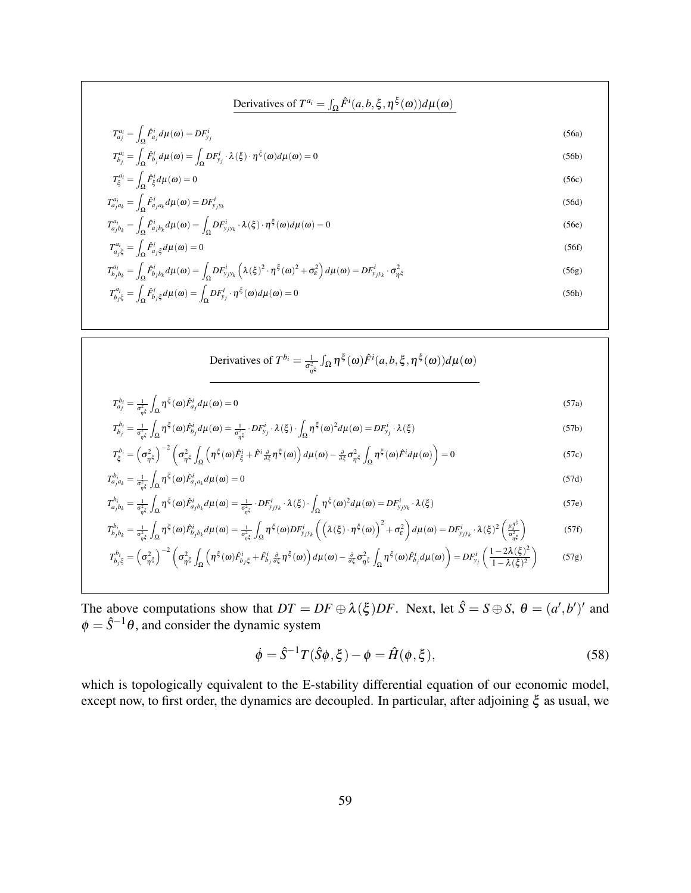$$
\begin{aligned}\n\text{Derivatives of } T^{a_i} &= \int_{\Omega} \hat{F}^i(a, b, \xi, \eta^{\xi}(\omega)) d\mu(\omega) \\
T^{a_i}_{a_j} &= \int_{\Omega} \hat{F}^i_{a_j} d\mu(\omega) = DF^i_{y_j} \\
T^{a_i}_{b_j} &= \int_{\Omega} \hat{F}^i_{b_j} d\mu(\omega) = \int_{\Omega} DF^i_{y_j} \cdot \lambda(\xi) \cdot \eta^{\xi}(\omega) d\mu(\omega) = 0\n\end{aligned}\n\tag{56a}
$$
\n
$$
T^{a_i}_{\xi} = \int_{\Omega} \hat{F}^i_{\xi} d\mu(\omega) = 0\n\tag{56b}
$$
\n
$$
T^{a_i}_{a_j a_k} = \int_{\Omega} \hat{F}^i_{a_j a_k} d\mu(\omega) = DF^i_{y_j y_k} \\
\text{56d}
$$
\n
$$
T^{a_i}_{a_j b_k} = \int_{\Omega} \hat{F}^i_{a_j b_k} d\mu(\omega) = \int_{\Omega} DF^i_{y_j y_k} \cdot \lambda(\xi) \cdot \eta^{\xi}(\omega) d\mu(\omega) = 0\n\tag{56e}
$$
\n
$$
T^{a_i}_{a_j \xi} = \int_{\Omega} \hat{F}^i_{a_j \xi} d\mu(\omega) = 0\n\tag{56f}
$$
\n
$$
T^{a_i}_{b_j b_k} = \int_{\Omega} \hat{F}^i_{b_j b_k} d\mu(\omega) = \int_{\Omega} DF^i_{y_j y_k} \left( \lambda(\xi)^2 \cdot \eta^{\xi}(\omega)^2 + \sigma_{\xi}^2 \right) d\mu(\omega) = DF^i_{y_j y_k} \cdot \sigma_{\eta \xi}^2 \\
T^{a_i}_{b_j \xi} = \int_{\Omega} \hat{F}^i_{b_j \xi} d\mu(\omega) = \int_{\Omega} DF^i_{y_j} \cdot \eta^{\xi}(\omega) d\mu(\omega) = 0\n\tag{56h}
$$

Derivatives of 
$$
T^{b_i} = \frac{1}{\sigma_{\eta\xi}^2} \int_{\Omega} \eta^{\xi}(\omega) \hat{F}^i(a, b, \xi, \eta^{\xi}(\omega)) d\mu(\omega)
$$

$$
T_{a_j}^{b_i} = \frac{1}{\sigma_{\eta^{\xi}}^2} \int_{\Omega} \eta^{\xi}(\omega) \hat{F}_{a_j}^i d\mu(\omega) = 0
$$
\n(57a)

$$
T_{b_j}^{b_i} = \frac{1}{\sigma_{\eta\xi}^2} \int_{\Omega} \eta^{\xi}(\omega) \hat{F}_{b_j}^i d\mu(\omega) = \frac{1}{\sigma_{\eta\xi}^2} \cdot DF_{y_j}^i \cdot \lambda(\xi) \cdot \int_{\Omega} \eta^{\xi}(\omega)^2 d\mu(\omega) = DF_{y_j}^i \cdot \lambda(\xi)
$$
\n(57b)

$$
T_{\xi}^{b_i} = \left(\sigma_{\eta^{\xi}}^2\right)^{-2} \left(\sigma_{\eta^{\xi}}^2 \int_{\Omega} \left(\eta^{\xi}(\omega)\hat{F}_{\xi}^i + \hat{F}^i \frac{\partial}{\partial \xi} \eta^{\xi}(\omega)\right) d\mu(\omega) - \frac{\partial}{\partial \xi} \sigma_{\eta^{\xi}}^2 \int_{\Omega} \eta^{\xi}(\omega)\hat{F}^i d\mu(\omega)\right) = 0
$$
\n<sup>(57c)</sup>

$$
T_{a_j a_k}^{b_i} = \frac{1}{\sigma_{\eta \xi}^2} \int_{\Omega} \eta^{\xi}(\omega) \hat{F}_{a_j a_k}^i d\mu(\omega) = 0
$$
\n<sup>(57d)</sup>

$$
T_{a_j b_k}^{b_i} = \frac{1}{\sigma_{\eta^{\xi}}^2} \int_{\Omega} \eta^{\xi}(\omega) \hat{F}_{a_j b_k}^i d\mu(\omega) = \frac{1}{\sigma_{\eta^{\xi}}^2} \cdot DF_{y_j y_k}^i \cdot \lambda(\xi) \cdot \int_{\Omega} \eta^{\xi}(\omega)^2 d\mu(\omega) = DF_{y_j y_k}^i \cdot \lambda(\xi)
$$
(57e)

$$
T_{b_jb_k}^{b_i} = \frac{1}{\sigma_{\eta\xi}^2} \int_{\Omega} \eta^{\xi}(\omega) \hat{F}_{b_jb_k}^i d\mu(\omega) = \frac{1}{\sigma_{\eta\xi}^2} \int_{\Omega} \eta^{\xi}(\omega) DF_{y_jy_k}^i \left( \left( \lambda(\xi) \cdot \eta^{\xi}(\omega) \right)^2 + \sigma_{\varepsilon}^2 \right) d\mu(\omega) = DF_{y_jy_k}^i \cdot \lambda(\xi)^2 \left( \frac{\mu_{\eta\xi}^{\eta\xi}}{\sigma_{\eta\xi}^2} \right)
$$
(57f)

$$
T_{b_j\xi}^{b_i} = \left(\sigma_{\eta\xi}^2\right)^{-2} \left(\sigma_{\eta\xi}^2 \int_{\Omega} \left(\eta^{\xi}(\omega)\hat{F}_{b_j\xi}^i + \hat{F}_{b_j}^i \frac{\partial}{\partial \xi}\eta^{\xi}(\omega)\right) d\mu(\omega) - \frac{\partial}{\partial \xi}\sigma_{\eta\xi}^2 \int_{\Omega} \eta^{\xi}(\omega)\hat{F}_{b_j}^i d\mu(\omega)\right) = DF_{y_j}^i \left(\frac{1 - 2\lambda(\xi)^2}{1 - \lambda(\xi)^2}\right) \tag{57g}
$$

The above computations show that  $DT = DF \oplus \lambda(\xi)DF$ . Next, let  $\hat{S} = S \oplus S$ ,  $\theta = (a', b')'$  and  $\phi = \hat{S}^{-1}\theta$ , and consider the dynamic system

$$
\dot{\phi} = \hat{S}^{-1}T(\hat{S}\phi, \xi) - \phi = \hat{H}(\phi, \xi),\tag{58}
$$

which is topologically equivalent to the E-stability differential equation of our economic model, except now, to first order, the dynamics are decoupled. In particular, after adjoining  $\xi$  as usual, we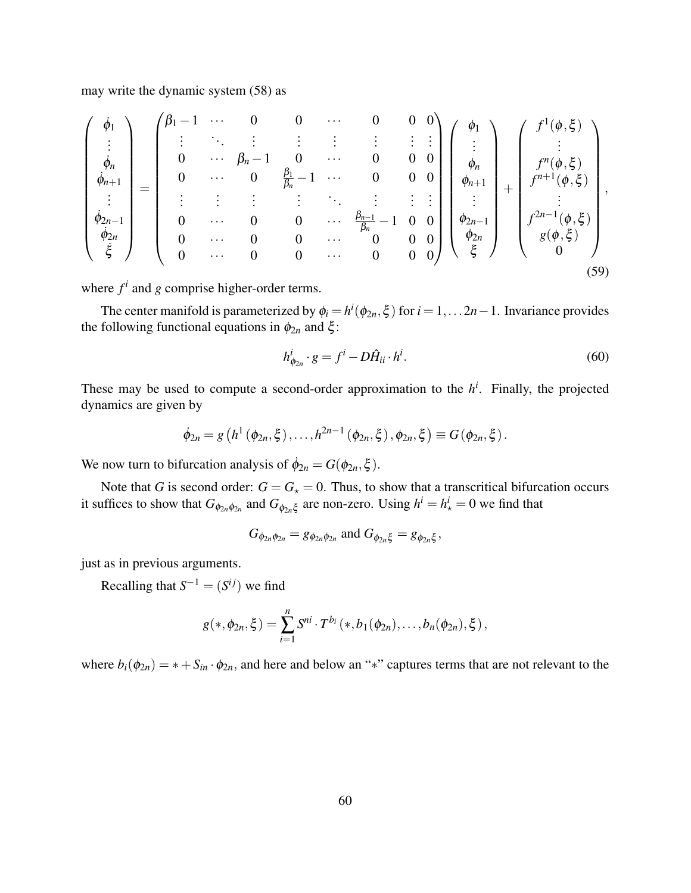may write the dynamic system (58) as

$$
\begin{pmatrix}\n\dot{\phi}_{1} \\
\vdots \\
\dot{\phi}_{n} \\
\dot{\phi}_{n+1} \\
\vdots \\
\dot{\phi}_{2n-1} \\
\dot{\xi}\n\end{pmatrix} = \begin{pmatrix}\n\beta_{1} - 1 & \cdots & 0 & 0 & \cdots & 0 & 0 & 0 \\
\vdots & \ddots & \vdots & \vdots & \vdots & \vdots & \vdots \\
0 & \cdots & \beta_{n} - 1 & 0 & \cdots & 0 & 0 \\
0 & \cdots & 0 & \frac{\beta_{1}}{\beta_{n}} - 1 & \cdots & 0 & 0 & 0 \\
\vdots & \vdots & \vdots & \vdots & \ddots & \vdots & \vdots & \vdots \\
0 & \cdots & 0 & 0 & \cdots & \frac{\beta_{n-1}}{\beta_{n}} - 1 & 0 & 0 \\
0 & \cdots & 0 & 0 & \cdots & 0 & 0 & 0 \\
\vdots & \vdots & \vdots & \vdots & \ddots & \vdots & \vdots & \vdots \\
0 & \cdots & 0 & 0 & \cdots & 0 & 0 & 0 \\
0 & \cdots & 0 & 0 & \cdots & 0 & 0 & 0\n\end{pmatrix} \begin{pmatrix}\n\phi_{1} \\
\vdots \\
\phi_{n} \\
\phi_{n} \\
\phi_{n} \\
\phi_{n} \\
\phi_{n} \\
\phi_{n} \\
\phi_{n} \\
\phi_{2n}\n\end{pmatrix} + \begin{pmatrix}\nf^{1}(\phi,\xi) \\
\vdots \\
f^{n+1}(\phi,\xi) \\
\vdots \\
f^{n+1}(\phi,\xi) \\
\vdots \\
\vdots \\
f^{2n-1}(\phi,\xi) \\
\phi(\phi,\xi)\n\end{pmatrix},
$$
\n(59)

where  $f^i$  and  $g$  comprise higher-order terms.

The center manifold is parameterized by  $\phi_i = h^i(\phi_{2n}, \xi)$  for  $i = 1, \ldots 2n - 1$ . Invariance provides the following functional equations in  $\phi_{2n}$  and  $\xi$ :

$$
h_{\phi_{2n}}^i \cdot g = f^i - D\hat{H}_{ii} \cdot h^i. \tag{60}
$$

These may be used to compute a second-order approximation to the  $h^i$ . Finally, the projected dynamics are given by

$$
\dot{\phi}_{2n} = g\left(h^1\left(\phi_{2n}, \xi\right), \ldots, h^{2n-1}\left(\phi_{2n}, \xi\right), \phi_{2n}, \xi\right) \equiv G\left(\phi_{2n}, \xi\right).
$$

We now turn to bifurcation analysis of  $\dot{\phi}_{2n} = G(\phi_{2n}, \xi)$ .

Note that *G* is second order:  $G = G_* = 0$ . Thus, to show that a transcritical bifurcation occurs it suffices to show that  $G_{\phi_{2n}\phi_{2n}}$  and  $G_{\phi_{2n}\xi}$  are non-zero. Using  $h^i = h^i_{\star} = 0$  we find that

$$
G_{\phi_{2n}\phi_{2n}} = g_{\phi_{2n}\phi_{2n}}
$$
 and  $G_{\phi_{2n}\xi} = g_{\phi_{2n}\xi}$ ,

just as in previous arguments.

Recalling that  $S^{-1} = (S^{ij})$  we find

$$
g(*, \phi_{2n}, \xi) = \sum_{i=1}^n S^{ni} \cdot T^{b_i}(*, b_1(\phi_{2n}), \ldots, b_n(\phi_{2n}), \xi),
$$

where  $b_i(\phi_{2n}) = * + S_{in} \cdot \phi_{2n}$ , and here and below an "\*" captures terms that are not relevant to the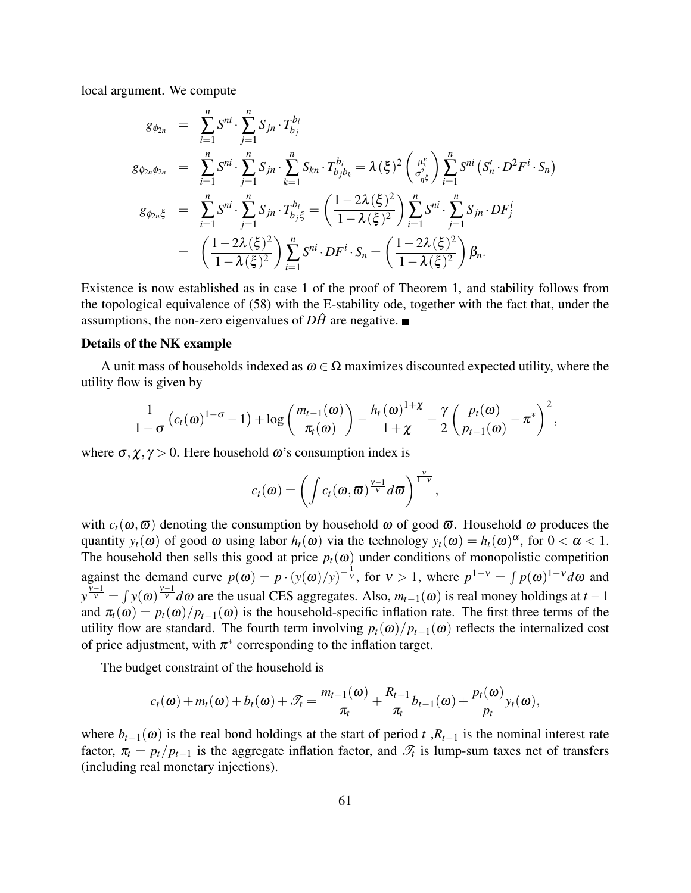local argument. We compute

$$
g_{\phi_{2n}} = \sum_{i=1}^{n} S^{ni} \cdot \sum_{j=1}^{n} S_{jn} \cdot T_{b_j}^{b_i}
$$
  
\n
$$
g_{\phi_{2n}\phi_{2n}} = \sum_{i=1}^{n} S^{ni} \cdot \sum_{j=1}^{n} S_{jn} \cdot \sum_{k=1}^{n} S_{kn} \cdot T_{b_jb_k}^{b_i} = \lambda (\xi)^2 \left(\frac{\mu_5^{\xi}}{\sigma_{\eta\xi}^2}\right) \sum_{i=1}^{n} S^{ni} (S'_n \cdot D^2 F^i \cdot S_n)
$$
  
\n
$$
g_{\phi_{2n}\xi} = \sum_{i=1}^{n} S^{ni} \cdot \sum_{j=1}^{n} S_{jn} \cdot T_{b_j\xi}^{b_i} = \left(\frac{1 - 2\lambda (\xi)^2}{1 - \lambda (\xi)^2}\right) \sum_{i=1}^{n} S^{ni} \cdot \sum_{j=1}^{n} S_{jn} \cdot DF_j^i
$$
  
\n
$$
= \left(\frac{1 - 2\lambda (\xi)^2}{1 - \lambda (\xi)^2}\right) \sum_{i=1}^{n} S^{ni} \cdot DF^i \cdot S_n = \left(\frac{1 - 2\lambda (\xi)^2}{1 - \lambda (\xi)^2}\right) \beta_n.
$$

Existence is now established as in case 1 of the proof of Theorem 1, and stability follows from the topological equivalence of (58) with the E-stability ode, together with the fact that, under the assumptions, the non-zero eigenvalues of  $D\hat{H}$  are negative.

#### Details of the NK example

A unit mass of households indexed as  $\omega \in \Omega$  maximizes discounted expected utility, where the utility flow is given by

$$
\frac{1}{1-\sigma}\left(c_t(\omega)^{1-\sigma}-1\right)+\log\left(\frac{m_{t-1}(\omega)}{\pi_t(\omega)}\right)-\frac{h_t(\omega)^{1+\chi}}{1+\chi}-\frac{\gamma}{2}\left(\frac{p_t(\omega)}{p_{t-1}(\omega)}-\pi^*\right)^2,
$$

where  $\sigma$ ,  $\chi$ ,  $\gamma$  > 0. Here household  $\omega$ 's consumption index is

$$
c_t(\boldsymbol{\omega}) = \left(\int c_t(\boldsymbol{\omega}, \boldsymbol{\overline{\omega}})^{\frac{v-1}{v}} d\boldsymbol{\overline{\omega}}\right)^{\frac{v}{1-v}},
$$

with  $c_t(\omega, \overline{\omega})$  denoting the consumption by household  $\omega$  of good  $\overline{\omega}$ . Household  $\omega$  produces the quantity  $y_t(\omega)$  of good  $\omega$  using labor  $h_t(\omega)$  via the technology  $y_t(\omega) = h_t(\omega)^{\alpha}$ , for  $0 < \alpha < 1$ . The household then sells this good at price  $p_t(\omega)$  under conditions of monopolistic competition against the demand curve  $p(\omega) = p \cdot (y(\omega)/y)^{-\frac{1}{v}}$ , for  $v > 1$ , where  $p^{1-v} = \int p(\omega)^{1-v} d\omega$  and  $y^{\frac{v-1}{v}} = \int y(\omega)^{\frac{v-1}{v}} d\omega$  are the usual CES aggregates. Also,  $m_{t-1}(\omega)$  is real money holdings at *t* − 1 and  $\pi_t(\omega) = p_t(\omega)/p_{t-1}(\omega)$  is the household-specific inflation rate. The first three terms of the utility flow are standard. The fourth term involving  $p_t(\omega)/p_{t-1}(\omega)$  reflects the internalized cost of price adjustment, with  $\pi^*$  corresponding to the inflation target.

The budget constraint of the household is

$$
c_t(\omega)+m_t(\omega)+b_t(\omega)+\mathcal{T}_t=\frac{m_{t-1}(\omega)}{\pi_t}+\frac{R_{t-1}}{\pi_t}b_{t-1}(\omega)+\frac{p_t(\omega)}{p_t}y_t(\omega),
$$

where  $b_{t-1}(\omega)$  is the real bond holdings at the start of period *t* , $R_{t-1}$  is the nominal interest rate factor,  $\pi_t = p_t / p_{t-1}$  is the aggregate inflation factor, and  $\mathcal{T}_t$  is lump-sum taxes net of transfers (including real monetary injections).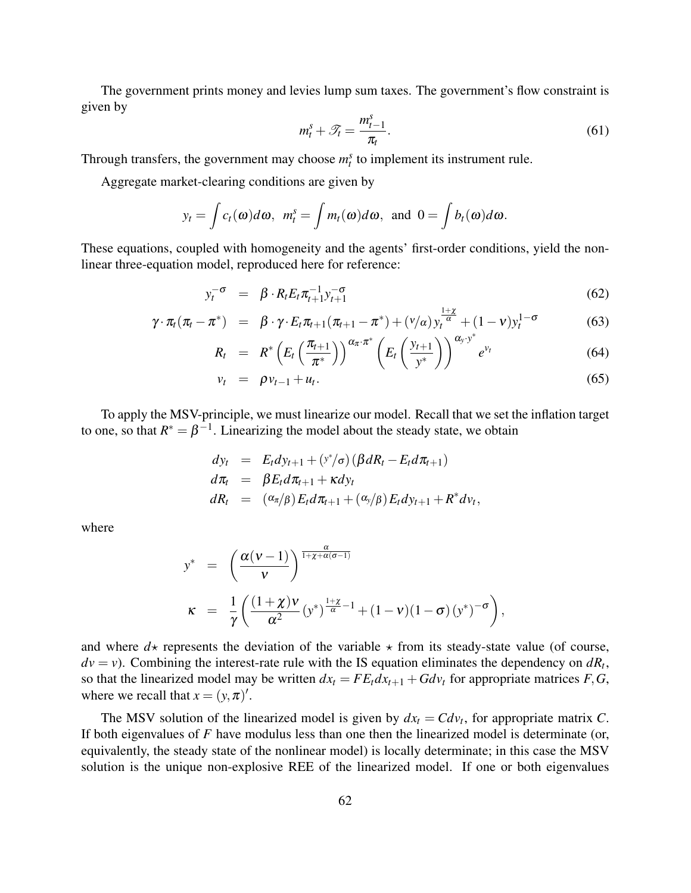The government prints money and levies lump sum taxes. The government's flow constraint is given by

$$
m_t^s + \mathcal{T}_t = \frac{m_{t-1}^s}{\pi_t}.
$$
\n(61)

Through transfers, the government may choose  $m_t^s$  to implement its instrument rule.

Aggregate market-clearing conditions are given by

$$
y_t = \int c_t(\omega) d\omega
$$
,  $m_t^s = \int m_t(\omega) d\omega$ , and  $0 = \int b_t(\omega) d\omega$ .

These equations, coupled with homogeneity and the agents' first-order conditions, yield the nonlinear three-equation model, reproduced here for reference:

$$
y_t^{-\sigma} = \beta \cdot R_t E_t \pi_{t+1}^{-1} y_{t+1}^{-\sigma}
$$
\n
$$
(62)
$$

$$
\gamma \cdot \pi_t(\pi_t - \pi^*) = \beta \cdot \gamma \cdot E_t \pi_{t+1}(\pi_{t+1} - \pi^*) + (v/\alpha) y_t^{\frac{1+\chi}{\alpha}} + (1-v) y_t^{1-\sigma}
$$
(63)

$$
R_t = R^* \left( E_t \left( \frac{\pi_{t+1}}{\pi^*} \right) \right)^{\alpha_{\pi} \cdot \pi^*} \left( E_t \left( \frac{y_{t+1}}{y^*} \right) \right)^{\alpha_y \cdot y^*} e^{v_t} \tag{64}
$$

$$
v_t = \rho v_{t-1} + u_t. \tag{65}
$$

,

To apply the MSV-principle, we must linearize our model. Recall that we set the inflation target to one, so that  $R^* = \beta^{-1}$ . Linearizing the model about the steady state, we obtain

$$
dy_t = E_t dy_{t+1} + (y^*/\sigma) (\beta dR_t - E_t d\pi_{t+1})
$$
  
\n
$$
d\pi_t = \beta E_t d\pi_{t+1} + \kappa dy_t
$$
  
\n
$$
dR_t = (\alpha_{\pi}/\beta) E_t d\pi_{t+1} + (\alpha_y/\beta) E_t dy_{t+1} + R^* d\nu_t
$$

where

$$
y^* = \left(\frac{\alpha(v-1)}{v}\right)^{\frac{\alpha}{1+\chi+\alpha(\sigma-1)}}
$$
  

$$
\kappa = \frac{1}{\gamma} \left(\frac{(1+\chi)v}{\alpha^2} (y^*)^{\frac{1+\chi}{\alpha}-1} + (1-v)(1-\sigma) (y^*)^{-\sigma}\right),
$$

and where  $d\star$  represents the deviation of the variable  $\star$  from its steady-state value (of course,  $dv = v$ ). Combining the interest-rate rule with the IS equation eliminates the dependency on  $dR_t$ , so that the linearized model may be written  $dx_t = FE_t dx_{t+1} + G dv_t$  for appropriate matrices  $F, G$ , where we recall that  $x = (y, \pi)'.$ 

The MSV solution of the linearized model is given by  $dx_t = C dv_t$ , for appropriate matrix *C*. If both eigenvalues of *F* have modulus less than one then the linearized model is determinate (or, equivalently, the steady state of the nonlinear model) is locally determinate; in this case the MSV solution is the unique non-explosive REE of the linearized model. If one or both eigenvalues